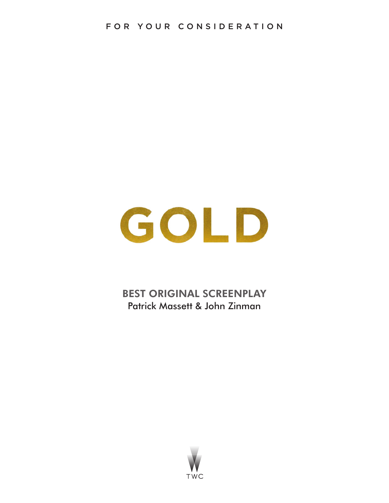# GOLD

BEST ORIGINAL SCREENPLAY Patrick Massett & John Zinman

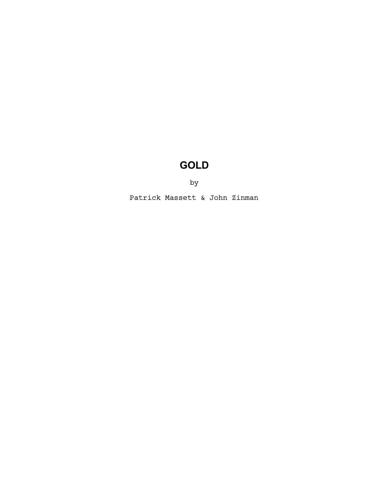# **GOLD**

by

Patrick Massett & John Zinman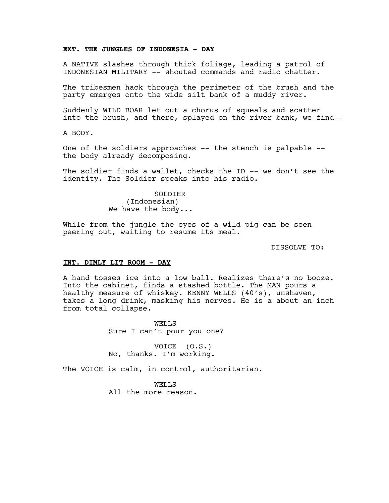#### **EXT. THE JUNGLES OF INDONESIA - DAY**

A NATIVE slashes through thick foliage, leading a patrol of INDONESIAN MILITARY -- shouted commands and radio chatter.

The tribesmen hack through the perimeter of the brush and the party emerges onto the wide silt bank of a muddy river.

Suddenly WILD BOAR let out a chorus of squeals and scatter into the brush, and there, splayed on the river bank, we find--

A BODY.

One of the soldiers approaches -- the stench is palpable - the body already decomposing.

The soldier finds a wallet, checks the ID -- we don't see the identity. The Soldier speaks into his radio.

> SOLDIER (Indonesian) We have the body...

While from the jungle the eyes of a wild pig can be seen peering out, waiting to resume its meal.

DISSOLVE TO:

#### **INT. DIMLY LIT ROOM - DAY**

A hand tosses ice into a low ball. Realizes there's no booze. Into the cabinet, finds a stashed bottle. The MAN pours a healthy measure of whiskey. KENNY WELLS (40's), unshaven, takes a long drink, masking his nerves. He is a about an inch from total collapse.

> WELLS Sure I can't pour you one?

VOICE (O.S.) No, thanks. I'm working.

The VOICE is calm, in control, authoritarian.

WELLS All the more reason.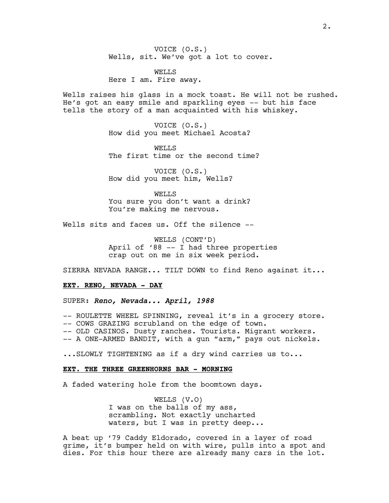VOICE (O.S.) Wells, sit. We've got a lot to cover.

WELLS Here I am. Fire away.

Wells raises his glass in a mock toast. He will not be rushed. He's got an easy smile and sparkling eyes -- but his face tells the story of a man acquainted with his whiskey.

> VOICE (O.S.) How did you meet Michael Acosta?

WELLS The first time or the second time?

VOICE (O.S.) How did you meet him, Wells?

WELLS You sure you don't want a drink? You're making me nervous.

Wells sits and faces us. Off the silence --

WELLS (CONT'D) April of '88 -- I had three properties crap out on me in six week period.

SIERRA NEVADA RANGE... TILT DOWN to find Reno against it...

#### **EXT. RENO, NEVADA - DAY**

SUPER: *Reno, Nevada... April, 1988*

-- ROULETTE WHEEL SPINNING, reveal it's in a grocery store. -- COWS GRAZING scrubland on the edge of town.

-- OLD CASINOS. Dusty ranches. Tourists. Migrant workers.

-- A ONE-ARMED BANDIT, with a gun "arm," pays out nickels.

...SLOWLY TIGHTENING as if a dry wind carries us to...

#### **EXT. THE THREE GREENHORNS BAR - MORNING**

A faded watering hole from the boomtown days.

WELLS (V.O) I was on the balls of my ass, scrambling. Not exactly uncharted waters, but I was in pretty deep...

A beat up '79 Caddy Eldorado, covered in a layer of road grime, it's bumper held on with wire, pulls into a spot and dies. For this hour there are already many cars in the lot.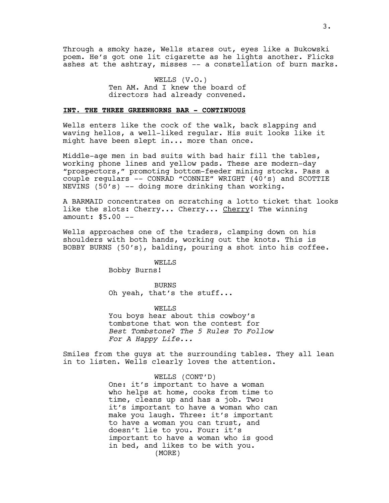Through a smoky haze, Wells stares out, eyes like a Bukowski poem. He's got one lit cigarette as he lights another. Flicks ashes at the ashtray, misses -- a constellation of burn marks.

> WELLS (V.O.) Ten AM. And I knew the board of directors had already convened.

#### **INT. THE THREE GREENHORNS BAR - CONTINUOUS**

Wells enters like the cock of the walk, back slapping and waving hellos, a well-liked regular. His suit looks like it might have been slept in... more than once.

Middle-age men in bad suits with bad hair fill the tables, working phone lines and yellow pads. These are modern-day "prospectors," promoting bottom-feeder mining stocks. Pass a couple regulars -- CONRAD "CONNIE" WRIGHT (40's) and SCOTTIE NEVINS (50's) -- doing more drinking than working.

A BARMAID concentrates on scratching a lotto ticket that looks like the slots: Cherry... Cherry... Cherry! The winning amount: \$5.00 --

Wells approaches one of the traders, clamping down on his shoulders with both hands, working out the knots. This is BOBBY BURNS (50's), balding, pouring a shot into his coffee.

> WELLS Bobby Burns!

BURNS Oh yeah, that's the stuff...

WELLS You boys hear about this cowboy's tombstone that won the contest for *Best Tombstone*? *The 5 Rules To Follow For A Happy Life...*

Smiles from the guys at the surrounding tables. They all lean in to listen. Wells clearly loves the attention.

WELLS (CONT'D)

One: it's important to have a woman who helps at home, cooks from time to time, cleans up and has a job. Two: it's important to have a woman who can make you laugh. Three: it's important to have a woman you can trust, and doesn't lie to you. Four: it's important to have a woman who is good in bed, and likes to be with you. (MORE)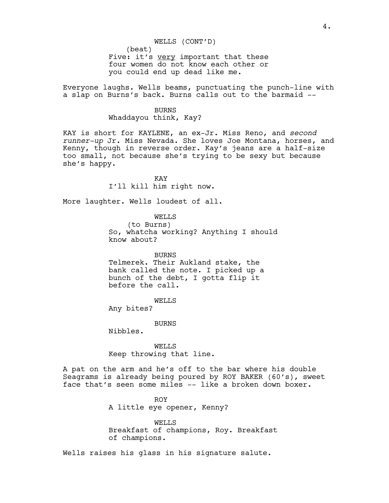Everyone laughs. Wells beams, punctuating the punch-line with a slap on Burns's back. Burns calls out to the barmaid --

> BURNS Whaddayou think, Kay?

KAY is short for KAYLENE, an ex-Jr. Miss Reno, and *second runner-up* Jr. Miss Nevada. She loves Joe Montana, horses, and Kenny, though in reverse order. Kay's jeans are a half-size too small, not because she's trying to be sexy but because she's happy.

> KAY I'll kill him right now.

More laughter. Wells loudest of all.

WELLS (to Burns) So, whatcha working? Anything I should know about?

BURNS Telmerek. Their Aukland stake, the bank called the note. I picked up a bunch of the debt, I gotta flip it before the call.

WELLS

Any bites?

BURNS

Nibbles.

WELLS Keep throwing that line.

A pat on the arm and he's off to the bar where his double Seagrams is already being poured by ROY BAKER (60's), sweet face that's seen some miles -- like a broken down boxer.

> ROY A little eye opener, Kenny?

WELLS Breakfast of champions, Roy. Breakfast of champions.

Wells raises his glass in his signature salute.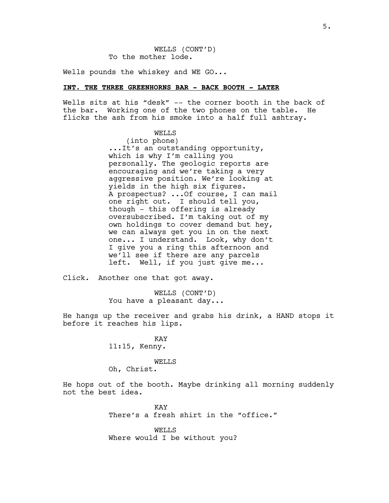WELLS (CONT'D) To the mother lode.

Wells pounds the whiskey and WE GO...

#### **INT. THE THREE GREENHORNS BAR - BACK BOOTH - LATER**

Wells sits at his "desk" -- the corner booth in the back of the bar. Working one of the two phones on the table. He flicks the ash from his smoke into a half full ashtray.

#### WELLS

(into phone) ...It's an outstanding opportunity, which is why I'm calling you personally. The geologic reports are encouraging and we're taking a very aggressive position. We're looking at yields in the high six figures. A prospectus? ...Of course, I can mail one right out. I should tell you, though - this offering is already oversubscribed. I'm taking out of my own holdings to cover demand but hey, we can always get you in on the next one... I understand. Look, why don't I give you a ring this afternoon and we'll see if there are any parcels left. Well, if you just give me...

Click. Another one that got away.

WELLS (CONT'D) You have a pleasant day...

He hangs up the receiver and grabs his drink, a HAND stops it before it reaches his lips.

> KAY 11:15, Kenny.

#### WELLS

Oh, Christ.

He hops out of the booth. Maybe drinking all morning suddenly not the best idea.

> KAY There's a fresh shirt in the "office."

WELLS Where would I be without you?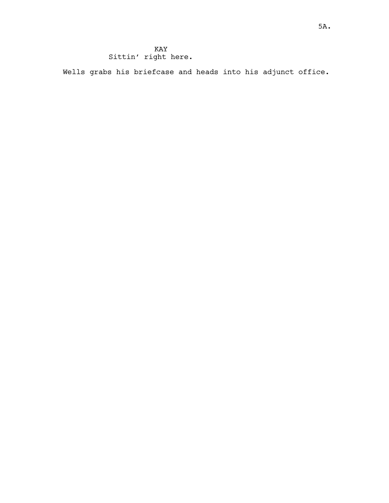Wells grabs his briefcase and heads into his adjunct office.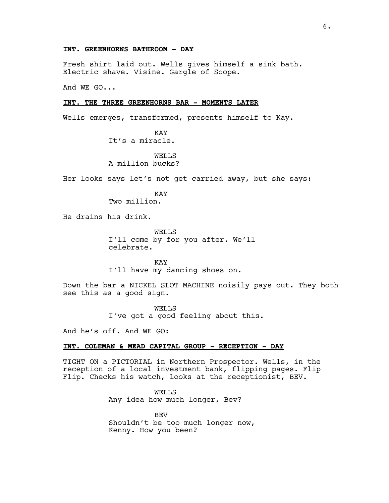#### **INT. GREENHORNS BATHROOM - DAY**

Fresh shirt laid out. Wells gives himself a sink bath. Electric shave. Visine. Gargle of Scope.

And WE GO...

#### **INT. THE THREE GREENHORNS BAR - MOMENTS LATER**

Wells emerges, transformed, presents himself to Kay.

KAY It's a miracle.

WELL<sub>S</sub> A million bucks?

Her looks says let's not get carried away, but she says:

KAY Two million.

He drains his drink.

WELLS I'll come by for you after. We'll celebrate.

KAY I'll have my dancing shoes on.

Down the bar a NICKEL SLOT MACHINE noisily pays out. They both see this as a good sign.

> WELLS I've got a good feeling about this.

And he's off. And WE GO:

# **INT. COLEMAN & MEAD CAPITAL GROUP - RECEPTION - DAY**

TIGHT ON a PICTORIAL in Northern Prospector. Wells, in the reception of a local investment bank, flipping pages. Flip Flip. Checks his watch, looks at the receptionist, BEV.

> WELLS Any idea how much longer, Bev?

BEV Shouldn't be too much longer now, Kenny. How you been?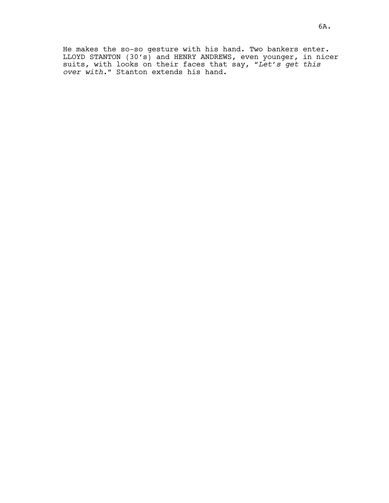He makes the so-so gesture with his hand. Two bankers enter. LLOYD STANTON (30's) and HENRY ANDREWS, even younger, in nicer suits, with looks on their faces that say, *"Let's get this over with."* Stanton extends his hand.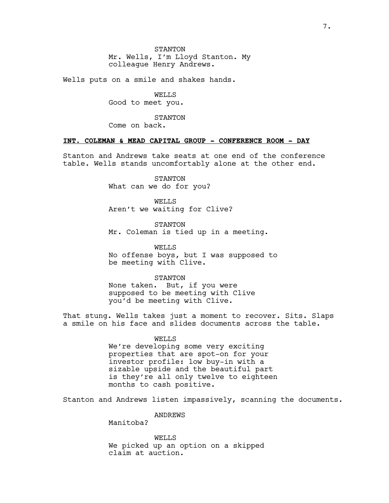**STANTON** Mr. Wells, I'm Lloyd Stanton. My colleague Henry Andrews.

Wells puts on a smile and shakes hands.

WELLS Good to meet you.

STANTON Come on back.

#### **INT. COLEMAN & MEAD CAPITAL GROUP - CONFERENCE ROOM - DAY**

Stanton and Andrews take seats at one end of the conference table. Wells stands uncomfortably alone at the other end.

> STANTON What can we do for you?

**WELLS** Aren't we waiting for Clive?

STANTON Mr. Coleman is tied up in a meeting.

WELLS No offense boys, but I was supposed to be meeting with Clive.

STANTON None taken. But, if you were supposed to be meeting with Clive you'd be meeting with Clive.

That stung. Wells takes just a moment to recover. Sits. Slaps a smile on his face and slides documents across the table.

# WELLS

We're developing some very exciting properties that are spot-on for your investor profile: low buy-in with a sizable upside and the beautiful part is they're all only twelve to eighteen months to cash positive.

Stanton and Andrews listen impassively, scanning the documents.

ANDREWS

Manitoba?

WELLS We picked up an option on a skipped claim at auction.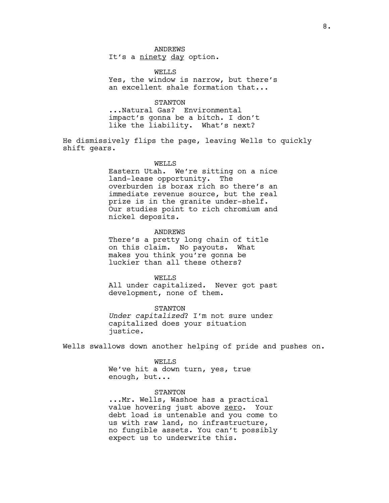# ANDREWS

It's a ninety day option.

WELL<sub>S</sub> Yes, the window is narrow, but there's an excellent shale formation that...

#### STANTON

...Natural Gas? Environmental impact's gonna be a bitch. I don't like the liability. What's next?

He dismissively flips the page, leaving Wells to quickly shift gears.

#### WELLS

Eastern Utah. We're sitting on a nice land-lease opportunity. The overburden is borax rich so there's an immediate revenue source, but the real prize is in the granite under-shelf. Our studies point to rich chromium and nickel deposits.

#### ANDREWS

There's a pretty long chain of title on this claim. No payouts. What makes you think you're gonna be luckier than all these others?

#### WELLS

All under capitalized. Never got past development, none of them.

STANTON *Under capitalized*? I'm not sure under capitalized does your situation justice.

Wells swallows down another helping of pride and pushes on.

#### **WELLS**

We've hit a down turn, yes, true enough, but...

## STANTON

...Mr. Wells, Washoe has a practical value hovering just above zero. Your debt load is untenable and you come to us with raw land, no infrastructure, no fungible assets. You can't possibly expect us to underwrite this.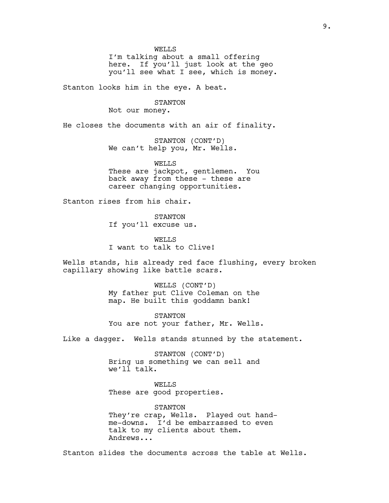WELLS

I'm talking about a small offering here. If you'll just look at the geo you'll see what I see, which is money.

Stanton looks him in the eye. A beat.

STANTON

Not our money.

He closes the documents with an air of finality.

STANTON (CONT'D) We can't help you, Mr. Wells.

WELLS These are jackpot, gentlemen. You back away from these - these are career changing opportunities.

Stanton rises from his chair.

STANTON If you'll excuse us.

WELLS I want to talk to Clive!

Wells stands, his already red face flushing, every broken capillary showing like battle scars.

> WELLS (CONT'D) My father put Clive Coleman on the map. He built this goddamn bank!

STANTON You are not your father, Mr. Wells.

Like a dagger. Wells stands stunned by the statement.

STANTON (CONT'D) Bring us something we can sell and we'll talk.

WELLS These are good properties.

STANTON They're crap, Wells. Played out handme-downs. I'd be embarrassed to even talk to my clients about them. Andrews...

Stanton slides the documents across the table at Wells.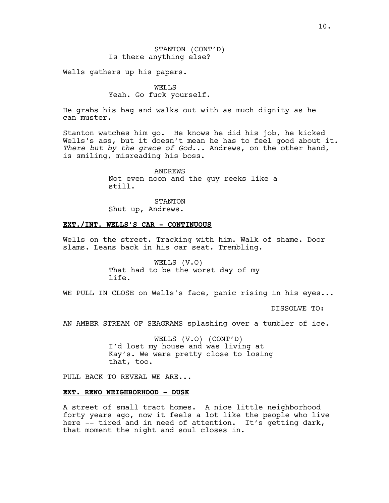Wells gathers up his papers.

WELLS Yeah. Go fuck yourself.

He grabs his bag and walks out with as much dignity as he can muster.

Stanton watches him go. He knows he did his job, he kicked Wells's ass, but it doesn't mean he has to feel good about it. *There but by the grace of God...* Andrews, on the other hand, is smiling, misreading his boss.

> ANDREWS Not even noon and the guy reeks like a still.

STANTON Shut up, Andrews.

#### **EXT./INT. WELLS'S CAR - CONTINUOUS**

Wells on the street. Tracking with him. Walk of shame. Door slams. Leans back in his car seat. Trembling.

> WELLS (V.O) That had to be the worst day of my life.

WE PULL IN CLOSE on Wells's face, panic rising in his eyes...

DISSOLVE TO:

AN AMBER STREAM OF SEAGRAMS splashing over a tumbler of ice.

WELLS (V.O) (CONT'D) I'd lost my house and was living at Kay's. We were pretty close to losing that, too.

PULL BACK TO REVEAL WE ARE...

#### **EXT. RENO NEIGHBORHOOD - DUSK**

A street of small tract homes. A nice little neighborhood forty years ago, now it feels a lot like the people who live here -- tired and in need of attention. It's getting dark, that moment the night and soul closes in.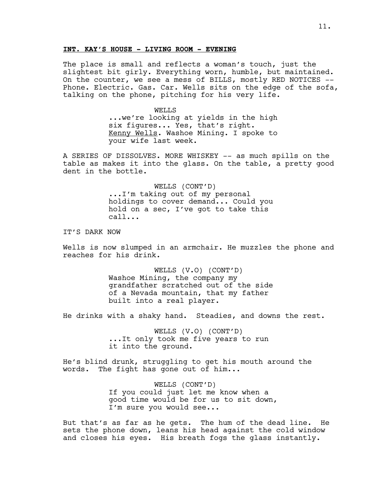#### **INT. KAY'S HOUSE - LIVING ROOM - EVENING**

The place is small and reflects a woman's touch, just the slightest bit girly. Everything worn, humble, but maintained. On the counter, we see a mess of BILLS, mostly RED NOTICES -- Phone. Electric. Gas. Car. Wells sits on the edge of the sofa, talking on the phone, pitching for his very life.

> WELLS ...we're looking at yields in the high six figures... Yes, that's right. Kenny Wells. Washoe Mining. I spoke to your wife last week.

A SERIES OF DISSOLVES. MORE WHISKEY -- as much spills on the table as makes it into the glass. On the table, a pretty good dent in the bottle.

> WELLS (CONT'D) ...I'm taking out of my personal holdings to cover demand... Could you hold on a sec, I've got to take this call...

IT'S DARK NOW

Wells is now slumped in an armchair. He muzzles the phone and reaches for his drink.

> WELLS (V.O) (CONT'D) Washoe Mining, the company my grandfather scratched out of the side of a Nevada mountain, that my father built into a real player.

He drinks with a shaky hand. Steadies, and downs the rest.

WELLS (V.O) (CONT'D) ...It only took me five years to run it into the ground.

He's blind drunk, struggling to get his mouth around the words. The fight has gone out of him...

> WELLS (CONT'D) If you could just let me know when a good time would be for us to sit down, I'm sure you would see...

But that's as far as he gets. The hum of the dead line. He sets the phone down, leans his head against the cold window and closes his eyes. His breath fogs the glass instantly.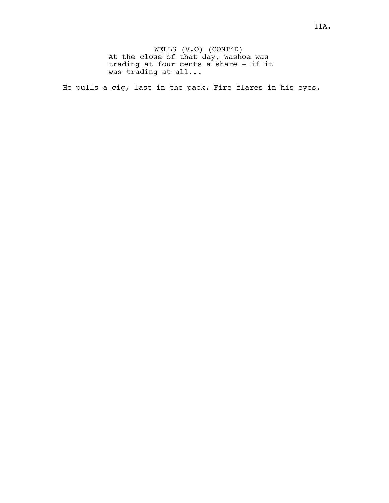WELLS (V.O) (CONT'D) At the close of that day, Washoe was trading at four cents a share - if it was trading at all...

He pulls a cig, last in the pack. Fire flares in his eyes.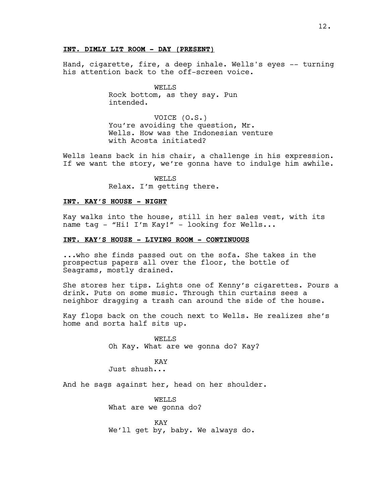Hand, cigarette, fire, a deep inhale. Wells's eyes -- turning his attention back to the off-screen voice.

> WELLS Rock bottom, as they say. Pun intended.

VOICE (O.S.) You're avoiding the question, Mr. Wells. How was the Indonesian venture with Acosta initiated?

Wells leans back in his chair, a challenge in his expression. If we want the story, we're gonna have to indulge him awhile.

> WELLS Relax. I'm getting there.

#### **INT. KAY'S HOUSE - NIGHT**

Kay walks into the house, still in her sales vest, with its name tag - "Hi! I'm Kay!" - looking for Wells...

#### **INT. KAY'S HOUSE - LIVING ROOM - CONTINUOUS**

...who she finds passed out on the sofa. She takes in the prospectus papers all over the floor, the bottle of Seagrams, mostly drained.

She stores her tips. Lights one of Kenny's cigarettes. Pours a drink. Puts on some music. Through thin curtains sees a neighbor dragging a trash can around the side of the house.

Kay flops back on the couch next to Wells. He realizes she's home and sorta half sits up.

> WELLS Oh Kay. What are we gonna do? Kay?

KAY Just shush...

And he sags against her, head on her shoulder.

WELLS What are we gonna do?

KAY We'll get by, baby. We always do.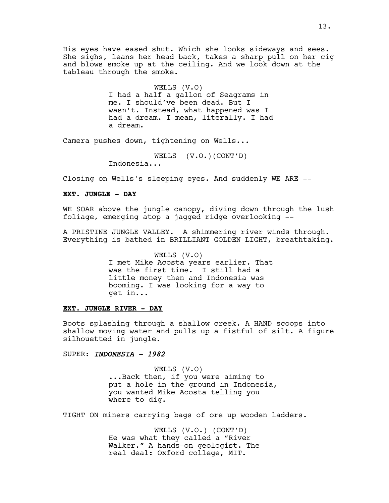His eyes have eased shut. Which she looks sideways and sees. She sighs, leans her head back, takes a sharp pull on her cig and blows smoke up at the ceiling. And we look down at the tableau through the smoke.

> WELLS (V.O) I had a half a gallon of Seagrams in me. I should've been dead. But I wasn't. Instead, what happened was I had a dream. I mean, literally. I had a dream.

Camera pushes down, tightening on Wells...

WELLS (V.O.)(CONT'D)

Indonesia...

Closing on Wells's sleeping eyes. And suddenly WE ARE --

# **EXT. JUNGLE - DAY**

WE SOAR above the jungle canopy, diving down through the lush foliage, emerging atop a jagged ridge overlooking --

A PRISTINE JUNGLE VALLEY. A shimmering river winds through. Everything is bathed in BRILLIANT GOLDEN LIGHT, breathtaking.

> WELLS (V.O) I met Mike Acosta years earlier. That was the first time. I still had a little money then and Indonesia was booming. I was looking for a way to get in...

#### **EXT. JUNGLE RIVER - DAY**

Boots splashing through a shallow creek. A HAND scoops into shallow moving water and pulls up a fistful of silt. A figure silhouetted in jungle.

#### SUPER: *INDONESIA - 1982*

WELLS (V.O) ...Back then, if you were aiming to put a hole in the ground in Indonesia, you wanted Mike Acosta telling you where to dig.

TIGHT ON miners carrying bags of ore up wooden ladders.

WELLS (V.O.) (CONT'D) He was what they called a "River Walker." A hands-on geologist. The real deal: Oxford college, MIT.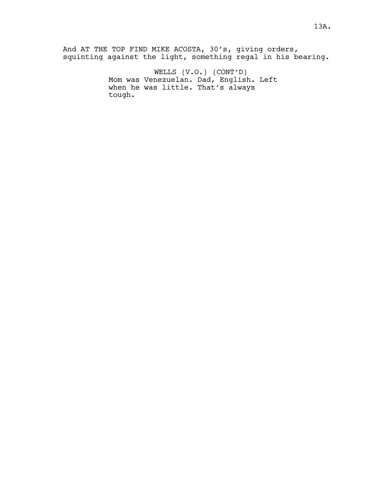And AT THE TOP FIND MIKE ACOSTA, 30's, giving orders, squinting against the light, something regal in his bearing.

> WELLS (V.O.) (CONT'D) Mom was Venezuelan. Dad, English. Left when he was little. That's always tough.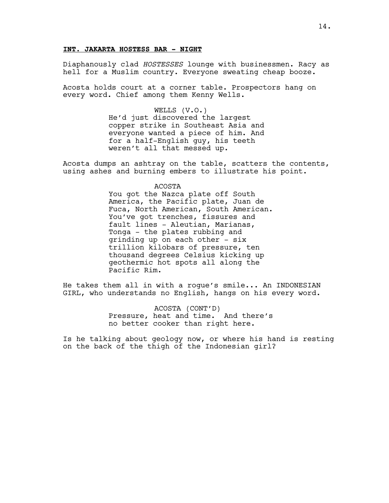#### **INT. JAKARTA HOSTESS BAR - NIGHT**

Diaphanously clad *HOSTESSES* lounge with businessmen. Racy as hell for a Muslim country. Everyone sweating cheap booze.

Acosta holds court at a corner table. Prospectors hang on every word. Chief among them Kenny Wells.

> WELLS (V.O.) He'd just discovered the largest copper strike in Southeast Asia and everyone wanted a piece of him. And for a half-English guy, his teeth weren't all that messed up.

Acosta dumps an ashtray on the table, scatters the contents, using ashes and burning embers to illustrate his point.

#### ACOSTA

You got the Nazca plate off South America, the Pacific plate, Juan de Fuca, North American, South American. You've got trenches, fissures and fault lines - Aleutian, Marianas, Tonga - the plates rubbing and grinding up on each other - six trillion kilobars of pressure, ten thousand degrees Celsius kicking up geothermic hot spots all along the Pacific Rim.

He takes them all in with a rogue's smile... An INDONESIAN GIRL, who understands no English, hangs on his every word.

> ACOSTA (CONT'D) Pressure, heat and time. And there's no better cooker than right here.

Is he talking about geology now, or where his hand is resting on the back of the thigh of the Indonesian girl?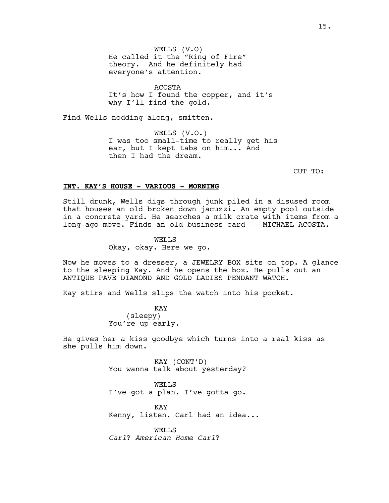WELLS (V.O) He called it the "Ring of Fire" theory. And he definitely had everyone's attention.

ACOSTA It's how I found the copper, and it's why I'll find the gold.

Find Wells nodding along, smitten.

WELLS (V.O.) I was too small-time to really get his ear, but I kept tabs on him... And then I had the dream.

CUT TO:

#### **INT. KAY'S HOUSE - VARIOUS - MORNING**

Still drunk, Wells digs through junk piled in a disused room that houses an old broken down jacuzzi. An empty pool outside in a concrete yard. He searches a milk crate with items from a long ago move. Finds an old business card -- MICHAEL ACOSTA.

> WELLS Okay, okay. Here we go.

Now he moves to a dresser, a JEWELRY BOX sits on top. A glance to the sleeping Kay. And he opens the box. He pulls out an ANTIQUE PAVE DIAMOND AND GOLD LADIES PENDANT WATCH.

Kay stirs and Wells slips the watch into his pocket.

KAY (sleepy) You're up early.

He gives her a kiss goodbye which turns into a real kiss as she pulls him down.

> KAY (CONT'D) You wanna talk about yesterday?

> WELLS I've got a plan. I've gotta go.

KAY Kenny, listen. Carl had an idea...

WELLS *Carl*? *American Home Carl*?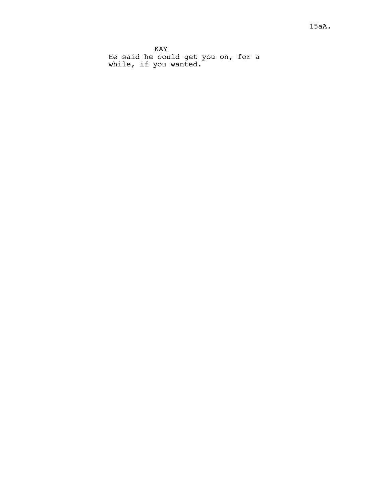KAY He said he could get you on, for a while, if you wanted.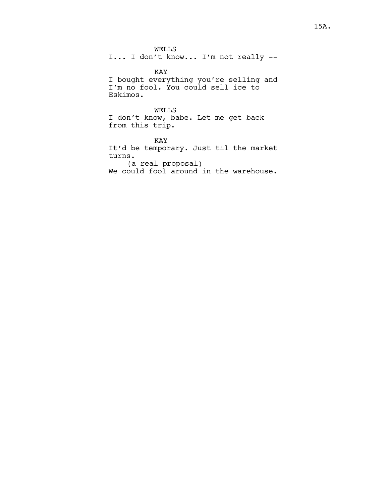WELLS

I... I don't know... I'm not really --

KAY

I bought everything you're selling and I'm no fool. You could sell ice to Eskimos.

WELLS I don't know, babe. Let me get back from this trip.

KAY It'd be temporary. Just til the market turns. (a real proposal) We could fool around in the warehouse.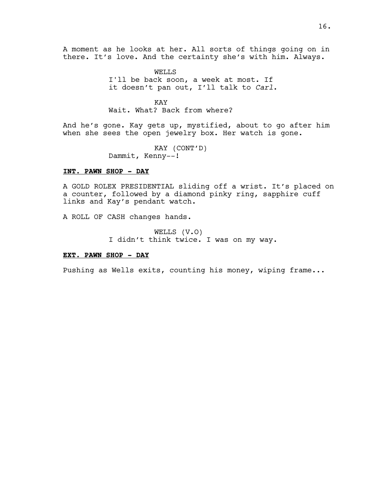A moment as he looks at her. All sorts of things going on in there. It's love. And the certainty she's with him. Always.

> WELLS I'll be back soon, a week at most. If it doesn't pan out, I'll talk to *Carl*.

KAY Wait. What? Back from where?

And he's gone. Kay gets up, mystified, about to go after him when she sees the open jewelry box. Her watch is gone.

> KAY (CONT'D) Dammit, Kenny--!

#### **INT. PAWN SHOP - DAY**

A GOLD ROLEX PRESIDENTIAL sliding off a wrist. It's placed on a counter, followed by a diamond pinky ring, sapphire cuff links and Kay's pendant watch.

A ROLL OF CASH changes hands.

WELLS (V.O) I didn't think twice. I was on my way.

#### **EXT. PAWN SHOP - DAY**

Pushing as Wells exits, counting his money, wiping frame...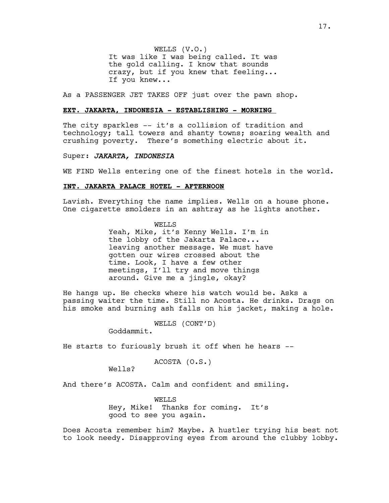WELLS (V.O.) It was like I was being called. It was the gold calling. I know that sounds crazy, but if you knew that feeling... If you knew...

As a PASSENGER JET TAKES OFF just over the pawn shop.

#### **EXT. JAKARTA, INDONESIA - ESTABLISHING - MORNING**

The city sparkles -- it's a collision of tradition and technology; tall towers and shanty towns; soaring wealth and crushing poverty. There's something electric about it.

### Super: *JAKARTA, INDONESIA*

WE FIND Wells entering one of the finest hotels in the world.

#### **INT. JAKARTA PALACE HOTEL - AFTERNOON**

Lavish. Everything the name implies. Wells on a house phone. One cigarette smolders in an ashtray as he lights another.

> WELLS Yeah, Mike, it's Kenny Wells. I'm in the lobby of the Jakarta Palace... leaving another message. We must have gotten our wires crossed about the time. Look, I have a few other meetings, I'll try and move things around. Give me a jingle, okay?

He hangs up. He checks where his watch would be. Asks a passing waiter the time. Still no Acosta. He drinks. Drags on his smoke and burning ash falls on his jacket, making a hole.

WELLS (CONT'D)

Goddammit.

He starts to furiously brush it off when he hears --

```
ACOSTA (O.S.)
```
Wells?

And there's ACOSTA. Calm and confident and smiling.

WELLS Hey, Mike! Thanks for coming. It's good to see you again.

Does Acosta remember him? Maybe. A hustler trying his best not to look needy. Disapproving eyes from around the clubby lobby.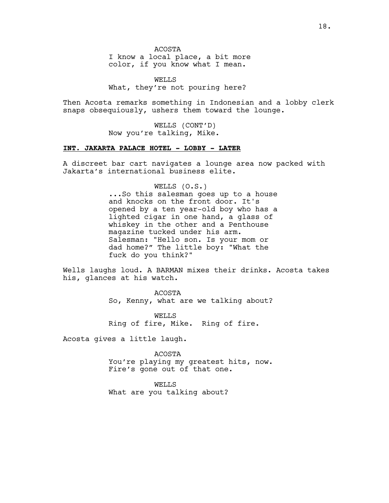ACOSTA

I know a local place, a bit more color, if you know what I mean.

WELLS What, they're not pouring here?

Then Acosta remarks something in Indonesian and a lobby clerk snaps obsequiously, ushers them toward the lounge.

> WELLS (CONT'D) Now you're talking, Mike.

# **INT. JAKARTA PALACE HOTEL - LOBBY - LATER**

A discreet bar cart navigates a lounge area now packed with Jakarta's international business elite.

WELLS (O.S.)

...So this salesman goes up to a house and knocks on the front door. It's opened by a ten year-old boy who has a lighted cigar in one hand, a glass of whiskey in the other and a Penthouse magazine tucked under his arm. Salesman: "Hello son. Is your mom or dad home?" The little boy: "What the fuck do you think?"

Wells laughs loud. A BARMAN mixes their drinks. Acosta takes his, glances at his watch.

> ACOSTA So, Kenny, what are we talking about?

WELLS Ring of fire, Mike. Ring of fire.

Acosta gives a little laugh.

ACOSTA You're playing my greatest hits, now. Fire's gone out of that one.

WELLS What are you talking about?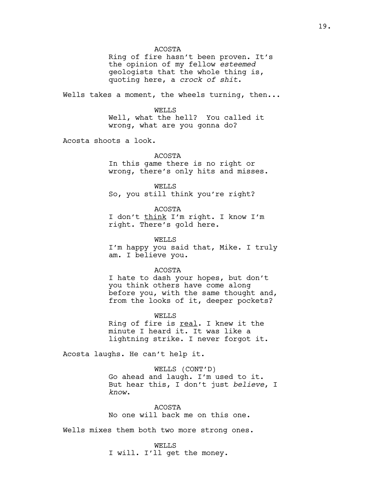ACOSTA

Ring of fire hasn't been proven. It's the opinion of my fellow *esteemed* geologists that the whole thing is, quoting here, a *crock of shit*.

Wells takes a moment, the wheels turning, then...

WELLS Well, what the hell? You called it wrong, what are you gonna do?

Acosta shoots a look.

ACOSTA

In this game there is no right or wrong, there's only hits and misses.

WELLS So, you still think you're right?

ACOSTA I don't think I'm right. I know I'm right. There's gold here.

WELLS I'm happy you said that, Mike. I truly am. I believe you.

ACOSTA

I hate to dash your hopes, but don't you think others have come along before you, with the same thought and, from the looks of it, deeper pockets?

WELLS Ring of fire is real. I knew it the minute I heard it. It was like a lightning strike. I never forgot it.

Acosta laughs. He can't help it.

WELLS (CONT'D) Go ahead and laugh. I'm used to it. But hear this, I don't just *believe*, I *know*.

ACOSTA No one will back me on this one.

Wells mixes them both two more strong ones.

WELLS I will. I'll get the money.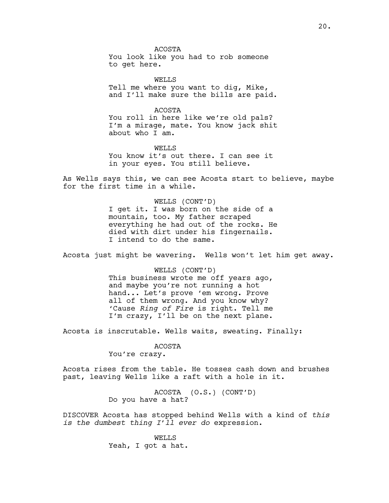ACOSTA You look like you had to rob someone to get here.

WELLS Tell me where you want to dig, Mike, and I'll make sure the bills are paid.

ACOSTA You roll in here like we're old pals? I'm a mirage, mate. You know jack shit about who I am.

WELLS You know it's out there. I can see it in your eyes. You still believe.

As Wells says this, we can see Acosta start to believe, maybe for the first time in a while.

> WELLS (CONT'D) I get it. I was born on the side of a mountain, too. My father scraped everything he had out of the rocks. He died with dirt under his fingernails. I intend to do the same.

Acosta just might be wavering. Wells won't let him get away.

WELLS (CONT'D) This business wrote me off years ago, and maybe you're not running a hot hand... Let's prove 'em wrong. Prove all of them wrong. And you know why? 'Cause *Ring of Fire* is right. Tell me I'm crazy, I'll be on the next plane.

Acosta is inscrutable. Wells waits, sweating. Finally:

#### ACOSTA

You're crazy.

Acosta rises from the table. He tosses cash down and brushes past, leaving Wells like a raft with a hole in it.

> ACOSTA (O.S.) (CONT'D) Do you have a hat?

DISCOVER Acosta has stopped behind Wells with a kind of *this is the dumbest thing I'll ever do* expression.

> WELLS Yeah, I got a hat.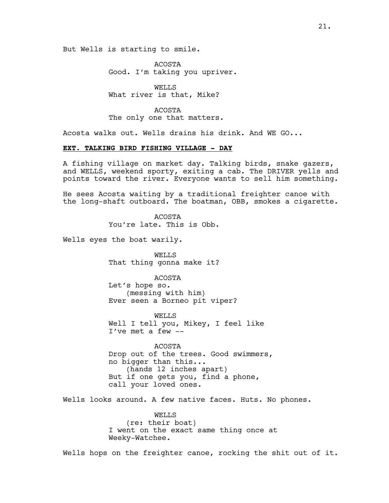But Wells is starting to smile.

ACOSTA Good. I'm taking you upriver.

WELLS What river is that, Mike?

ACOSTA The only one that matters.

Acosta walks out. Wells drains his drink. And WE GO...

# **EXT. TALKING BIRD FISHING VILLAGE - DAY**

A fishing village on market day. Talking birds, snake gazers, and WELLS, weekend sporty, exiting a cab. The DRIVER yells and points toward the river. Everyone wants to sell him something.

He sees Acosta waiting by a traditional freighter canoe with the long-shaft outboard. The boatman, OBB, smokes a cigarette.

> ACOSTA You're late. This is Obb.

Wells eyes the boat warily.

WELLS That thing gonna make it?

ACOSTA Let's hope so. (messing with him) Ever seen a Borneo pit viper?

WELLS Well I tell you, Mikey, I feel like I've met a few --

ACOSTA Drop out of the trees. Good swimmers, no bigger than this... (hands 12 inches apart) But if one gets you, find a phone, call your loved ones.

Wells looks around. A few native faces. Huts. No phones.

WELLS (re: their boat) I went on the exact same thing once at Weeky-Watchee.

Wells hops on the freighter canoe, rocking the shit out of it.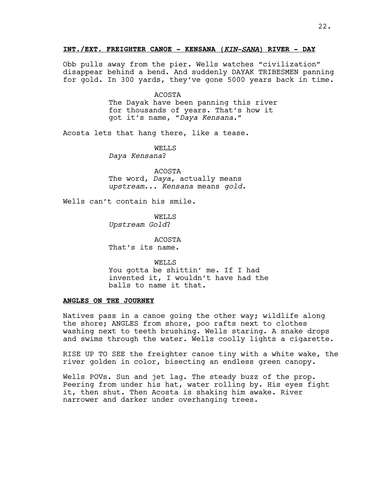Obb pulls away from the pier. Wells watches "civilization" disappear behind a bend. And suddenly DAYAK TRIBESMEN panning for gold. In 300 yards, they've gone 5000 years back in time.

ACOSTA

The Dayak have been panning this river for thousands of years. That's how it got it's name, "*Daya Kensana*."

Acosta lets that hang there, like a tease.

WELLS *Daya Kensana*?

ACOSTA The word, *Daya*, actually means *upstream*... *Kensana* means *gold*.

Wells can't contain his smile.

WELLS *Upstream Gold*?

ACOSTA That's its name.

WELLS You gotta be shittin' me. If I had invented it, I wouldn't have had the balls to name it that.

# **ANGLES ON THE JOURNEY**

Natives pass in a canoe going the other way; wildlife along the shore; ANGLES from shore, poo rafts next to clothes washing next to teeth brushing. Wells staring. A snake drops and swims through the water. Wells coolly lights a cigarette.

RISE UP TO SEE the freighter canoe tiny with a white wake, the river golden in color, bisecting an endless green canopy.

Wells POVs. Sun and jet lag. The steady buzz of the prop. Peering from under his hat, water rolling by. His eyes fight it, then shut. Then Acosta is shaking him awake. River narrower and darker under overhanging trees.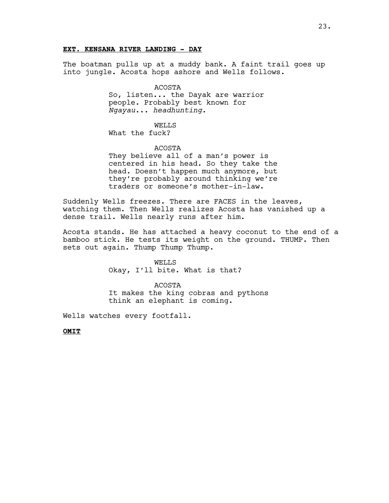# **EXT. KENSANA RIVER LANDING - DAY**

The boatman pulls up at a muddy bank. A faint trail goes up into jungle. Acosta hops ashore and Wells follows.

> ACOSTA So, listen... the Dayak are warrior people. Probably best known for *Ngayau*... *headhunting*.

WELLS What the fuck?

ACOSTA

They believe all of a man's power is centered in his head. So they take the head. Doesn't happen much anymore, but they're probably around thinking we're traders or someone's mother-in-law.

Suddenly Wells freezes. There are FACES in the leaves, watching them. Then Wells realizes Acosta has vanished up a dense trail. Wells nearly runs after him.

Acosta stands. He has attached a heavy coconut to the end of a bamboo stick. He tests its weight on the ground. THUMP. Then sets out again. Thump Thump Thump.

> WELLS Okay, I'll bite. What is that?

ACOSTA It makes the king cobras and pythons think an elephant is coming.

Wells watches every footfall.

**OMIT**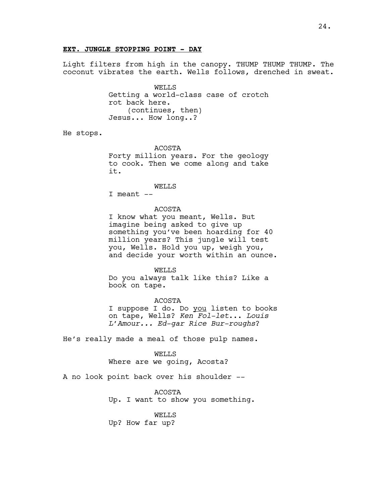#### **EXT. JUNGLE STOPPING POINT - DAY**

Light filters from high in the canopy. THUMP THUMP THUMP. The coconut vibrates the earth. Wells follows, drenched in sweat.

> WELLS Getting a world-class case of crotch rot back here. (continues, then) Jesus... How long..?

He stops.

ACOSTA

Forty million years. For the geology to cook. Then we come along and take it.

#### WELLS

I meant --

#### ACOSTA

I know what you meant, Wells. But imagine being asked to give up something you've been hoarding for 40 million years? This jungle will test you, Wells. Hold you up, weigh you, and decide your worth within an ounce.

WELLS

Do you always talk like this? Like a book on tape.

#### ACOSTA

I suppose I do. Do you listen to books on tape, Wells? *Ken Fol-let*... *Louis L'Amour... Ed-gar Rice Bur-roughs*?

He's really made a meal of those pulp names.

WELLS Where are we going, Acosta?

A no look point back over his shoulder --

ACOSTA Up. I want to show you something.

#### WELLS

Up? How far up?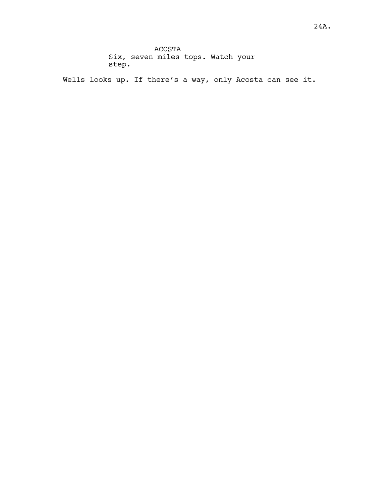ACOSTA Six, seven miles tops. Watch your step.

Wells looks up. If there's a way, only Acosta can see it.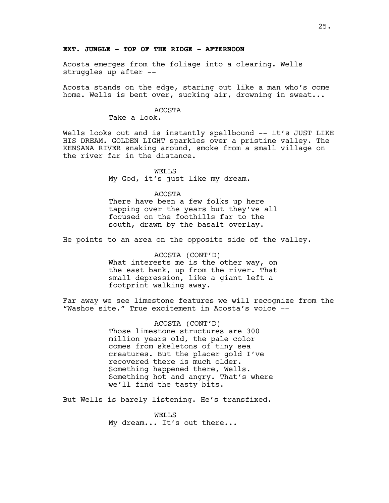#### **EXT. JUNGLE - TOP OF THE RIDGE - AFTERNOON**

Acosta emerges from the foliage into a clearing. Wells struggles up after --

Acosta stands on the edge, staring out like a man who's come home. Wells is bent over, sucking air, drowning in sweat...

# ACOSTA

Take a look.

Wells looks out and is instantly spellbound -- it's JUST LIKE HIS DREAM. GOLDEN LIGHT sparkles over a pristine valley. The KENSANA RIVER snaking around, smoke from a small village on the river far in the distance.

> WELLS My God, it's just like my dream.

#### ACOSTA

There have been a few folks up here tapping over the years but they've all focused on the foothills far to the south, drawn by the basalt overlay.

He points to an area on the opposite side of the valley.

ACOSTA (CONT'D) What interests me is the other way, on the east bank, up from the river. That small depression, like a giant left a footprint walking away.

Far away we see limestone features we will recognize from the "Washoe site." True excitement in Acosta's voice --

> ACOSTA (CONT'D) Those limestone structures are 300 million years old, the pale color comes from skeletons of tiny sea creatures. But the placer gold I've recovered there is much older. Something happened there, Wells. Something hot and angry. That's where we'll find the tasty bits.

But Wells is barely listening. He's transfixed.

WELLS My dream... It's out there...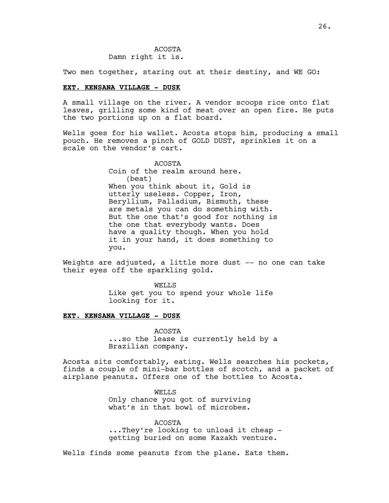Two men together, staring out at their destiny, and WE GO:

#### **EXT. KENSANA VILLAGE - DUSK**

A small village on the river. A vendor scoops rice onto flat leaves, grilling some kind of meat over an open fire. He puts the two portions up on a flat board.

Wells goes for his wallet. Acosta stops him, producing a small pouch. He removes a pinch of GOLD DUST, sprinkles it on a scale on the vendor's cart.

> ACOSTA Coin of the realm around here. (beat) When you think about it, Gold is utterly useless. Copper, Iron, Beryllium, Palladium, Bismuth, these are metals you can do something with. But the one that's good for nothing is the one that everybody wants. Does have a quality though. When you hold it in your hand, it does something to you.

Weights are adjusted, a little more dust -- no one can take their eyes off the sparkling gold.

> WELLS Like get you to spend your whole life looking for it.

# **EXT. KENSANA VILLAGE - DUSK**

ACOSTA ...so the lease is currently held by a Brazilian company.

Acosta sits comfortably, eating. Wells searches his pockets, finds a couple of mini-bar bottles of scotch, and a packet of airplane peanuts. Offers one of the bottles to Acosta.

> WELLS Only chance you got of surviving what's in that bowl of microbes.

ACOSTA ...They're looking to unload it cheap getting buried on some Kazakh venture.

Wells finds some peanuts from the plane. Eats them.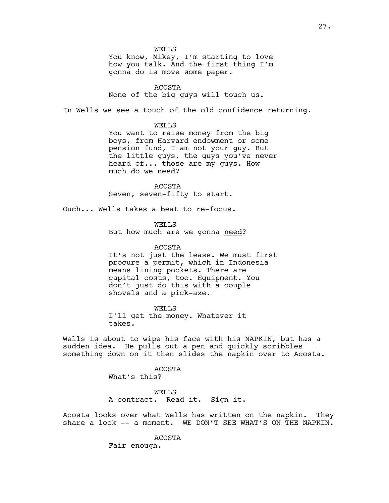WELLS

You know, Mikey, I'm starting to love how you talk. And the first thing I'm gonna do is move some paper.

ACOSTA None of the big guys will touch us.

In Wells we see a touch of the old confidence returning.

WELLS

You want to raise money from the big boys, from Harvard endowment or some pension fund, I am not your guy. But the little guys, the guys you've never heard of... those are my guys. How much do we need?

ACOSTA Seven, seven-fifty to start.

Ouch... Wells takes a beat to re-focus.

WELLS But how much are we gonna need?

ACOSTA It's not just the lease. We must first procure a permit, which in Indonesia means lining pockets. There are capital costs, too. Equipment. You don't just do this with a couple shovels and a pick-axe.

WELLS I'll get the money. Whatever it takes.

Wells is about to wipe his face with his NAPKIN, but has a sudden idea. He pulls out a pen and quickly scribbles something down on it then slides the napkin over to Acosta.

> ACOSTA What's this?

WELLS A contract. Read it. Sign it.

Acosta looks over what Wells has written on the napkin. They share a look -- a moment. WE DON'T SEE WHAT'S ON THE NAPKIN.

> ACOSTA Fair enough.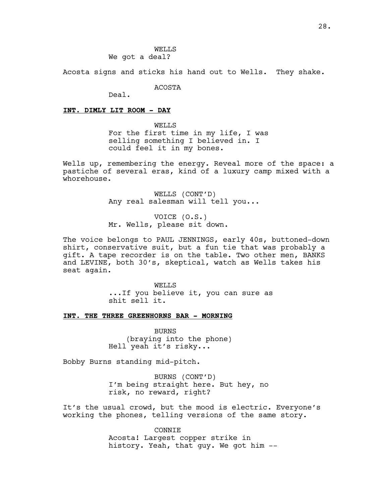Acosta signs and sticks his hand out to Wells. They shake.

ACOSTA

Deal.

#### **INT. DIMLY LIT ROOM - DAY**

WELLS For the first time in my life, I was selling something I believed in. I could feel it in my bones.

Wells up, remembering the energy. Reveal more of the space: a pastiche of several eras, kind of a luxury camp mixed with a whorehouse.

> WELLS (CONT'D) Any real salesman will tell you...

VOICE (O.S.) Mr. Wells, please sit down.

The voice belongs to PAUL JENNINGS, early 40s, buttoned-down shirt, conservative suit, but a fun tie that was probably a gift. A tape recorder is on the table. Two other men, BANKS and LEVINE, both 30's, skeptical, watch as Wells takes his seat again.

> WELLS ...If you believe it, you can sure as shit sell it.

**INT. THE THREE GREENHORNS BAR - MORNING**

BURNS (braying into the phone) Hell yeah it's risky...

Bobby Burns standing mid-pitch.

BURNS (CONT'D) I'm being straight here. But hey, no risk, no reward, right?

It's the usual crowd, but the mood is electric. Everyone's working the phones, telling versions of the same story.

> CONNIE Acosta! Largest copper strike in history. Yeah, that guy. We got him --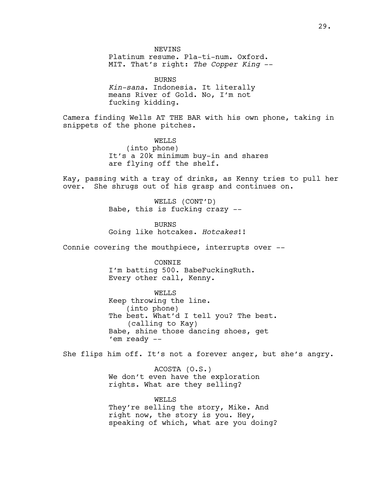**NEVINS** 

Platinum resume. Pla-ti-num. Oxford. MIT. That's right: *The Copper King* --

BURNS *Kin-sana*. Indonesia. It literally means River of Gold. No, I'm not fucking kidding.

Camera finding Wells AT THE BAR with his own phone, taking in snippets of the phone pitches.

> WELLS (into phone) It's a 20k minimum buy-in and shares are flying off the shelf.

Kay, passing with a tray of drinks, as Kenny tries to pull her over. She shrugs out of his grasp and continues on.

> WELLS (CONT'D) Babe, this is fucking crazy --

BURNS Going like hotcakes. *Hotcakes*!!

Connie covering the mouthpiece, interrupts over --

CONNIE I'm batting 500. BabeFuckingRuth. Every other call, Kenny.

WELLS

Keep throwing the line. (into phone) The best. What'd I tell you? The best. (calling to Kay) Babe, shine those dancing shoes, get 'em ready --

She flips him off. It's not a forever anger, but she's angry.

ACOSTA (O.S.) We don't even have the exploration rights. What are they selling?

WELLS They're selling the story, Mike. And right now, the story is you. Hey, speaking of which, what are you doing?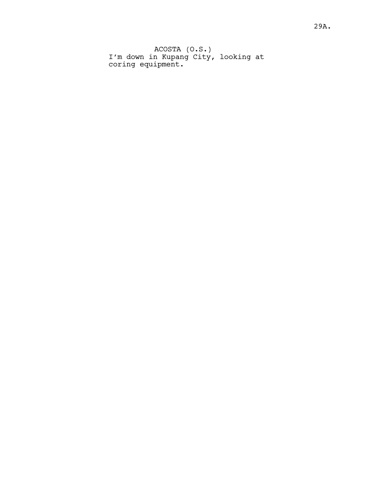ACOSTA (O.S.) I'm down in Kupang City, looking at coring equipment.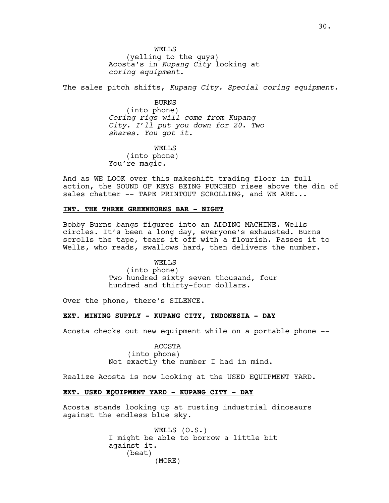WELLS (yelling to the guys) Acosta's in *Kupang City* looking at *coring equipment*.

The sales pitch shifts, *Kupang City. Special coring equipment.* 

BURNS (into phone) *Coring rigs will come from Kupang City*. *I'll put you down for 20. Two shares. You got it.*

WELLS (into phone) You're magic*.* 

And as WE LOOK over this makeshift trading floor in full action, the SOUND OF KEYS BEING PUNCHED rises above the din of sales chatter -- TAPE PRINTOUT SCROLLING, and WE ARE...

### **INT. THE THREE GREENHORNS BAR - NIGHT**

Bobby Burns bangs figures into an ADDING MACHINE. Wells circles. It's been a long day, everyone's exhausted. Burns scrolls the tape, tears it off with a flourish. Passes it to Wells, who reads, swallows hard, then delivers the number.

> WELLS (into phone) Two hundred sixty seven thousand, four hundred and thirty-four dollars.

Over the phone, there's SILENCE.

### **EXT. MINING SUPPLY - KUPANG CITY, INDONESIA - DAY**

Acosta checks out new equipment while on a portable phone --

ACOSTA (into phone) Not exactly the number I had in mind.

Realize Acosta is now looking at the USED EQUIPMENT YARD.

# **EXT. USED EQUIPMENT YARD - KUPANG CITY - DAY**

Acosta stands looking up at rusting industrial dinosaurs against the endless blue sky.

> WELLS (O.S.) I might be able to borrow a little bit against it. (beat) (MORE)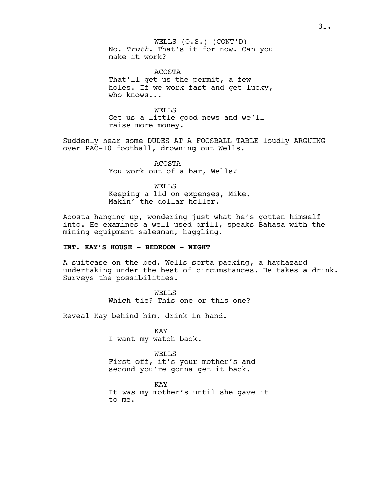WELLS (O.S.) (CONT'D) No. *Truth*. That's it for now. Can you make it work?

ACOSTA That'll get us the permit, a few holes. If we work fast and get lucky, who knows...

WELLS Get us a little good news and we'll raise more money.

Suddenly hear some DUDES AT A FOOSBALL TABLE loudly ARGUING over PAC-10 football, drowning out Wells.

> ACOSTA You work out of a bar, Wells?

WELLS Keeping a lid on expenses, Mike. Makin' the dollar holler.

Acosta hanging up, wondering just what he's gotten himself into. He examines a well-used drill, speaks Bahasa with the mining equipment salesman, haggling.

### **INT. KAY'S HOUSE - BEDROOM - NIGHT**

A suitcase on the bed. Wells sorta packing, a haphazard undertaking under the best of circumstances. He takes a drink. Surveys the possibilities.

> WELLS Which tie? This one or this one?

Reveal Kay behind him, drink in hand.

KAY I want my watch back.

WELLS First off, it's your mother's and second you're gonna get it back.

KAY It *was* my mother's until she gave it to me.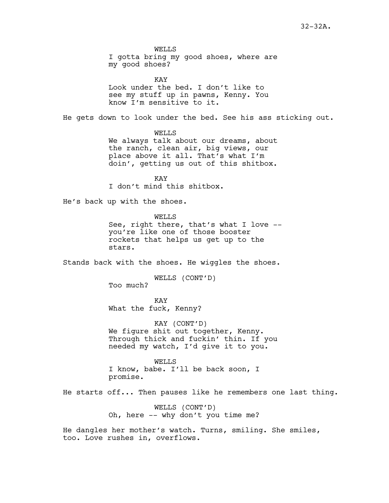WELLS I gotta bring my good shoes, where are my good shoes?

KAY Look under the bed. I don't like to see my stuff up in pawns, Kenny. You know I'm sensitive to it.

He gets down to look under the bed. See his ass sticking out.

WELLS We always talk about our dreams, about the ranch, clean air, big views, our place above it all. That's what I'm doin', getting us out of this shitbox.

KAY I don't mind this shitbox.

He's back up with the shoes.

WELLS See, right there, that's what I love - you're like one of those booster rockets that helps us get up to the stars.

Stands back with the shoes. He wiggles the shoes.

WELLS (CONT'D) Too much?

KAY What the fuck, Kenny?

KAY (CONT'D) We figure shit out together, Kenny. Through thick and fuckin' thin. If you needed my watch, I'd give it to you.

WELLS I know, babe. I'll be back soon, I promise.

He starts off... Then pauses like he remembers one last thing.

WELLS (CONT'D) Oh, here -- why don't you time me?

He dangles her mother's watch. Turns, smiling. She smiles, too. Love rushes in, overflows.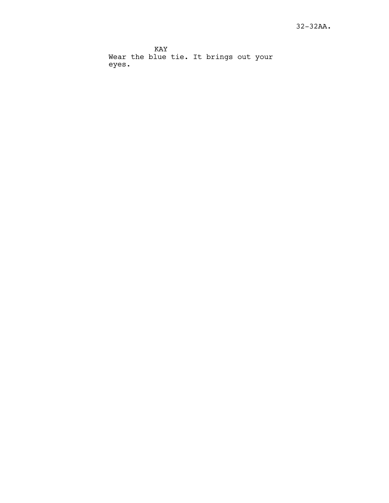KAY Wear the blue tie. It brings out your eyes.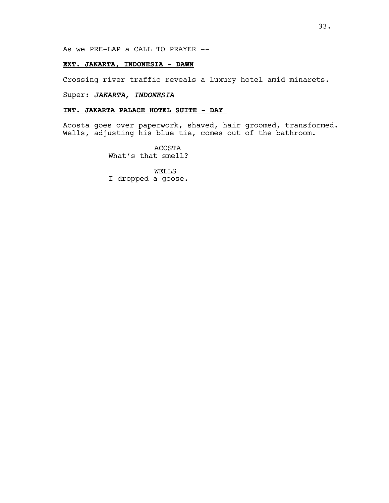As we PRE-LAP a CALL TO PRAYER --

# **EXT. JAKARTA, INDONESIA - DAWN**

Crossing river traffic reveals a luxury hotel amid minarets.

# Super: *JAKARTA, INDONESIA*

# **INT. JAKARTA PALACE HOTEL SUITE - DAY**

Acosta goes over paperwork, shaved, hair groomed, transformed. Wells, adjusting his blue tie, comes out of the bathroom.

> ACOSTA What's that smell?

WELLS I dropped a goose.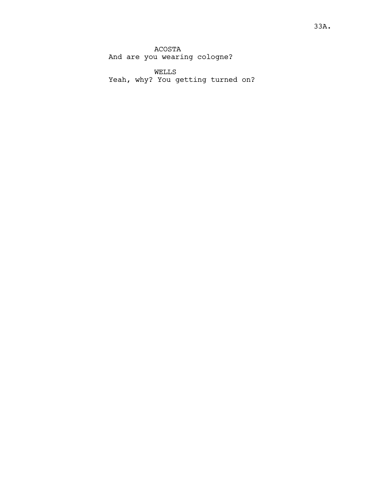ACOSTA And are you wearing cologne?

WELLS Yeah, why? You getting turned on?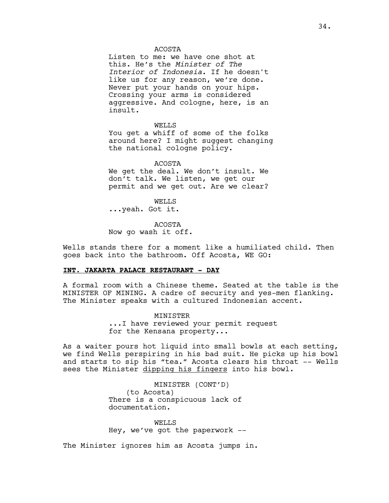#### ACOSTA

Listen to me: we have one shot at this. He's the *Minister of The Interior of Indonesia*. If he doesn't like us for any reason, we're done. Never put your hands on your hips. Crossing your arms is considered aggressive. And cologne, here, is an insult.

#### WELLS

You get a whiff of some of the folks around here? I might suggest changing the national cologne policy.

ACOSTA We get the deal. We don't insult. We don't talk. We listen, we get our

permit and we get out. Are we clear?

WELLS ...yeah. Got it.

ACOSTA Now go wash it off.

Wells stands there for a moment like a humiliated child. Then goes back into the bathroom. Off Acosta, WE GO:

# **INT. JAKARTA PALACE RESTAURANT - DAY**

A formal room with a Chinese theme. Seated at the table is the MINISTER OF MINING. A cadre of security and yes-men flanking. The Minister speaks with a cultured Indonesian accent.

> MINISTER ...I have reviewed your permit request for the Kensana property...

As a waiter pours hot liquid into small bowls at each setting, we find Wells perspiring in his bad suit. He picks up his bowl and starts to sip his "tea." Acosta clears his throat -- Wells sees the Minister dipping his fingers into his bowl.

> MINISTER (CONT'D) (to Acosta) There is a conspicuous lack of documentation.

WELLS Hey, we've got the paperwork --

The Minister ignores him as Acosta jumps in.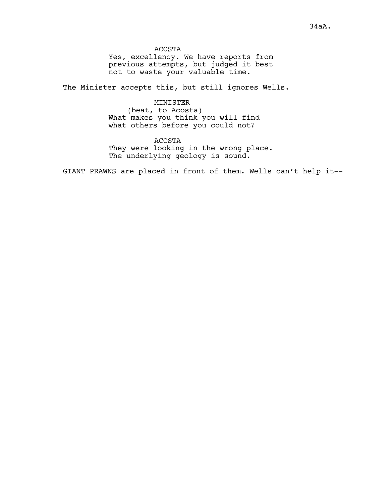ACOSTA Yes, excellency. We have reports from previous attempts, but judged it best not to waste your valuable time.

The Minister accepts this, but still ignores Wells.

#### MINISTER

(beat, to Acosta) What makes you think you will find what others before you could not?

ACOSTA They were looking in the wrong place. The underlying geology is sound.

GIANT PRAWNS are placed in front of them. Wells can't help it--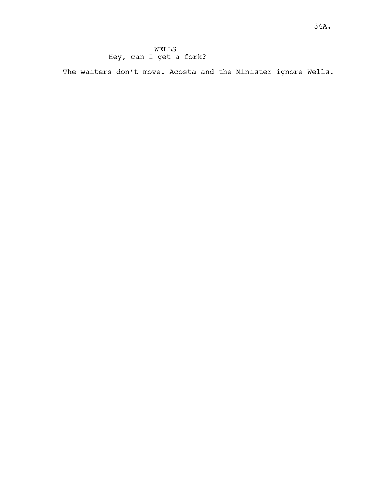# WELLS Hey, can I get a fork?

The waiters don't move. Acosta and the Minister ignore Wells.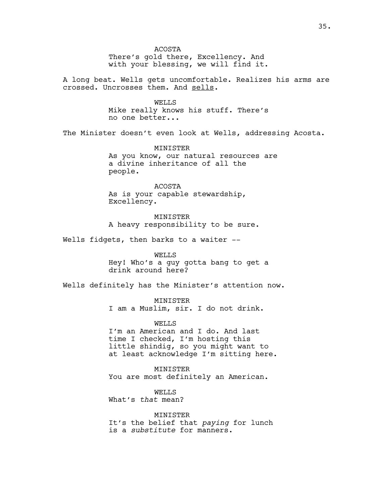ACOSTA There's gold there, Excellency. And with your blessing, we will find it. A long beat. Wells gets uncomfortable. Realizes his arms are crossed. Uncrosses them. And sells. WELLS Mike really knows his stuff. There's no one better... The Minister doesn't even look at Wells, addressing Acosta. MINISTER As you know, our natural resources are a divine inheritance of all the people. ACOSTA As is your capable stewardship, Excellency. MINISTER A heavy responsibility to be sure. Wells fidgets, then barks to a waiter --WELLS Hey! Who's a guy gotta bang to get a drink around here? Wells definitely has the Minister's attention now. MINISTER I am a Muslim, sir. I do not drink. **WELLS** I'm an American and I do. And last time I checked, I'm hosting this little shindig, so you might want to at least acknowledge I'm sitting here. MINISTER You are most definitely an American. WELLS What's *that* mean? MINISTER It's the belief that *paying* for lunch is a *substitute* for manners.

35.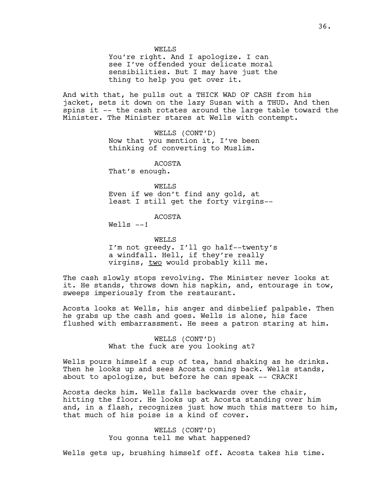WELLS

You're right. And I apologize. I can see I've offended your delicate moral sensibilities. But I may have just the thing to help you get over it.

And with that, he pulls out a THICK WAD OF CASH from his jacket, sets it down on the lazy Susan with a THUD. And then spins it -- the cash rotates around the large table toward the Minister. The Minister stares at Wells with contempt.

> WELLS (CONT'D) Now that you mention it, I've been thinking of converting to Muslim.

ACOSTA That's enough.

WELLS Even if we don't find any gold, at least I still get the forty virgins--

# ACOSTA

Wells  $--!$ 

WELLS I'm not greedy. I'll go half--twenty's a windfall. Hell, if they're really virgins, two would probably kill me.

The cash slowly stops revolving. The Minister never looks at it. He stands, throws down his napkin, and, entourage in tow, sweeps imperiously from the restaurant.

Acosta looks at Wells, his anger and disbelief palpable. Then he grabs up the cash and goes. Wells is alone, his face flushed with embarrassment. He sees a patron staring at him.

> WELLS (CONT'D) What the fuck are you looking at?

Wells pours himself a cup of tea, hand shaking as he drinks. Then he looks up and sees Acosta coming back. Wells stands, about to apologize, but before he can speak -- CRACK!

Acosta decks him. Wells falls backwards over the chair, hitting the floor. He looks up at Acosta standing over him and, in a flash, recognizes just how much this matters to him, that much of his poise is a kind of cover.

> WELLS (CONT'D) You gonna tell me what happened?

Wells gets up, brushing himself off. Acosta takes his time.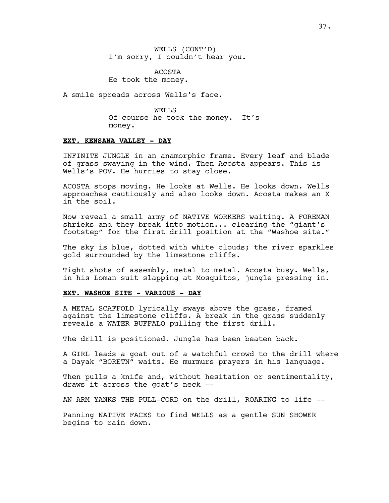WELLS (CONT'D) I'm sorry, I couldn't hear you.

ACOSTA He took the money.

A smile spreads across Wells's face.

WELLS Of course he took the money. It's money.

### **EXT. KENSANA VALLEY - DAY**

INFINITE JUNGLE in an anamorphic frame. Every leaf and blade of grass swaying in the wind. Then Acosta appears. This is Wells's POV. He hurries to stay close.

ACOSTA stops moving. He looks at Wells. He looks down. Wells approaches cautiously and also looks down. Acosta makes an X in the soil.

Now reveal a small army of NATIVE WORKERS waiting. A FOREMAN shrieks and they break into motion... clearing the "giant's footstep" for the first drill position at the "Washoe site."

The sky is blue, dotted with white clouds; the river sparkles gold surrounded by the limestone cliffs.

Tight shots of assembly, metal to metal. Acosta busy. Wells, in his Loman suit slapping at Mosquitos, jungle pressing in.

# **EXT. WASHOE SITE - VARIOUS - DAY**

A METAL SCAFFOLD lyrically sways above the grass, framed against the limestone cliffs. A break in the grass suddenly reveals a WATER BUFFALO pulling the first drill.

The drill is positioned. Jungle has been beaten back.

A GIRL leads a goat out of a watchful crowd to the drill where a Dayak "BORETN" waits. He murmurs prayers in his language.

Then pulls a knife and, without hesitation or sentimentality, draws it across the goat's neck --

AN ARM YANKS THE PULL-CORD on the drill, ROARING to life --

Panning NATIVE FACES to find WELLS as a gentle SUN SHOWER begins to rain down.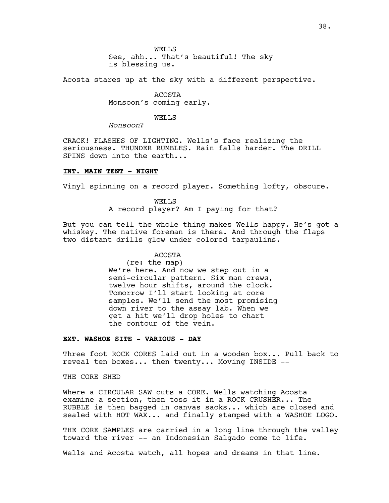WELLS See, ahh... That's beautiful! The sky is blessing us.

Acosta stares up at the sky with a different perspective.

ACOSTA Monsoon's coming early.

WELLS

*Monsoon*?

CRACK! FLASHES OF LIGHTING. Wells's face realizing the seriousness. THUNDER RUMBLES. Rain falls harder. The DRILL SPINS down into the earth...

# **INT. MAIN TENT - NIGHT**

Vinyl spinning on a record player. Something lofty, obscure.

WELLS A record player? Am I paying for that?

But you can tell the whole thing makes Wells happy. He's got a whiskey. The native foreman is there. And through the flaps two distant drills glow under colored tarpaulins.

# ACOSTA

(re: the map) We're here. And now we step out in a semi-circular pattern. Six man crews, twelve hour shifts, around the clock. Tomorrow I'll start looking at core samples. We'll send the most promising down river to the assay lab. When we get a hit we'll drop holes to chart the contour of the vein.

# **EXT. WASHOE SITE - VARIOUS - DAY**

Three foot ROCK CORES laid out in a wooden box... Pull back to reveal ten boxes... then twenty... Moving INSIDE --

# THE CORE SHED

Where a CIRCULAR SAW cuts a CORE. Wells watching Acosta examine a section, then toss it in a ROCK CRUSHER... The RUBBLE is then bagged in canvas sacks... which are closed and sealed with HOT WAX... and finally stamped with a WASHOE LOGO.

THE CORE SAMPLES are carried in a long line through the valley toward the river -- an Indonesian Salgado come to life.

Wells and Acosta watch, all hopes and dreams in that line.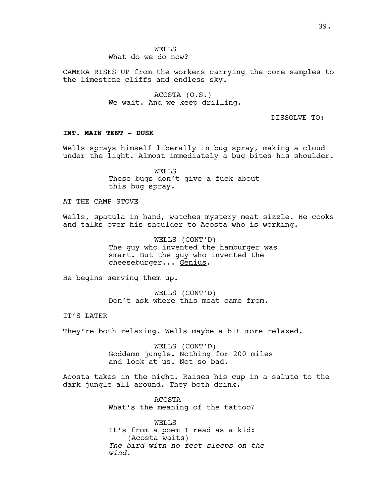WELLS What do we do now?

CAMERA RISES UP from the workers carrying the core samples to the limestone cliffs and endless sky.

> ACOSTA (O.S.) We wait. And we keep drilling.

> > DISSOLVE TO:

### **INT. MAIN TENT - DUSK**

Wells sprays himself liberally in bug spray, making a cloud under the light. Almost immediately a bug bites his shoulder.

> WELLS These bugs don't give a fuck about this bug spray.

AT THE CAMP STOVE

Wells, spatula in hand, watches mystery meat sizzle. He cooks and talks over his shoulder to Acosta who is working.

> WELLS (CONT'D) The guy who invented the hamburger was smart. But the guy who invented the cheeseburger... Genius.

He begins serving them up.

WELLS (CONT'D) Don't ask where this meat came from.

IT'S LATER

They're both relaxing. Wells maybe a bit more relaxed.

WELLS (CONT'D) Goddamn jungle. Nothing for 200 miles and look at us. Not so bad.

Acosta takes in the night. Raises his cup in a salute to the dark jungle all around. They both drink.

> ACOSTA What's the meaning of the tattoo?

WELLS It's from a poem I read as a kid: (Acosta waits) *The bird with no feet sleeps on the wind*.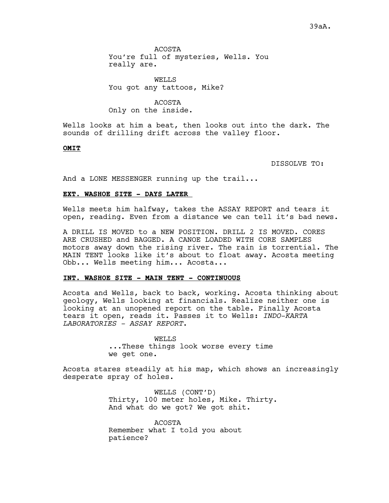ACOSTA You're full of mysteries, Wells. You really are.

WELLS You got any tattoos, Mike?

ACOSTA Only on the inside.

Wells looks at him a beat, then looks out into the dark. The sounds of drilling drift across the valley floor.

#### **OMIT**

DISSOLVE TO:

And a LONE MESSENGER running up the trail...

#### **EXT. WASHOE SITE - DAYS LATER**

Wells meets him halfway, takes the ASSAY REPORT and tears it open, reading. Even from a distance we can tell it's bad news.

A DRILL IS MOVED to a NEW POSITION. DRILL 2 IS MOVED. CORES ARE CRUSHED and BAGGED. A CANOE LOADED WITH CORE SAMPLES motors away down the rising river. The rain is torrential. The MAIN TENT looks like it's about to float away. Acosta meeting Obb... Wells meeting him... Acosta...

#### **INT. WASHOE SITE - MAIN TENT - CONTINUOUS**

Acosta and Wells, back to back, working. Acosta thinking about geology, Wells looking at financials. Realize neither one is looking at an unopened report on the table. Finally Acosta tears it open, reads it. Passes it to Wells: *INDO-KARTA LABORATORIES - ASSAY REPORT*.

> WELLS ...These things look worse every time we get one.

Acosta stares steadily at his map, which shows an increasingly desperate spray of holes.

> WELLS (CONT'D) Thirty, 100 meter holes, Mike. Thirty. And what do we got? We got shit.

ACOSTA Remember what I told you about patience?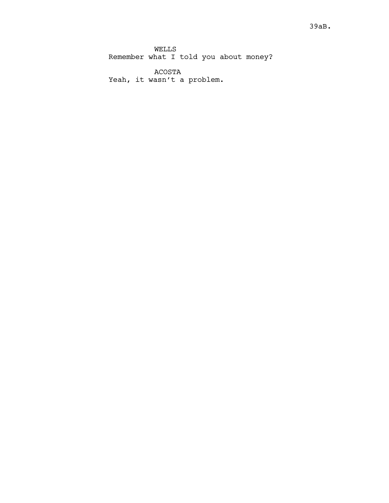WELLS Remember what I told you about money?

ACOSTA Yeah, it wasn't a problem.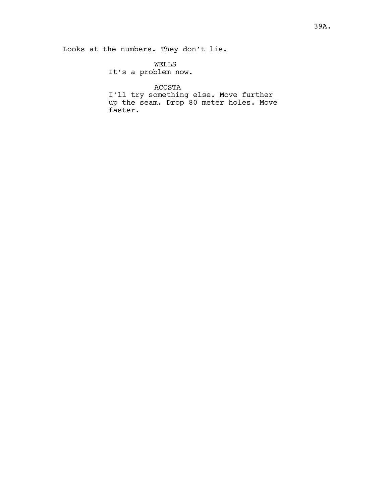WELLS It's a problem now.

# ACOSTA

I'll try something else. Move further up the seam. Drop 80 meter holes. Move faster.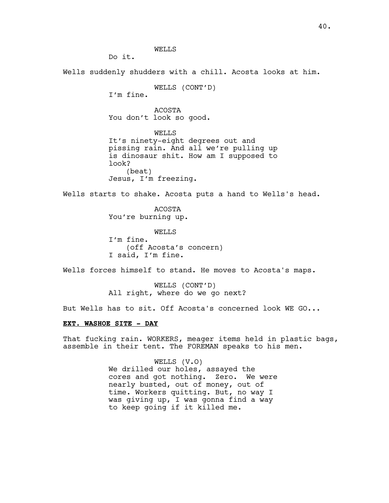WELLS

Do it.

Wells suddenly shudders with a chill. Acosta looks at him.

WELLS (CONT'D)

I'm fine.

ACOSTA You don't look so good.

WELLS It's ninety-eight degrees out and pissing rain. And all we're pulling up is dinosaur shit. How am I supposed to look? (beat) Jesus, I'm freezing.

Wells starts to shake. Acosta puts a hand to Wells's head.

ACOSTA You're burning up.

WELL<sub>S</sub> I'm fine. (off Acosta's concern) I said, I'm fine.

Wells forces himself to stand. He moves to Acosta's maps.

WELLS (CONT'D) All right, where do we go next?

But Wells has to sit. Off Acosta's concerned look WE GO...

#### **EXT. WASHOE SITE - DAY**

That fucking rain. WORKERS, meager items held in plastic bags, assemble in their tent. The FOREMAN speaks to his men.

> WELLS (V.O) We drilled our holes, assayed the cores and got nothing. Zero. We were nearly busted, out of money, out of time. Workers quitting. But, no way I was giving up, I was gonna find a way to keep going if it killed me.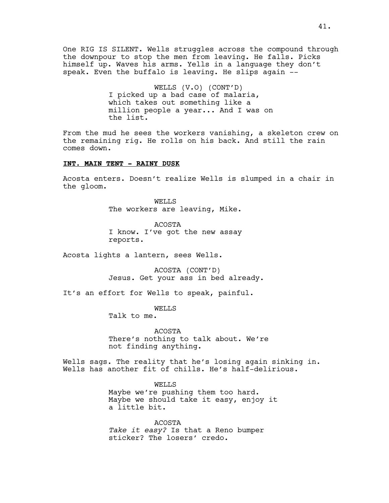One RIG IS SILENT. Wells struggles across the compound through the downpour to stop the men from leaving. He falls. Picks himself up. Waves his arms. Yells in a language they don't speak. Even the buffalo is leaving. He slips again --

> WELLS (V.O) (CONT'D) I picked up a bad case of malaria, which takes out something like a million people a year... And I was on the list.

From the mud he sees the workers vanishing, a skeleton crew on the remaining rig. He rolls on his back. And still the rain comes down.

#### **INT. MAIN TENT - RAINY DUSK**

Acosta enters. Doesn't realize Wells is slumped in a chair in the gloom.

> WELLS The workers are leaving, Mike.

ACOSTA I know. I've got the new assay reports.

Acosta lights a lantern, sees Wells.

ACOSTA (CONT'D) Jesus. Get your ass in bed already.

It's an effort for Wells to speak, painful.

WELLS

Talk to me.

ACOSTA There's nothing to talk about. We're not finding anything.

Wells sags. The reality that he's losing again sinking in. Wells has another fit of chills. He's half-delirious.

> WELLS Maybe we're pushing them too hard. Maybe we should take it easy, enjoy it a little bit.

ACOSTA *Take it easy?* Is that a Reno bumper sticker? The losers' credo.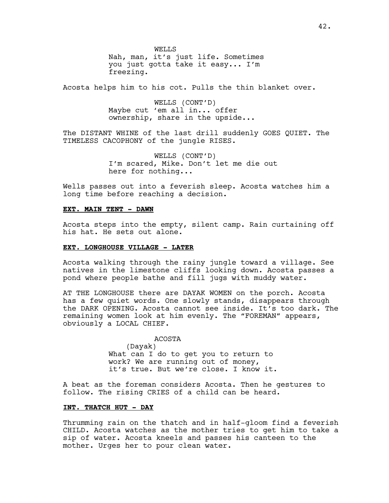WELLS Nah, man, it's just life. Sometimes you just gotta take it easy... I'm freezing.

Acosta helps him to his cot. Pulls the thin blanket over.

WELLS (CONT'D) Maybe cut 'em all in... offer ownership, share in the upside...

The DISTANT WHINE of the last drill suddenly GOES QUIET. The TIMELESS CACOPHONY of the jungle RISES.

> WELLS (CONT'D) I'm scared, Mike. Don't let me die out here for nothing...

Wells passes out into a feverish sleep. Acosta watches him a long time before reaching a decision.

## **EXT. MAIN TENT - DAWN**

Acosta steps into the empty, silent camp. Rain curtaining off his hat. He sets out alone.

#### **EXT. LONGHOUSE VILLAGE - LATER**

Acosta walking through the rainy jungle toward a village. See natives in the limestone cliffs looking down. Acosta passes a pond where people bathe and fill jugs with muddy water.

AT THE LONGHOUSE there are DAYAK WOMEN on the porch. Acosta has a few quiet words. One slowly stands, disappears through the DARK OPENING. Acosta cannot see inside. It's too dark. The remaining women look at him evenly. The "FOREMAN" appears, obviously a LOCAL CHIEF.

> ACOSTA (Dayak) What can I do to get you to return to work? We are running out of money, it's true. But we're close. I know it.

A beat as the foreman considers Acosta. Then he gestures to follow. The rising CRIES of a child can be heard.

#### **INT. THATCH HUT - DAY**

Thrumming rain on the thatch and in half-gloom find a feverish CHILD. Acosta watches as the mother tries to get him to take a sip of water. Acosta kneels and passes his canteen to the mother. Urges her to pour clean water.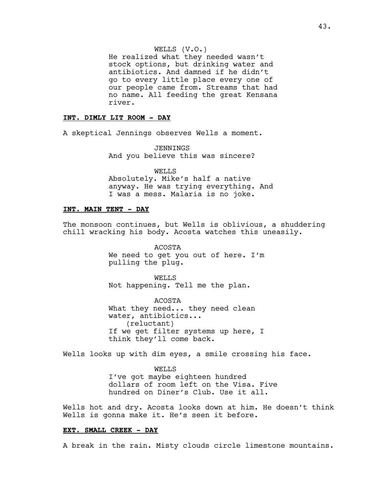He realized what they needed wasn't stock options, but drinking water and antibiotics. And damned if he didn't go to every little place every one of our people came from. Streams that had no name. All feeding the great Kensana river.

# **INT. DIMLY LIT ROOM - DAY**

A skeptical Jennings observes Wells a moment.

JENNINGS And you believe this was sincere?

WELLS Absolutely. Mike's half a native anyway. He was trying everything. And I was a mess. Malaria is no joke.

## **INT. MAIN TENT - DAY**

The monsoon continues, but Wells is oblivious, a shuddering chill wracking his body. Acosta watches this uneasily.

> ACOSTA We need to get you out of here. I'm pulling the plug.

WELLS Not happening. Tell me the plan.

ACOSTA What they need... they need clean water, antibiotics... (reluctant) If we get filter systems up here, I think they'll come back.

Wells looks up with dim eyes, a smile crossing his face.

WELLS I've got maybe eighteen hundred dollars of room left on the Visa. Five hundred on Diner's Club. Use it all.

Wells hot and dry. Acosta looks down at him. He doesn't think Wells is gonna make it. He's seen it before.

#### **EXT. SMALL CREEK - DAY**

A break in the rain. Misty clouds circle limestone mountains.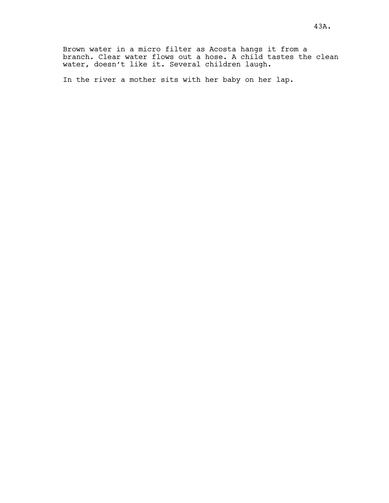Brown water in a micro filter as Acosta hangs it from a branch. Clear water flows out a hose. A child tastes the clean water, doesn't like it. Several children laugh.

In the river a mother sits with her baby on her lap.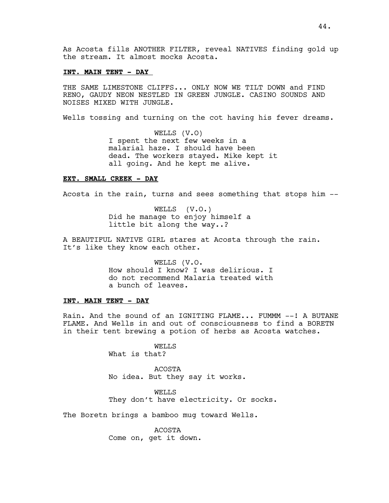As Acosta fills ANOTHER FILTER, reveal NATIVES finding gold up the stream. It almost mocks Acosta.

#### **INT. MAIN TENT - DAY**

THE SAME LIMESTONE CLIFFS... ONLY NOW WE TILT DOWN and FIND RENO, GAUDY NEON NESTLED IN GREEN JUNGLE. CASINO SOUNDS AND NOISES MIXED WITH JUNGLE.

Wells tossing and turning on the cot having his fever dreams.

WELLS (V.O) I spent the next few weeks in a malarial haze. I should have been dead. The workers stayed. Mike kept it all going. And he kept me alive.

#### **EXT. SMALL CREEK - DAY**

Acosta in the rain, turns and sees something that stops him --

WELLS (V.O.) Did he manage to enjoy himself a little bit along the way..?

A BEAUTIFUL NATIVE GIRL stares at Acosta through the rain. It's like they know each other.

> WELLS (V.O. How should I know? I was delirious. I do not recommend Malaria treated with a bunch of leaves.

# **INT. MAIN TENT - DAY**

Rain. And the sound of an IGNITING FLAME... FUMMM --! A BUTANE FLAME. And Wells in and out of consciousness to find a BORETN in their tent brewing a potion of herbs as Acosta watches.

> WELLS What is that?

ACOSTA No idea. But they say it works.

WELLS They don't have electricity. Or socks.

The Boretn brings a bamboo mug toward Wells.

ACOSTA Come on, get it down.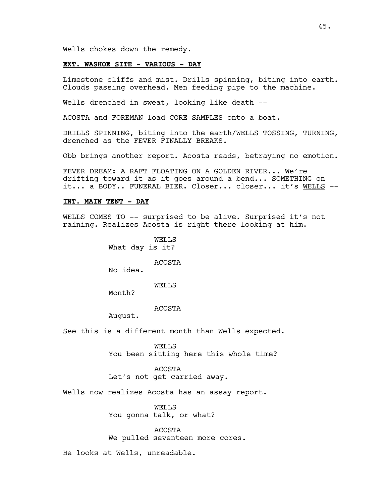Wells chokes down the remedy.

# **EXT. WASHOE SITE - VARIOUS - DAY**

Limestone cliffs and mist. Drills spinning, biting into earth. Clouds passing overhead. Men feeding pipe to the machine.

Wells drenched in sweat, looking like death --

ACOSTA and FOREMAN load CORE SAMPLES onto a boat.

DRILLS SPINNING, biting into the earth/WELLS TOSSING, TURNING, drenched as the FEVER FINALLY BREAKS.

Obb brings another report. Acosta reads, betraying no emotion.

FEVER DREAM: A RAFT FLOATING ON A GOLDEN RIVER... We're drifting toward it as it goes around a bend... SOMETHING on it... a BODY.. FUNERAL BIER. Closer... closer... it's WELLS --

#### **INT. MAIN TENT - DAY**

WELLS COMES TO -- surprised to be alive. Surprised it's not raining. Realizes Acosta is right there looking at him.

> WELLS What day is it?

> > ACOSTA

No idea.

**WELLS** 

Month?

# ACOSTA

August.

See this is a different month than Wells expected.

WELLS You been sitting here this whole time?

ACOSTA Let's not get carried away.

Wells now realizes Acosta has an assay report.

WELLS You gonna talk, or what?

ACOSTA We pulled seventeen more cores.

He looks at Wells, unreadable.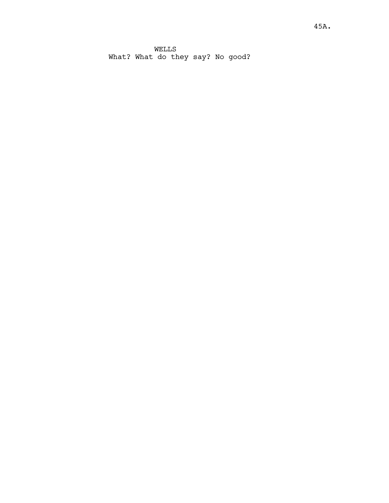WELLS What? What do they say? No good?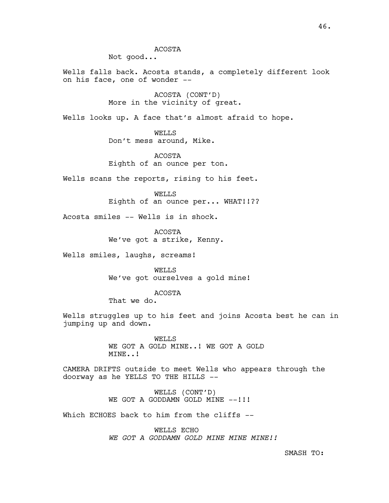Not good...

Wells falls back. Acosta stands, a completely different look on his face, one of wonder --

> ACOSTA (CONT'D) More in the vicinity of great.

Wells looks up. A face that's almost afraid to hope.

WELLS Don't mess around, Mike.

ACOSTA Eighth of an ounce per ton.

Wells scans the reports, rising to his feet.

WELLS Eighth of an ounce per... WHAT!!??

Acosta smiles -- Wells is in shock.

ACOSTA We've got a strike, Kenny.

Wells smiles, laughs, screams!

WELLS We've got ourselves a gold mine!

ACOSTA

That we do.

Wells struggles up to his feet and joins Acosta best he can in jumping up and down.

> WELLS WE GOT A GOLD MINE..! WE GOT A GOLD MINE..!

CAMERA DRIFTS outside to meet Wells who appears through the doorway as he YELLS TO THE HILLS --

> WELLS (CONT'D) WE GOT A GODDAMN GOLD MINE --!!!

Which ECHOES back to him from the cliffs --

WELLS ECHO *WE GOT A GODDAMN GOLD MINE MINE MINE!!*

SMASH TO: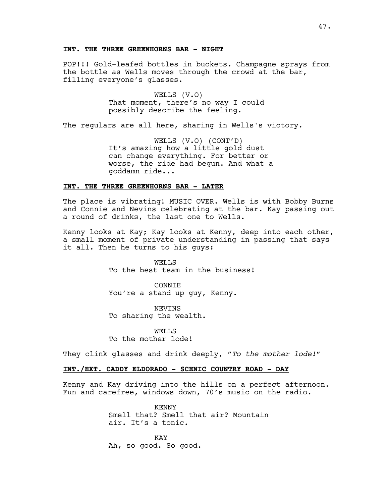#### **INT. THE THREE GREENHORNS BAR - NIGHT**

POP!!! Gold-leafed bottles in buckets. Champagne sprays from the bottle as Wells moves through the crowd at the bar, filling everyone's glasses.

> WELLS (V.O) That moment, there's no way I could possibly describe the feeling.

The regulars are all here, sharing in Wells's victory.

WELLS (V.O) (CONT'D) It's amazing how a little gold dust can change everything. For better or worse, the ride had begun. And what a goddamn ride...

#### **INT. THE THREE GREENHORNS BAR - LATER**

The place is vibrating! MUSIC OVER. Wells is with Bobby Burns and Connie and Nevins celebrating at the bar. Kay passing out a round of drinks, the last one to Wells.

Kenny looks at Kay; Kay looks at Kenny, deep into each other, a small moment of private understanding in passing that says it all. Then he turns to his guys:

> WELLS To the best team in the business!

CONNIE You're a stand up guy, Kenny.

NEVINS To sharing the wealth.

WELLS To the mother lode!

They clink glasses and drink deeply, *"To the mother lode!"*

# **INT./EXT. CADDY ELDORADO - SCENIC COUNTRY ROAD - DAY**

Kenny and Kay driving into the hills on a perfect afternoon. Fun and carefree, windows down, 70's music on the radio.

> KENNY Smell that? Smell that air? Mountain air. It's a tonic.

KAY Ah, so good. So good.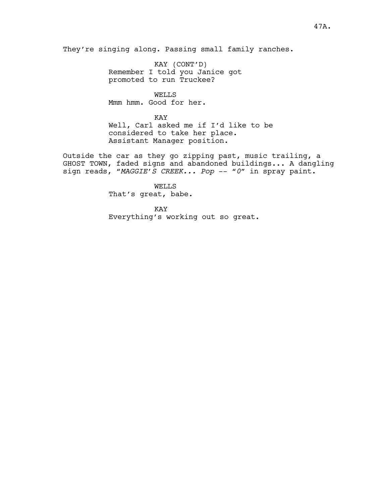They're singing along. Passing small family ranches.

KAY (CONT'D) Remember I told you Janice got promoted to run Truckee?

WELLS Mmm hmm. Good for her.

KAY Well, Carl asked me if I'd like to be considered to take her place. Assistant Manager position.

Outside the car as they go zipping past, music trailing, a GHOST TOWN, faded signs and abandoned buildings... A dangling sign reads, "*MAGGIE'S CREEK... Pop* -- "*0*" in spray paint.

> WELLS That's great, babe.

KAY Everything's working out so great.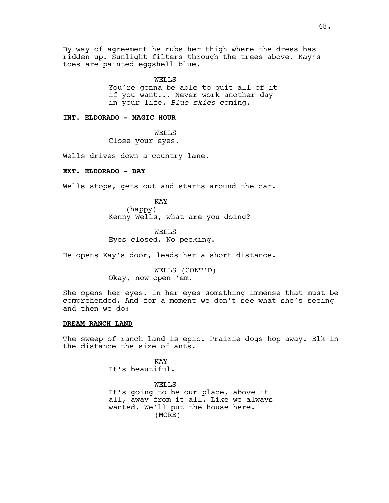By way of agreement he rubs her thigh where the dress has ridden up. Sunlight filters through the trees above. Kay's toes are painted eggshell blue.

> WELLS You're gonna be able to quit all of it if you want... Never work another day in your life. *Blue skies* coming*.*

# **INT. ELDORADO - MAGIC HOUR**

WELLS Close your eyes.

Wells drives down a country lane.

# **EXT. ELDORADO - DAY**

Wells stops, gets out and starts around the car.

KAY (happy) Kenny Wells, what are you doing?

WELLS Eyes closed. No peeking.

He opens Kay's door, leads her a short distance.

WELLS (CONT'D) Okay, now open 'em.

She opens her eyes. In her eyes something immense that must be comprehended. And for a moment we don't see what she's seeing and then we do:

#### **DREAM RANCH LAND**

The sweep of ranch land is epic. Prairie dogs hop away. Elk in the distance the size of ants.

> KAY It's beautiful.

WELLS It's going to be our place, above it all, away from it all. Like we always wanted. We'll put the house here. (MORE)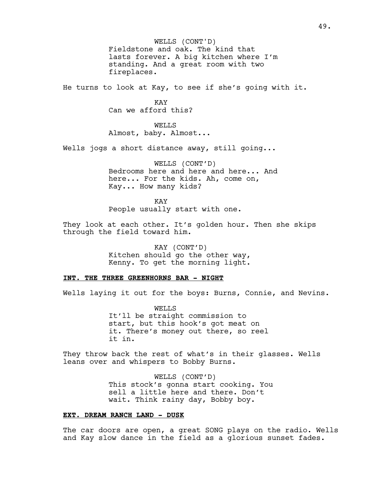WELLS (CONT'D) Fieldstone and oak. The kind that lasts forever. A big kitchen where I'm standing. And a great room with two fireplaces.

He turns to look at Kay, to see if she's going with it.

**KAY** Can we afford this?

WELLS Almost, baby. Almost...

Wells jogs a short distance away, still going...

WELLS (CONT'D) Bedrooms here and here and here... And here... For the kids. Ah, come on, Kay... How many kids?

KAY People usually start with one.

They look at each other. It's golden hour. Then she skips through the field toward him.

> KAY (CONT'D) Kitchen should go the other way, Kenny. To get the morning light.

#### **INT. THE THREE GREENHORNS BAR - NIGHT**

Wells laying it out for the boys: Burns, Connie, and Nevins.

WELLS It'll be straight commission to start, but this hook's got meat on it. There's money out there, so reel it in.

They throw back the rest of what's in their glasses. Wells leans over and whispers to Bobby Burns.

> WELLS (CONT'D) This stock's gonna start cooking. You sell a little here and there. Don't wait. Think rainy day, Bobby boy.

# **EXT. DREAM RANCH LAND - DUSK**

The car doors are open, a great SONG plays on the radio. Wells and Kay slow dance in the field as a glorious sunset fades.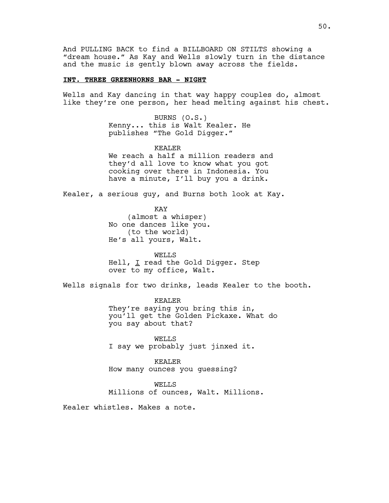And PULLING BACK to find a BILLBOARD ON STILTS showing a "dream house." As Kay and Wells slowly turn in the distance and the music is gently blown away across the fields.

#### **INT. THREE GREENHORNS BAR - NIGHT**

Wells and Kay dancing in that way happy couples do, almost like they're one person, her head melting against his chest.

> BURNS (O.S.) Kenny... this is Walt Kealer. He publishes "The Gold Digger."

KEALER We reach a half a million readers and they'd all love to know what you got cooking over there in Indonesia. You have a minute, I'll buy you a drink.

Kealer, a serious guy, and Burns both look at Kay.

KAY (almost a whisper) No one dances like you. (to the world) He's all yours, Walt.

WELLS Hell, I read the Gold Digger. Step over to my office, Walt.

Wells signals for two drinks, leads Kealer to the booth.

KEALER They're saying you bring this in, you'll get the Golden Pickaxe. What do you say about that?

WELLS I say we probably just jinxed it.

KEALER How many ounces you guessing?

WELLS

Millions of ounces, Walt. Millions.

Kealer whistles. Makes a note.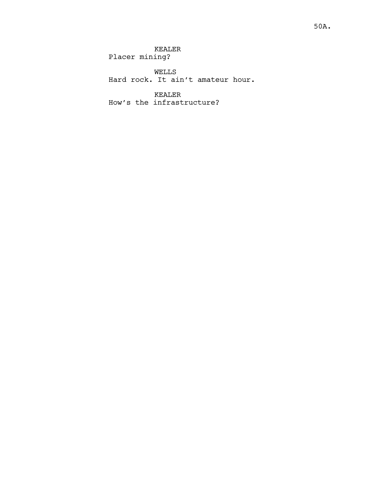WELLS Hard rock. It ain't amateur hour.

KEALER How's the infrastructure?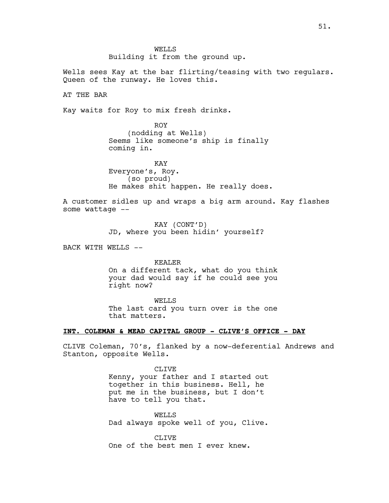WELLS Building it from the ground up.

Wells sees Kay at the bar flirting/teasing with two regulars. Queen of the runway. He loves this.

AT THE BAR

Kay waits for Roy to mix fresh drinks.

ROY (nodding at Wells) Seems like someone's ship is finally coming in.

KAY Everyone's, Roy. (so proud) He makes shit happen. He really does.

A customer sidles up and wraps a big arm around. Kay flashes some wattage --

> KAY (CONT'D) JD, where you been hidin' yourself?

BACK WITH WELLS --

KEALER

On a different tack, what do you think your dad would say if he could see you right now?

WELLS The last card you turn over is the one that matters.

### **INT. COLEMAN & MEAD CAPITAL GROUP - CLIVE'S OFFICE - DAY**

CLIVE Coleman, 70's, flanked by a now-deferential Andrews and Stanton, opposite Wells.

> CLIVE Kenny, your father and I started out together in this business. Hell, he put me in the business, but I don't have to tell you that.

> WELLS Dad always spoke well of you, Clive.

CLIVE One of the best men I ever knew.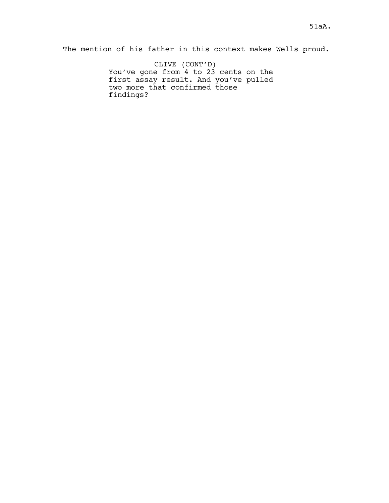The mention of his father in this context makes Wells proud.

CLIVE (CONT'D) You've gone from 4 to 23 cents on the first assay result. And you've pulled two more that confirmed those findings?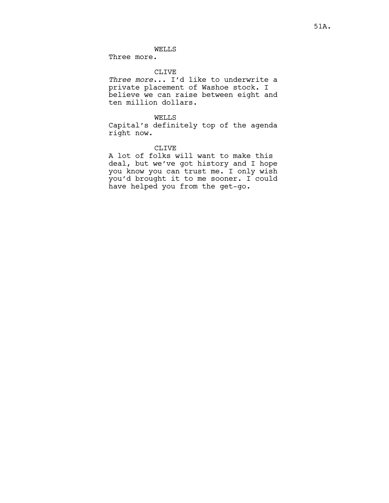# WELLS

Three more.

#### CLIVE

*Three more*... I'd like to underwrite a private placement of Washoe stock. I believe we can raise between eight and ten million dollars.

## WELLS

Capital's definitely top of the agenda right now.

# CLIVE

A lot of folks will want to make this deal, but we've got history and I hope you know you can trust me. I only wish you'd brought it to me sooner. I could have helped you from the get-go.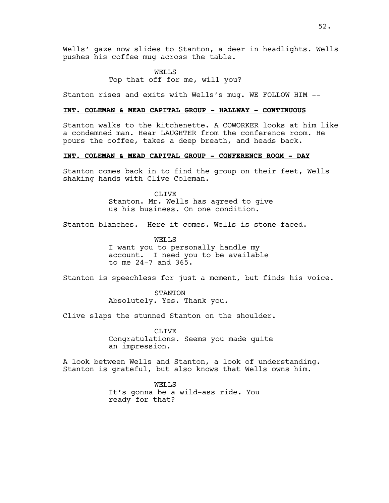Wells' gaze now slides to Stanton, a deer in headlights. Wells pushes his coffee mug across the table.

> WELLS Top that off for me, will you?

Stanton rises and exits with Wells's mug. WE FOLLOW HIM --

#### **INT. COLEMAN & MEAD CAPITAL GROUP - HALLWAY - CONTINUOUS**

Stanton walks to the kitchenette. A COWORKER looks at him like a condemned man. Hear LAUGHTER from the conference room. He pours the coffee, takes a deep breath, and heads back.

## **INT. COLEMAN & MEAD CAPITAL GROUP - CONFERENCE ROOM - DAY**

Stanton comes back in to find the group on their feet, Wells shaking hands with Clive Coleman.

> CLIVE Stanton. Mr. Wells has agreed to give us his business. On one condition.

Stanton blanches. Here it comes. Wells is stone-faced.

WELLS I want you to personally handle my account. I need you to be available to me 24-7 and 365.

Stanton is speechless for just a moment, but finds his voice.

STANTON Absolutely. Yes. Thank you.

Clive slaps the stunned Stanton on the shoulder.

CLIVE Congratulations. Seems you made quite an impression.

A look between Wells and Stanton, a look of understanding. Stanton is grateful, but also knows that Wells owns him.

> WELLS It's gonna be a wild-ass ride. You ready for that?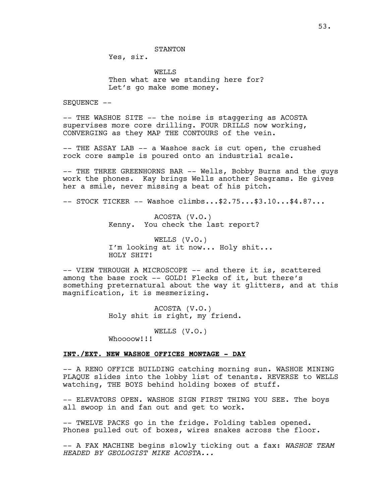STANTON

Yes, sir.

WELLS Then what are we standing here for? Let's go make some money.

SEOUENCE --

-- THE WASHOE SITE -- the noise is staggering as ACOSTA supervises more core drilling. FOUR DRILLS now working, CONVERGING as they MAP THE CONTOURS of the vein.

-- THE ASSAY LAB -- a Washoe sack is cut open, the crushed rock core sample is poured onto an industrial scale.

-- THE THREE GREENHORNS BAR -- Wells, Bobby Burns and the guys work the phones. Kay brings Wells another Seagrams. He gives her a smile, never missing a beat of his pitch.

-- STOCK TICKER -- Washoe climbs...\$2.75...\$3.10...\$4.87...

ACOSTA (V.O.) Kenny. You check the last report?

WELLS (V.O.) I'm looking at it now... Holy shit... HOLY SHIT!

-- VIEW THROUGH A MICROSCOPE -- and there it is, scattered among the base rock -- GOLD! Flecks of it, but there's something preternatural about the way it glitters, and at this magnification, it is mesmerizing.

> ACOSTA (V.O.) Holy shit is right, my friend.

> > WELLS (V.O.)

Whoooow!!!

## **INT./EXT. NEW WASHOE OFFICES MONTAGE - DAY**

-- A RENO OFFICE BUILDING catching morning sun. WASHOE MINING PLAQUE slides into the lobby list of tenants. REVERSE to WELLS watching, THE BOYS behind holding boxes of stuff.

-- ELEVATORS OPEN. WASHOE SIGN FIRST THING YOU SEE. The boys all swoop in and fan out and get to work.

-- TWELVE PACKS go in the fridge. Folding tables opened. Phones pulled out of boxes, wires snakes across the floor.

-- A FAX MACHINE begins slowly ticking out a fax: *WASHOE TEAM HEADED BY GEOLOGIST MIKE ACOSTA...*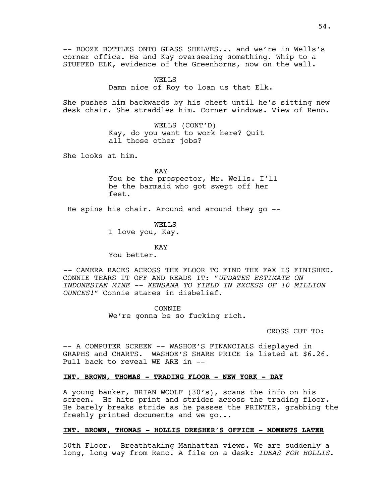-- BOOZE BOTTLES ONTO GLASS SHELVES... and we're in Wells's corner office. He and Kay overseeing something. Whip to a STUFFED ELK, evidence of the Greenhorns, now on the wall.

> WELLS Damn nice of Roy to loan us that Elk.

She pushes him backwards by his chest until he's sitting new desk chair. She straddles him. Corner windows. View of Reno.

> WELLS (CONT'D) Kay, do you want to work here? Quit all those other jobs?

She looks at him.

KAY You be the prospector, Mr. Wells. I'll be the barmaid who got swept off her feet.

He spins his chair. Around and around they go --

WELLS

I love you, Kay.

KAY You better.

*--* CAMERA RACES ACROSS THE FLOOR TO FIND THE FAX IS FINISHED. CONNIE TEARS IT OFF AND READS IT: "*UPDATES ESTIMATE ON INDONESIAN MINE -- KENSANA TO YIELD IN EXCESS OF 10 MILLION OUNCES!"* Connie stares in disbelief.

> CONNIE We're gonna be so fucking rich.

> > CROSS CUT TO:

-- A COMPUTER SCREEN -- WASHOE'S FINANCIALS displayed in GRAPHS and CHARTS. WASHOE'S SHARE PRICE is listed at \$6.26. Pull back to reveal WE ARE in --

# **INT. BROWN, THOMAS - TRADING FLOOR - NEW YORK - DAY**

A young banker, BRIAN WOOLF (30's), scans the info on his screen. He hits print and strides across the trading floor. He barely breaks stride as he passes the PRINTER, grabbing the freshly printed documents and we go...

# **INT. BROWN, THOMAS - HOLLIS DRESHER'S OFFICE - MOMENTS LATER**

50th Floor. Breathtaking Manhattan views. We are suddenly a long, long way from Reno. A file on a desk: *IDEAS FOR HOLLIS*.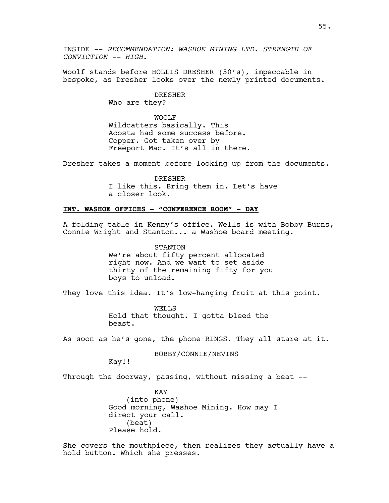INSIDE -- *RECOMMENDATION: WASHOE MINING LTD. STRENGTH OF CONVICTION -- HIGH*.

Woolf stands before HOLLIS DRESHER (50's), impeccable in bespoke, as Dresher looks over the newly printed documents.

> DRESHER Who are they?

WOOLF Wildcatters basically. This Acosta had some success before. Copper. Got taken over by Freeport Mac. It's all in there.

Dresher takes a moment before looking up from the documents.

DRESHER I like this. Bring them in. Let's have a closer look.

# **INT. WASHOE OFFICES - "CONFERENCE ROOM" - DAY**

A folding table in Kenny's office. Wells is with Bobby Burns, Connie Wright and Stanton... a Washoe board meeting.

> STANTON We're about fifty percent allocated right now. And we want to set aside thirty of the remaining fifty for you boys to unload.

They love this idea. It's low-hanging fruit at this point.

WELLS Hold that thought. I gotta bleed the beast.

As soon as he's gone, the phone RINGS. They all stare at it.

#### BOBBY/CONNIE/NEVINS

Kay!!

Through the doorway, passing, without missing a beat --

KAY (into phone) Good morning, Washoe Mining. How may I direct your call. (beat) Please hold.

She covers the mouthpiece, then realizes they actually have a hold button. Which she presses.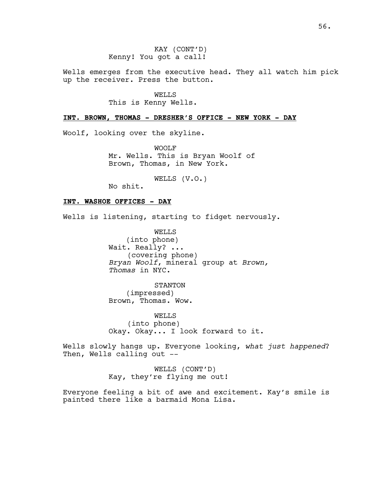Wells emerges from the executive head. They all watch him pick up the receiver. Press the button.

> WELLS This is Kenny Wells.

## **INT. BROWN, THOMAS - DRESHER'S OFFICE - NEW YORK - DAY**

Woolf, looking over the skyline.

WOOLF Mr. Wells. This is Bryan Woolf of Brown, Thomas, in New York.

WELLS (V.O.)

No shit.

# **INT. WASHOE OFFICES - DAY**

Wells is listening, starting to fidget nervously.

WELLS (into phone) Wait. Really? ... (covering phone) *Bryan Woolf*, mineral group at *Brown, Thomas* in NYC.

STANTON (impressed) Brown, Thomas. Wow.

WELLS (into phone) Okay. Okay... I look forward to it.

Wells slowly hangs up. Everyone looking, *what just happened*? Then, Wells calling out --

> WELLS (CONT'D) Kay, they're flying me out!

Everyone feeling a bit of awe and excitement. Kay's smile is painted there like a barmaid Mona Lisa.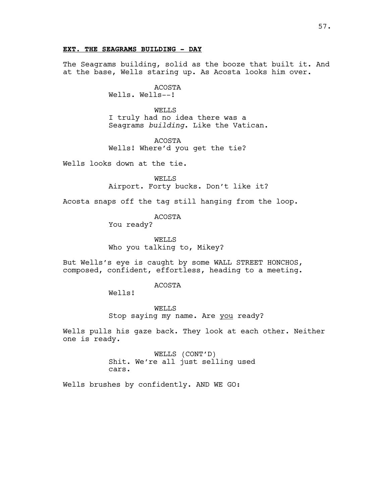# **EXT. THE SEAGRAMS BUILDING - DAY**

The Seagrams building, solid as the booze that built it. And at the base, Wells staring up. As Acosta looks him over.

> ACOSTA Wells. Wells--!

WELLS I truly had no idea there was a Seagrams *building*. Like the Vatican.

ACOSTA Wells! Where'd you get the tie?

Wells looks down at the tie.

WELLS Airport. Forty bucks. Don't like it?

Acosta snaps off the tag still hanging from the loop.

ACOSTA

You ready?

WELLS Who you talking to, Mikey?

But Wells's eye is caught by some WALL STREET HONCHOS, composed, confident, effortless, heading to a meeting.

#### ACOSTA

Wells!

WELLS Stop saying my name. Are you ready?

Wells pulls his gaze back. They look at each other. Neither one is ready.

> WELLS (CONT'D) Shit. We're all just selling used cars.

Wells brushes by confidently. AND WE GO: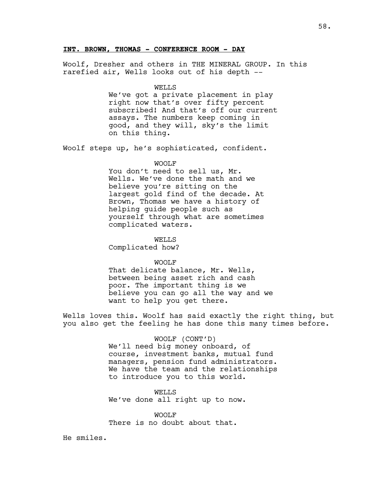## **INT. BROWN, THOMAS - CONFERENCE ROOM - DAY**

Woolf, Dresher and others in THE MINERAL GROUP. In this rarefied air, Wells looks out of his depth --

## WELLS

We've got a private placement in play right now that's over fifty percent subscribed! And that's off our current assays. The numbers keep coming in good, and they will, sky's the limit on this thing.

Woolf steps up, he's sophisticated, confident.

#### WOOLF

You don't need to sell us, Mr. Wells. We've done the math and we believe you're sitting on the largest gold find of the decade. At Brown, Thomas we have a history of helping guide people such as yourself through what are sometimes complicated waters.

WELLS

Complicated how?

WOOLF

That delicate balance, Mr. Wells, between being asset rich and cash poor. The important thing is we believe you can go all the way and we want to help you get there.

Wells loves this. Woolf has said exactly the right thing, but you also get the feeling he has done this many times before.

> WOOLF (CONT'D) We'll need big money onboard, of course, investment banks, mutual fund managers, pension fund administrators. We have the team and the relationships to introduce you to this world.

WELLS We've done all right up to now.

WOOLF There is no doubt about that.

He smiles.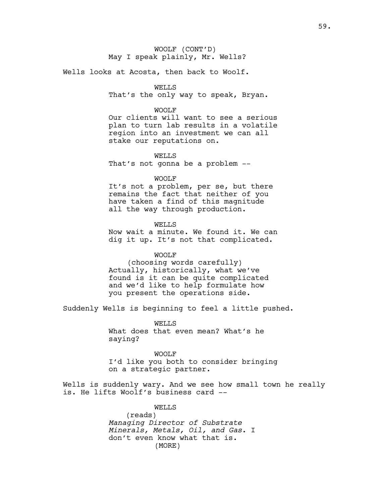Wells looks at Acosta, then back to Woolf.

# WELLS

That's the only way to speak, Bryan.

#### WOOLF

Our clients will want to see a serious plan to turn lab results in a volatile region into an investment we can all stake our reputations on.

WELLS That's not gonna be a problem --

WOOLF

It's not a problem, per se, but there remains the fact that neither of you have taken a find of this magnitude all the way through production.

WELLS

Now wait a minute. We found it. We can dig it up. It's not that complicated.

# WOOLF

(choosing words carefully) Actually, historically, what we've found is it can be quite complicated and we'd like to help formulate how you present the operations side.

Suddenly Wells is beginning to feel a little pushed.

WELLS What does that even mean? What's he saying?

WOOLF I'd like you both to consider bringing on a strategic partner.

Wells is suddenly wary. And we see how small town he really is. He lifts Woolf's business card --

#### WELLS

(reads) *Managing Director of Substrate Minerals, Metals, Oil, and Gas*. I don't even know what that is. (MORE)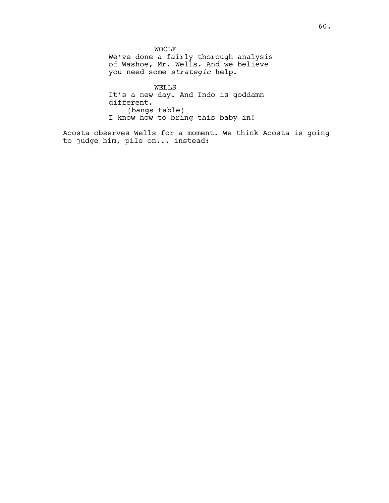WOOLF We've done a fairly thorough analysis of Washoe, Mr. Wells. And we believe you need some *strategic* help.

WELLS It's a new day. And Indo is goddamn different. (bangs table) I know how to bring this baby in!

Acosta observes Wells for a moment. We think Acosta is going to judge him, pile on... instead: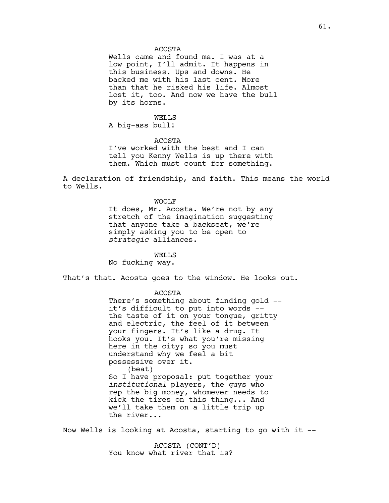ACOSTA

Wells came and found me. I was at a low point, I'll admit. It happens in this business. Ups and downs. He backed me with his last cent. More than that he risked his life. Almost lost it, too. And now we have the bull by its horns.

WELLS A big-ass bull!

ACOSTA I've worked with the best and I can tell you Kenny Wells is up there with them. Which must count for something.

A declaration of friendship, and faith. This means the world to Wells.

> WOOLF It does, Mr. Acosta. We're not by any stretch of the imagination suggesting that anyone take a backseat, we're simply asking you to be open to *strategic* alliances.

> > WELLS

No fucking way.

That's that. Acosta goes to the window. He looks out.

ACOSTA

There's something about finding gold - it's difficult to put into words - the taste of it on your tongue, gritty and electric, the feel of it between your fingers. It's like a drug. It hooks you. It's what you're missing here in the city; so you must understand why we feel a bit possessive over it. (beat) So I have proposal: put together your *institutional* players, the guys who rep the big money, whomever needs to kick the tires on this thing... And we'll take them on a little trip up the river...

Now Wells is looking at Acosta, starting to go with it --

ACOSTA (CONT'D) You know what river that is?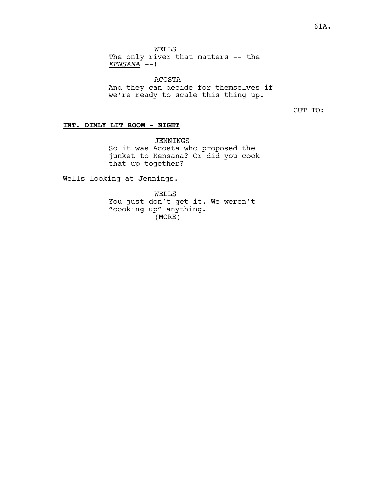WELLS

The only river that matters -- the *KENSANA --*!

ACOSTA And they can decide for themselves if we're ready to scale this thing up.

CUT TO:

# **INT. DIMLY LIT ROOM - NIGHT**

JENNINGS So it was Acosta who proposed the junket to Kensana? Or did you cook that up together?

Wells looking at Jennings.

WELLS You just don't get it. We weren't "cooking up" anything. (MORE)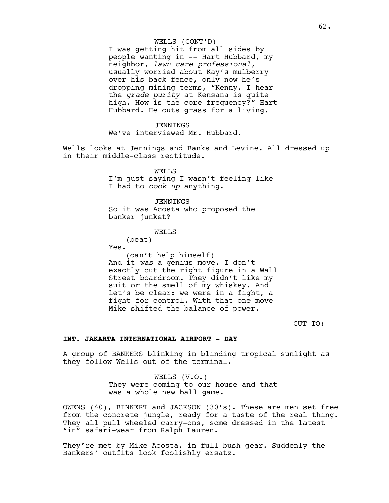#### WELLS (CONT'D)

I was getting hit from all sides by people wanting in -- Hart Hubbard, my neighbor, *lawn care professional*, usually worried about Kay's mulberry over his back fence, only now he's dropping mining terms, "Kenny, I hear the *grade purity* at Kensana is quite high. How is the core frequency?" Hart Hubbard. He cuts grass for a living.

## JENNINGS

We've interviewed Mr. Hubbard.

Wells looks at Jennings and Banks and Levine. All dressed up in their middle-class rectitude.

> WELLS I'm just saying I wasn't feeling like I had to *cook up* anything.

JENNINGS So it was Acosta who proposed the banker junket?

# WELLS

(beat) Yes. (can't help himself) And it *was* a genius move. I don't exactly cut the right figure in a Wall Street boardroom. They didn't like my suit or the smell of my whiskey. And let's be clear: we were in a fight, a fight for control. With that one move Mike shifted the balance of power.

CUT TO:

## **INT. JAKARTA INTERNATIONAL AIRPORT - DAY**

A group of BANKERS blinking in blinding tropical sunlight as they follow Wells out of the terminal.

> WELLS (V.O.) They were coming to our house and that was a whole new ball game.

OWENS (40), BINKERT and JACKSON (30's). These are men set free from the concrete jungle, ready for a taste of the real thing. They all pull wheeled carry-ons, some dressed in the latest "in" safari-wear from Ralph Lauren.

They're met by Mike Acosta, in full bush gear. Suddenly the Bankers' outfits look foolishly ersatz.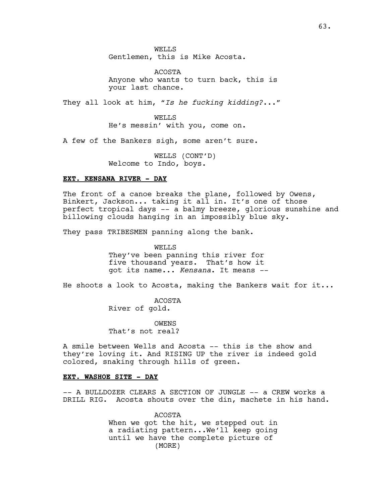WELLS Gentlemen, this is Mike Acosta.

ACOSTA Anyone who wants to turn back, this is your last chance.

They all look at him, *"Is he fucking kidding?*..."

WELLS He's messin' with you, come on.

A few of the Bankers sigh, some aren't sure.

WELLS (CONT'D) Welcome to Indo, boys.

#### **EXT. KENSANA RIVER - DAY**

The front of a canoe breaks the plane, followed by Owens, Binkert, Jackson... taking it all in. It's one of those perfect tropical days -- a balmy breeze, glorious sunshine and billowing clouds hanging in an impossibly blue sky.

They pass TRIBESMEN panning along the bank.

WELLS They've been panning this river for five thousand years. That's how it got its name... *Kensana*. It means --

He shoots a look to Acosta, making the Bankers wait for it...

ACOSTA River of gold.

OWENS That's not real?

A smile between Wells and Acosta -- this is the show and they're loving it. And RISING UP the river is indeed gold colored, snaking through hills of green.

## **EXT. WASHOE SITE - DAY**

-- A BULLDOZER CLEARS A SECTION OF JUNGLE -- a CREW works a DRILL RIG. Acosta shouts over the din, machete in his hand.

> ACOSTA When we got the hit, we stepped out in a radiating pattern...We'll keep going until we have the complete picture of (MORE)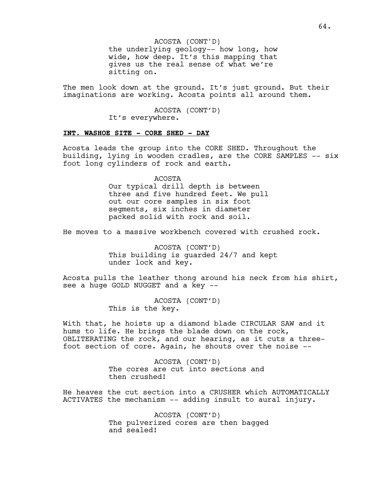ACOSTA (CONT'D)

the underlying geology-- how long, how wide, how deep. It's this mapping that gives us the real sense of what we're sitting on.

The men look down at the ground. It's just ground. But their imaginations are working. Acosta points all around them.

> ACOSTA (CONT'D) It's everywhere.

## **INT. WASHOE SITE - CORE SHED - DAY**

Acosta leads the group into the CORE SHED. Throughout the building, lying in wooden cradles, are the CORE SAMPLES -- six foot long cylinders of rock and earth.

> ACOSTA Our typical drill depth is between three and five hundred feet. We pull out our core samples in six foot segments, six inches in diameter packed solid with rock and soil.

He moves to a massive workbench covered with crushed rock.

ACOSTA (CONT'D) This building is guarded 24/7 and kept under lock and key.

Acosta pulls the leather thong around his neck from his shirt, see a huge GOLD NUGGET and a key --

> ACOSTA (CONT'D) This is the key.

With that, he hoists up a diamond blade CIRCULAR SAW and it hums to life. He brings the blade down on the rock, OBLITERATING the rock, and our hearing, as it cuts a threefoot section of core. Again, he shouts over the noise --

> ACOSTA (CONT'D) The cores are cut into sections and then crushed!

He heaves the cut section into a CRUSHER which AUTOMATICALLY ACTIVATES the mechanism -- adding insult to aural injury.

> ACOSTA (CONT'D) The pulverized cores are then bagged and sealed!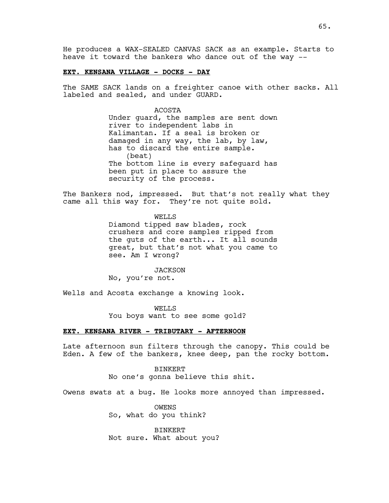He produces a WAX-SEALED CANVAS SACK as an example. Starts to heave it toward the bankers who dance out of the way --

#### **EXT. KENSANA VILLAGE - DOCKS - DAY**

The SAME SACK lands on a freighter canoe with other sacks. All labeled and sealed, and under GUARD.

#### ACOSTA

Under guard, the samples are sent down river to independent labs in Kalimantan. If a seal is broken or damaged in any way, the lab, by law, has to discard the entire sample. (beat) The bottom line is every safeguard has been put in place to assure the security of the process.

The Bankers nod, impressed. But that's not really what they came all this way for. They're not quite sold.

> WELLS Diamond tipped saw blades, rock crushers and core samples ripped from the guts of the earth... It all sounds great, but that's not what you came to see. Am I wrong?

*JACKSON* No, you're not.

Wells and Acosta exchange a knowing look.

WELLS You boys want to see some gold?

## **EXT. KENSANA RIVER - TRIBUTARY - AFTERNOON**

Late afternoon sun filters through the canopy. This could be Eden. A few of the bankers, knee deep, pan the rocky bottom.

> BINKERT No one's gonna believe this shit.

Owens swats at a bug. He looks more annoyed than impressed.

OWENS So, what do you think?

BINKERT Not sure. What about you?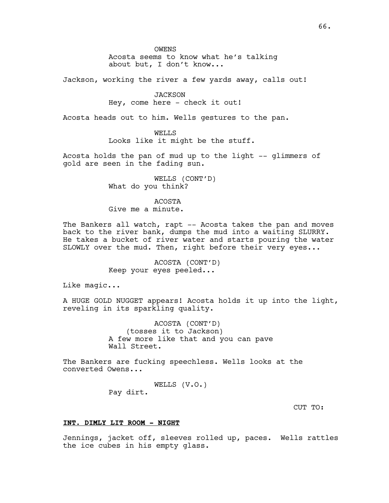OWENS Acosta seems to know what he's talking about but, I don't know...

Jackson, working the river a few yards away, calls out!

JACKSON Hey, come here - check it out!

Acosta heads out to him. Wells gestures to the pan.

WELLS Looks like it might be the stuff.

Acosta holds the pan of mud up to the light -- glimmers of gold are seen in the fading sun.

> WELLS (CONT'D) What do you think?

ACOSTA Give me a minute.

The Bankers all watch, rapt -- Acosta takes the pan and moves back to the river bank, dumps the mud into a waiting SLURRY. He takes a bucket of river water and starts pouring the water SLOWLY over the mud. Then, right before their very eyes...

> ACOSTA (CONT'D) Keep your eyes peeled...

Like magic...

A HUGE GOLD NUGGET appears! Acosta holds it up into the light, reveling in its sparkling quality.

> ACOSTA (CONT'D) (tosses it to Jackson) A few more like that and you can pave Wall Street.

The Bankers are fucking speechless. Wells looks at the converted Owens...

> WELLS (V.O.) Pay dirt.

> > CUT TO:

## **INT. DIMLY LIT ROOM - NIGHT**

Jennings, jacket off, sleeves rolled up, paces. Wells rattles the ice cubes in his empty glass.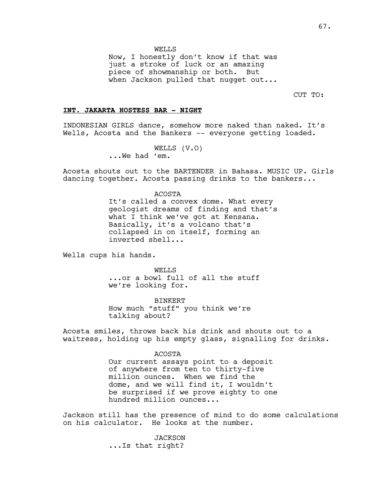WELLS

Now, I honestly don't know if that was just a stroke of luck or an amazing piece of showmanship or both. But when Jackson pulled that nugget out...

CUT TO:

#### **INT. JAKARTA HOSTESS BAR - NIGHT**

INDONESIAN GIRLS dance, somehow more naked than naked. It's Wells, Acosta and the Bankers -- everyone getting loaded.

> WELLS (V.O) ...We had 'em.

Acosta shouts out to the BARTENDER in Bahasa. MUSIC UP. Girls dancing together. Acosta passing drinks to the bankers...

> ACOSTA It's called a convex dome. What every geologist dreams of finding and that's what I think we've got at Kensana. Basically, it's a volcano that's collapsed in on itself, forming an inverted shell...

Wells cups his hands.

WELLS ...or a bowl full of all the stuff we're looking for.

BINKERT How much "stuff" you think we're talking about?

Acosta smiles, throws back his drink and shouts out to a waitress, holding up his empty glass, signalling for drinks.

#### ACOSTA

Our current assays point to a deposit of anywhere from ten to thirty-five million ounces. When we find the dome, and we will find it, I wouldn't be surprised if we prove eighty to one hundred million ounces...

Jackson still has the presence of mind to do some calculations on his calculator. He looks at the number.

> *JACKSON* ...Is that right?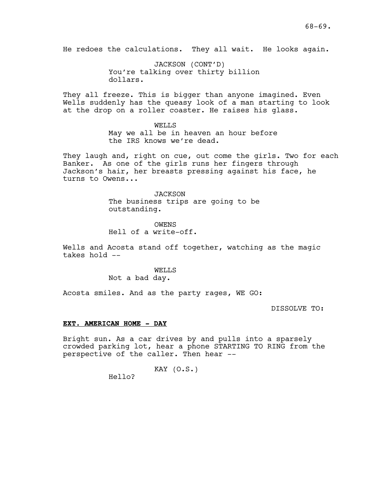He redoes the calculations. They all wait. He looks again.

JACKSON (CONT'D) You're talking over thirty billion dollars.

They all freeze. This is bigger than anyone imagined. Even Wells suddenly has the queasy look of a man starting to look at the drop on a roller coaster. He raises his glass.

#### WELLS

May we all be in heaven an hour before the IRS knows we're dead.

They laugh and, right on cue, out come the girls. Two for each Banker. As one of the girls runs her fingers through Jackson's hair, her breasts pressing against his face, he turns to Owens...

## **JACKSON**

The business trips are going to be outstanding.

OWENS Hell of a write-off.

Wells and Acosta stand off together, watching as the magic takes hold --

# WELLS

Not a bad day.

Acosta smiles. And as the party rages, WE GO:

DISSOLVE TO:

#### **EXT. AMERICAN HOME - DAY**

Bright sun. As a car drives by and pulls into a sparsely crowded parking lot, hear a phone STARTING TO RING from the perspective of the caller. Then hear --

$$
\begin{array}{cc}\n & \text{KAY (0.S.)} \\
\text{Hello?} & \end{array}
$$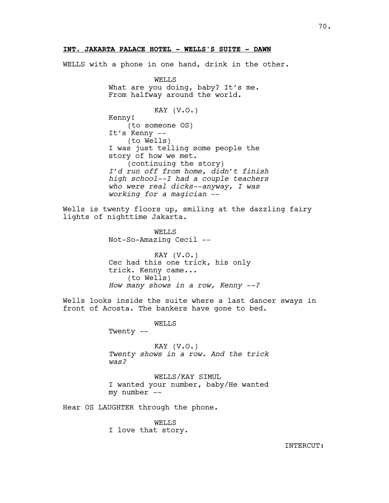## **INT. JAKARTA PALACE HOTEL - WELLS'S SUITE - DAWN**

WELLS with a phone in one hand, drink in the other.

WELLS What are you doing, baby? It's me. From halfway around the world. KAY (V.O.) Kenny! (to someone OS) It's Kenny -- (to Wells) I was just telling some people the story of how we met. (continuing the story) *I'd run off from home, didn't finish high school--I had a couple teachers who were real dicks--anyway, I was working for a magician* -- Wells is twenty floors up, smiling at the dazzling fairy lights of nighttime Jakarta. WELLS Not-So-Amazing Cecil -- KAY (V.O.) Cec had this one trick, his only trick. Kenny came... (to Wells) *How many shows in a row, Kenny --?* Wells looks inside the suite where a last dancer sways in front of Acosta. The bankers have gone to bed. WELLS Twenty -- KAY  $(V.O.)$ *Twenty shows in a row. And the trick was?* WELLS/KAY SIMUL I wanted your number, baby/He wanted my number --

Hear OS LAUGHTER through the phone.

WELLS I love that story.

INTERCUT: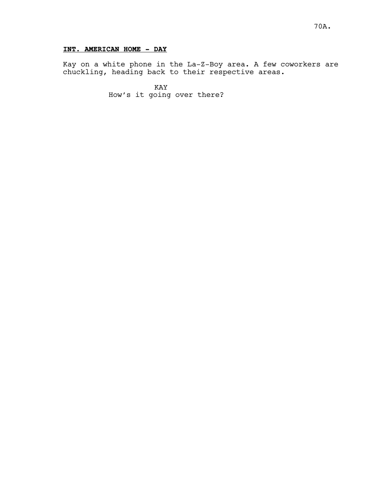# **INT. AMERICAN HOME - DAY**

Kay on a white phone in the La-Z-Boy area. A few coworkers are chuckling, heading back to their respective areas.

> KAY How's it going over there?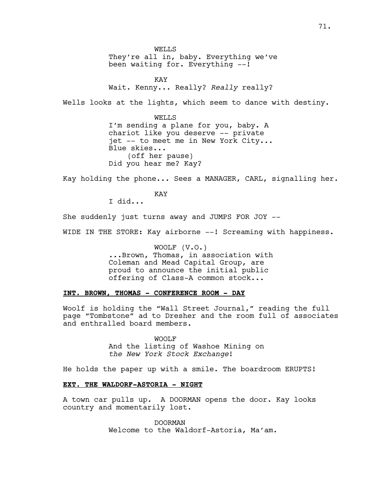WELLS They're all in, baby. Everything we've been waiting for. Everything --!

KAY Wait. Kenny... Really? *Really* really?

Wells looks at the lights, which seem to dance with destiny.

WELLS I'm sending a plane for you, baby. A chariot like you deserve -- private jet -- to meet me in New York City... Blue skies... (off her pause) Did you hear me? Kay?

Kay holding the phone... Sees a MANAGER, CARL, signalling her.

KAY I did...

She suddenly just turns away and JUMPS FOR JOY --

WIDE IN THE STORE: Kay airborne --! Screaming with happiness.

WOOLF (V.O.) ...Brown, Thomas, in association with Coleman and Mead Capital Group, are proud to announce the initial public offering of Class-A common stock...

# **INT. BROWN, THOMAS - CONFERENCE ROOM - DAY**

Woolf is holding the "Wall Street Journal," reading the full page "Tombstone" ad to Dresher and the room full of associates and enthralled board members.

> WOOLF And the listing of Washoe Mining on *the New York Stock Exchange*!

He holds the paper up with a smile. The boardroom ERUPTS!

## **EXT. THE WALDORF-ASTORIA - NIGHT**

A town car pulls up. A DOORMAN opens the door. Kay looks country and momentarily lost.

> DOORMAN Welcome to the Waldorf-Astoria, Ma'am.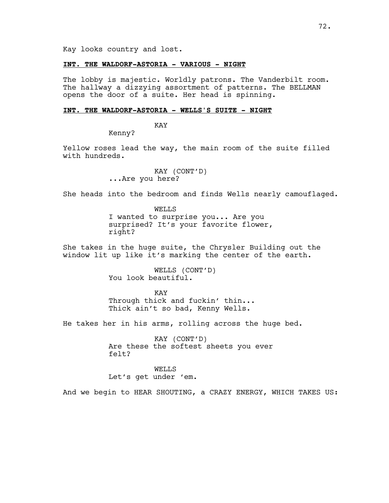Kay looks country and lost.

# **INT. THE WALDORF-ASTORIA - VARIOUS - NIGHT**

The lobby is majestic. Worldly patrons. The Vanderbilt room. The hallway a dizzying assortment of patterns. The BELLMAN opens the door of a suite. Her head is spinning.

# **INT. THE WALDORF-ASTORIA - WELLS'S SUITE - NIGHT**

KAY

Kenny?

Yellow roses lead the way, the main room of the suite filled with hundreds.

> KAY (CONT'D) ...Are you here?

She heads into the bedroom and finds Wells nearly camouflaged.

WELLS I wanted to surprise you... Are you surprised? It's your favorite flower, right?

She takes in the huge suite, the Chrysler Building out the window lit up like it's marking the center of the earth.

> WELLS (CONT'D) You look beautiful.

KAY Through thick and fuckin' thin... Thick ain't so bad, Kenny Wells.

He takes her in his arms, rolling across the huge bed.

KAY (CONT'D) Are these the softest sheets you ever felt?

WELLS Let's get under 'em.

And we begin to HEAR SHOUTING, a CRAZY ENERGY, WHICH TAKES US: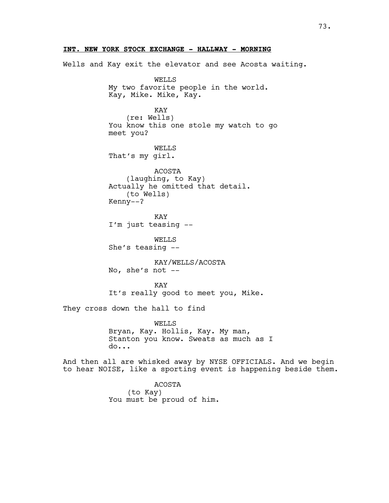Wells and Kay exit the elevator and see Acosta waiting. WELLS My two favorite people in the world. Kay, Mike. Mike, Kay. KAY (re: Wells) You know this one stole my watch to go meet you? WELLS That's my girl. ACOSTA (laughing, to Kay) Actually he omitted that detail. (to Wells) Kenny--? KAY I'm just teasing -- WELLS She's teasing -- KAY/WELLS/ACOSTA No, she's not  $--$ **KAY** It's really good to meet you, Mike. They cross down the hall to find WELLS Bryan, Kay. Hollis, Kay. My man, Stanton you know. Sweats as much as I do... And then all are whisked away by NYSE OFFICIALS. And we begin to hear NOISE, like a sporting event is happening beside them. ACOSTA (to Kay) You must be proud of him.

# **INT. NEW YORK STOCK EXCHANGE - HALLWAY - MORNING**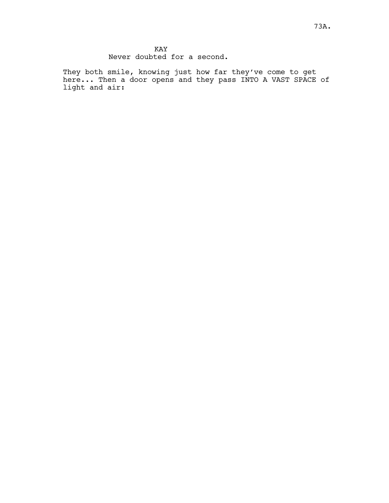They both smile, knowing just how far they've come to get here... Then a door opens and they pass INTO A VAST SPACE of light and air: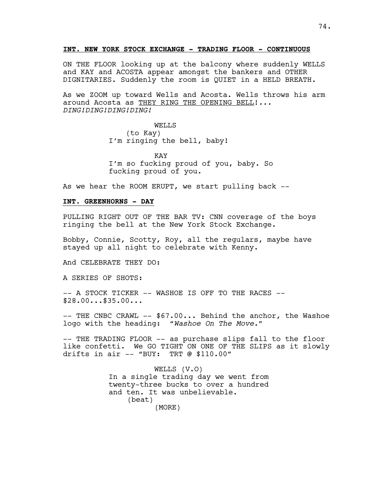# **INT. NEW YORK STOCK EXCHANGE - TRADING FLOOR - CONTINUOUS**

ON THE FLOOR looking up at the balcony where suddenly WELLS and KAY and ACOSTA appear amongst the bankers and OTHER DIGNITARIES. Suddenly the room is QUIET in a HELD BREATH.

As we ZOOM up toward Wells and Acosta. Wells throws his arm around Acosta as THEY RING THE OPENING BELL!*... DING!DING!DING!DING!*

> WELLS (to Kay) I'm ringing the bell, baby!

KAY I'm so fucking proud of you, baby. So fucking proud of you.

As we hear the ROOM ERUPT, we start pulling back  $-$ -

#### A102 **INT. GREENHORNS - DAY**

PULLING RIGHT OUT OF THE BAR TV: CNN coverage of the boys ringing the bell at the New York Stock Exchange.

Bobby, Connie, Scotty, Roy, all the regulars, maybe have stayed up all night to celebrate with Kenny.

And CELEBRATE THEY DO:

A SERIES OF SHOTS:

-- A STOCK TICKER -- WASHOE IS OFF TO THE RACES --\$28.00...\$35.00...

-- THE CNBC CRAWL -- \$67.00... Behind the anchor, the Washoe logo with the heading: *"Washoe On The Move."*

-- THE TRADING FLOOR -- as purchase slips fall to the floor like confetti. We GO TIGHT ON ONE OF THE SLIPS as it slowly drifts in air -- "BUY: TRT @ \$110.00"

> WELLS (V.O) In a single trading day we went from twenty-three bucks to over a hundred and ten. It was unbelievable. (beat) (MORE)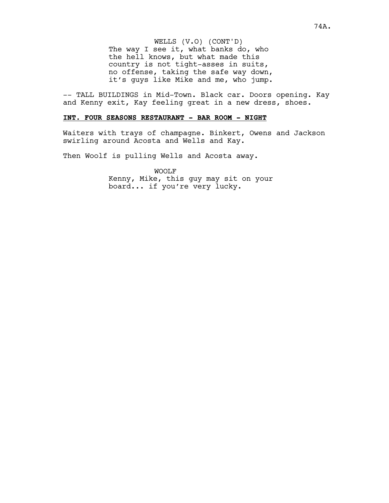WELLS (V.O) (CONT'D) The way I see it, what banks do, who the hell knows, but what made this country is not tight-asses in suits, no offense, taking the safe way down, it's guys like Mike and me, who jump.

-- TALL BUILDINGS in Mid-Town. Black car. Doors opening. Kay and Kenny exit, Kay feeling great in a new dress, shoes.

# **INT. FOUR SEASONS RESTAURANT - BAR ROOM - NIGHT**

Waiters with trays of champagne. Binkert, Owens and Jackson swirling around Acosta and Wells and Kay.

Then Woolf is pulling Wells and Acosta away.

WOOLF Kenny, Mike, this guy may sit on your board... if you're very lucky.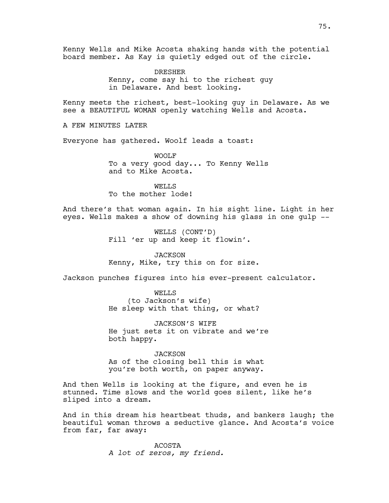Kenny Wells and Mike Acosta shaking hands with the potential board member. As Kay is quietly edged out of the circle.

> DRESHER Kenny, come say hi to the richest guy in Delaware. And best looking.

Kenny meets the richest, best-looking guy in Delaware. As we see a BEAUTIFUL WOMAN openly watching Wells and Acosta.

A FEW MINUTES LATER

Everyone has gathered. Woolf leads a toast:

WOOLF To a very good day... To Kenny Wells and to Mike Acosta.

WELLS To the mother lode!

And there's that woman again. In his sight line. Light in her eyes. Wells makes a show of downing his glass in one gulp --

> WELLS (CONT'D) Fill 'er up and keep it flowin'.

**JACKSON** Kenny, Mike, try this on for size.

Jackson punches figures into his ever-present calculator.

WELLS (to Jackson's wife) He sleep with that thing, or what?

JACKSON'S WIFE He just sets it on vibrate and we're both happy.

**JACKSON** As of the closing bell this is what you're both worth, on paper anyway.

And then Wells is looking at the figure, and even he is stunned. Time slows and the world goes silent, like he's sliped into a dream.

And in this dream his heartbeat thuds, and bankers laugh; the beautiful woman throws a seductive glance. And Acosta's voice from far, far away:

> ACOSTA *A lot of zeros, my friend.*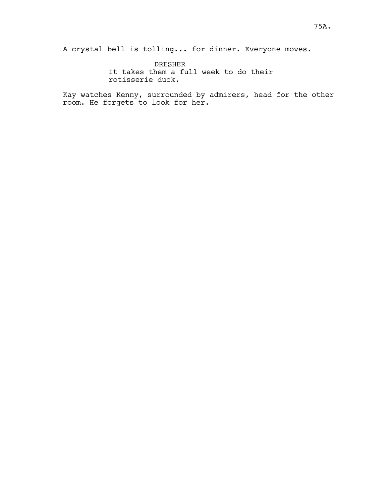A crystal bell is tolling... for dinner. Everyone moves.

DRESHER It takes them a full week to do their rotisserie duck.

Kay watches Kenny, surrounded by admirers, head for the other room. He forgets to look for her.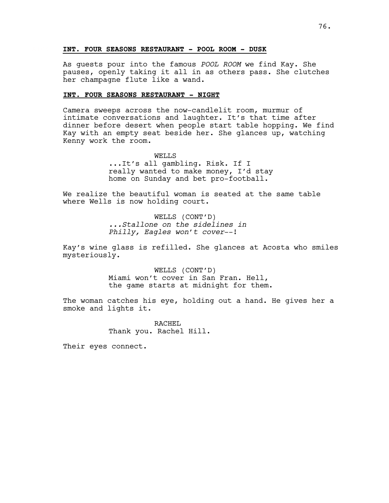# A104 **INT. FOUR SEASONS RESTAURANT - POOL ROOM - DUSK**

As guests pour into the famous *POOL ROOM* we find Kay. She pauses, openly taking it all in as others pass. She clutches her champagne flute like a wand.

## **INT. FOUR SEASONS RESTAURANT - NIGHT**

Camera sweeps across the now-candlelit room, murmur of intimate conversations and laughter. It's that time after dinner before desert when people start table hopping. We find Kay with an empty seat beside her. She glances up, watching Kenny work the room.

> WELL<sub>S</sub> ...It's all gambling. Risk. If I really wanted to make money, I'd stay home on Sunday and bet pro-football.

We realize the beautiful woman is seated at the same table where Wells is now holding court.

> WELLS (CONT'D) *...Stallone on the sidelines in Philly, Eagles won't cover*--!

Kay's wine glass is refilled. She glances at Acosta who smiles mysteriously.

> WELLS (CONT'D) Miami won't cover in San Fran. Hell, the game starts at midnight for them.

The woman catches his eye, holding out a hand. He gives her a smoke and lights it.

> RACHEL. Thank you. Rachel Hill.

Their eyes connect.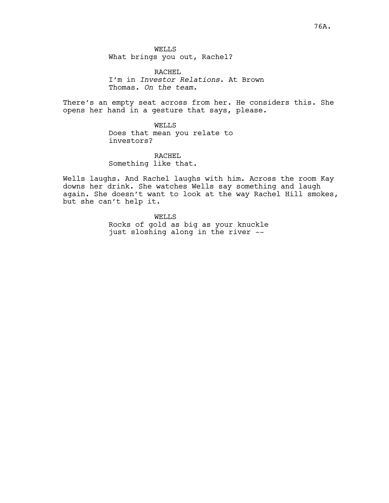WELLS What brings you out, Rachel?

RACHEL I'm in *Investor Relations*. At Brown Thomas. *On the team.*

There's an empty seat across from her. He considers this. She opens her hand in a gesture that says, please.

> WELLS Does that mean you relate to investors?

RACHEL Something like that.

Wells laughs. And Rachel laughs with him. Across the room Kay downs her drink. She watches Wells say something and laugh again. She doesn't want to look at the way Rachel Hill smokes, but she can't help it.

> WELLS Rocks of gold as big as your knuckle just sloshing along in the river --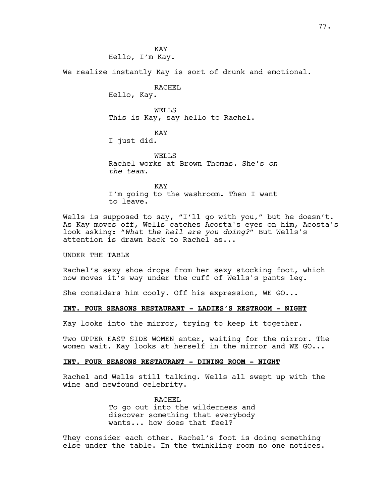**KAY** Hello, I'm Kay.

We realize instantly Kay is sort of drunk and emotional.

RACHEL

Hello, Kay.

WELLS This is Kay, say hello to Rachel.

KAY

I just did.

WELL<sub>S</sub> Rachel works at Brown Thomas. She's *on the team.*

KAY I'm going to the washroom. Then I want to leave.

Wells is supposed to say, "I'll go with you," but he doesn't. As Kay moves off, Wells catches Acosta's eyes on him, Acosta's look asking: *"What the hell are you doing?"* But Wells's attention is drawn back to Rachel as...

UNDER THE TABLE

Rachel's sexy shoe drops from her sexy stocking foot, which now moves it's way under the cuff of Wells's pants leg.

She considers him cooly. Off his expression, WE GO...

#### **INT. FOUR SEASONS RESTAURANT - LADIES'S RESTROOM - NIGHT**

Kay looks into the mirror, trying to keep it together.

Two UPPER EAST SIDE WOMEN enter, waiting for the mirror. The women wait. Kay looks at herself in the mirror and WE GO...

#### **INT. FOUR SEASONS RESTAURANT - DINING ROOM - NIGHT**

Rachel and Wells still talking. Wells all swept up with the wine and newfound celebrity.

> RACHEL To go out into the wilderness and discover something that everybody wants... how does that feel?

They consider each other. Rachel's foot is doing something else under the table. In the twinkling room no one notices.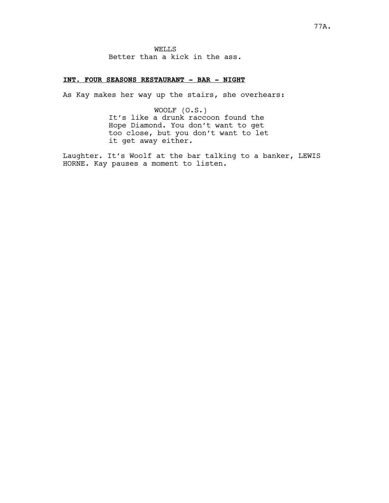# **INT. FOUR SEASONS RESTAURANT - BAR - NIGHT**

As Kay makes her way up the stairs, she overhears:

WOOLF (O.S.) It's like a drunk raccoon found the Hope Diamond. You don't want to get too close, but you don't want to let it get away either.

Laughter. It's Woolf at the bar talking to a banker, LEWIS HORNE. Kay pauses a moment to listen.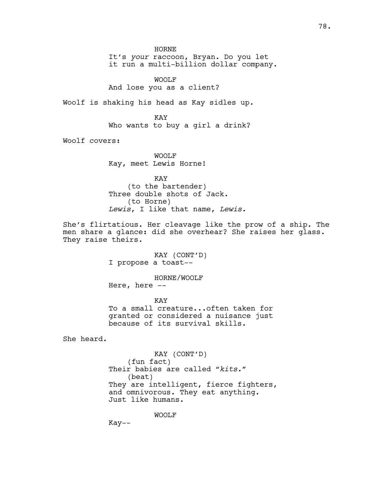HORNE It's *your* raccoon, Bryan. Do you let

it run a multi-billion dollar company.

WOOLF And lose you as a client?

Woolf is shaking his head as Kay sidles up.

KAY Who wants to buy a girl a drink?

Woolf covers:

WOOLF Kay, meet Lewis Horne!

KAY (to the bartender) Three double shots of Jack. (to Horne) *Lewis*, I like that name, *Lewis.*

She's flirtatious. Her cleavage like the prow of a ship. The men share a glance: did she overhear? She raises her glass. They raise theirs.

> KAY (CONT'D) I propose a toast--

> > HORNE/WOOLF

Here, here --

KAY To a small creature...often taken for granted or considered a nuisance just because of its survival skills.

She heard.

KAY (CONT'D) (fun fact) Their babies are called *"kits."* (beat) They are intelligent, fierce fighters, and omnivorous. They eat anything. Just like humans.

WOOLF

Kay--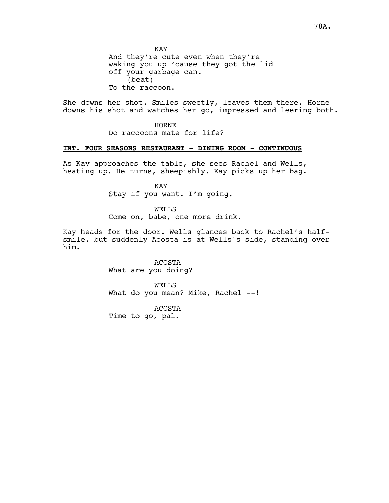KAY And they're cute even when they're waking you up 'cause they got the lid off your garbage can. (beat) To the raccoon.

She downs her shot. Smiles sweetly, leaves them there. Horne downs his shot and watches her go, impressed and leering both.

HORNE

Do raccoons mate for life?

# **INT. FOUR SEASONS RESTAURANT - DINING ROOM - CONTINUOUS**

As Kay approaches the table, she sees Rachel and Wells, heating up. He turns, sheepishly. Kay picks up her bag.

> KAY Stay if you want. I'm going.

WELLS Come on, babe, one more drink.

Kay heads for the door. Wells glances back to Rachel's halfsmile, but suddenly Acosta is at Wells's side, standing over him.

> ACOSTA What are you doing?

WELLS What do you mean? Mike, Rachel --!

ACOSTA

Time to go, pal.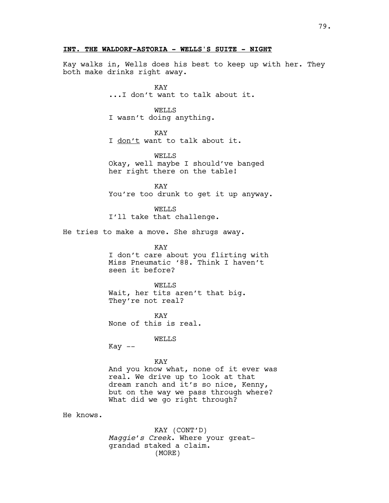### **INT. THE WALDORF-ASTORIA - WELLS'S SUITE - NIGHT**

Kay walks in, Wells does his best to keep up with her. They both make drinks right away.

> KAY ...I don't want to talk about it.

#### WELLS

I wasn't doing anything.

### KAY

I don't want to talk about it.

WELLS Okay, well maybe I should've banged her right there on the table!

KAY You're too drunk to get it up anyway.

WELLS I'll take that challenge.

He tries to make a move. She shrugs away.

KAY I don't care about you flirting with Miss Pneumatic '88. Think I haven't seen it before?

WELLS Wait, her tits aren't that big. They're not real?

**KAY** None of this is real.

### WELLS

 $Kay$   $--$ 

#### KAY

And you know what, none of it ever was real. We drive up to look at that dream ranch and it's so nice, Kenny, but on the way we pass through where? What did we go right through?

He knows.

KAY (CONT'D) *Maggie's Creek*. Where your greatgrandad staked a claim. (MORE)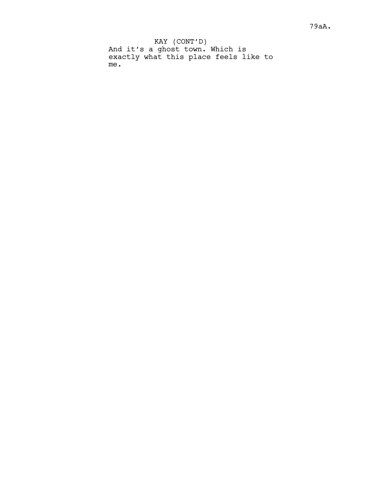KAY (CONT'D) And it's a ghost town. Which is exactly what this place feels like to me.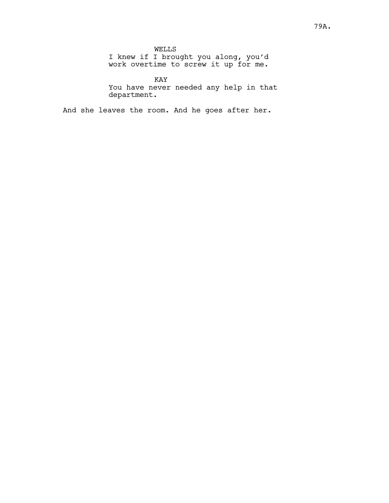WELLS I knew if I brought you along, you'd work overtime to screw it up for me.

KAY You have never needed any help in that department.

And she leaves the room. And he goes after her.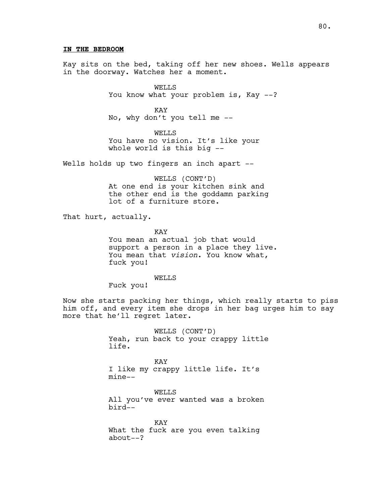80.

### **IN THE BEDROOM**

Kay sits on the bed, taking off her new shoes. Wells appears in the doorway. Watches her a moment.

> WELLS You know what your problem is, Kay --?

KAY No, why don't you tell me --

WELLS You have no vision. It's like your whole world is this big --

Wells holds up two fingers an inch apart --

WELLS (CONT'D) At one end is your kitchen sink and the other end is the goddamn parking lot of a furniture store.

That hurt, actually.

KAY

You mean an actual job that would support a person in a place they live. You mean that *vision*. You know what, fuck you!

WELLS

Fuck you!

Now she starts packing her things, which really starts to piss him off, and every item she drops in her bag urges him to say more that he'll regret later.

> WELLS (CONT'D) Yeah, run back to your crappy little life.

KAY I like my crappy little life. It's mine--

WELLS All you've ever wanted was a broken bird--

KAY What the fuck are you even talking about--?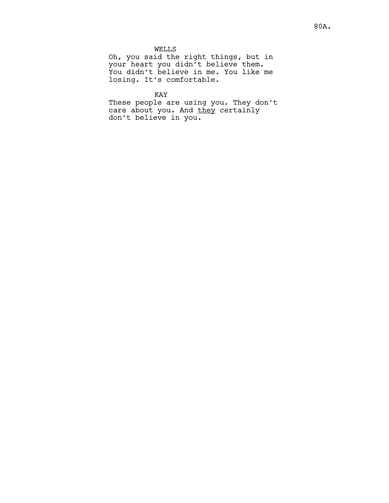WELLS

Oh, you said the right things, but in your heart you didn't believe them. You didn't believe in me. You like me losing. It's comfortable.

KAY

These people are using you. They don't care about you. And they certainly don't believe in you.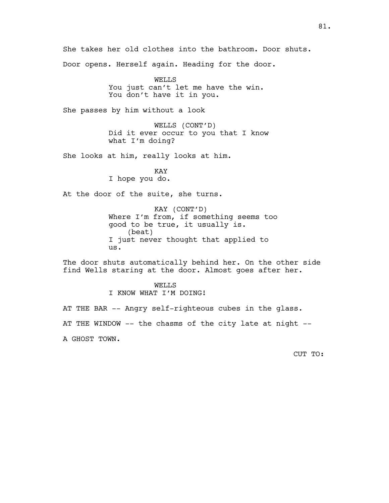She takes her old clothes into the bathroom. Door shuts. Door opens. Herself again. Heading for the door.

> WELLS You just can't let me have the win. You don't have it in you.

She passes by him without a look

WELLS (CONT'D) Did it ever occur to you that I know what I'm doing?

She looks at him, really looks at him.

KAY I hope you do.

At the door of the suite, she turns.

KAY (CONT'D) Where I'm from, if something seems too good to be true, it usually is. (beat) I just never thought that applied to us.

The door shuts automatically behind her. On the other side find Wells staring at the door. Almost goes after her.

> WELLS I KNOW WHAT I'M DOING!

AT THE BAR -- Angry self-righteous cubes in the glass. AT THE WINDOW -- the chasms of the city late at night -- A GHOST TOWN.

CUT TO: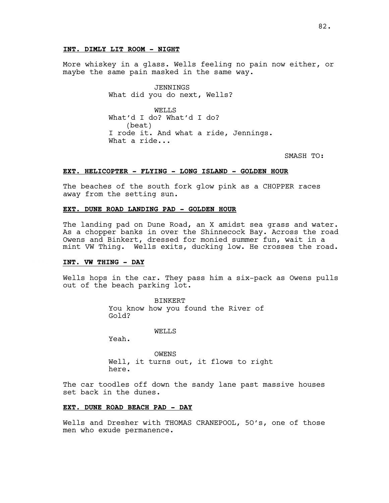### **INT. DIMLY LIT ROOM - NIGHT**

More whiskey in a glass. Wells feeling no pain now either, or maybe the same pain masked in the same way.

> JENNINGS What did you do next, Wells?

WELLS What'd I do? What'd I do? (beat) I rode it. And what a ride, Jennings. What a ride...

SMASH TO:

### **EXT. HELICOPTER - FLYING - LONG ISLAND - GOLDEN HOUR**

The beaches of the south fork glow pink as a CHOPPER races away from the setting sun.

# **EXT. DUNE ROAD LANDING PAD - GOLDEN HOUR**

The landing pad on Dune Road, an X amidst sea grass and water. As a chopper banks in over the Shinnecock Bay. Across the road Owens and Binkert, dressed for monied summer fun, wait in a mint VW Thing. Wells exits, ducking low. He crosses the road.

### A114 **INT. VW THING - DAY**

Wells hops in the car. They pass him a six-pack as Owens pulls out of the beach parking lot.

> BINKERT You know how you found the River of Gold?

> > WELLS

Yeah.

OWENS Well, it turns out, it flows to right here.

The car toodles off down the sandy lane past massive houses set back in the dunes.

#### **EXT. DUNE ROAD BEACH PAD - DAY**

Wells and Dresher with THOMAS CRANEPOOL, 5O's, one of those men who exude permanence.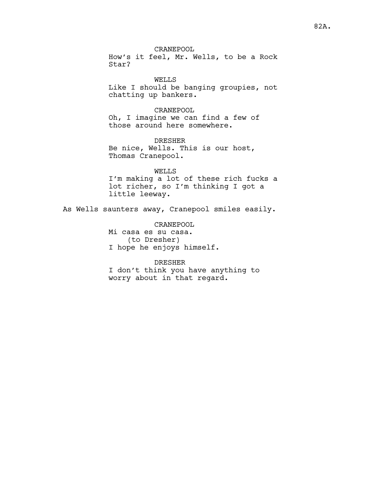CRANEPOOL How's it feel, Mr. Wells, to be a Rock Star?

WELLS Like I should be banging groupies, not chatting up bankers.

# CRANEPOOL

Oh, I imagine we can find a few of those around here somewhere.

DRESHER Be nice, Wells. This is our host, Thomas Cranepool.

WELLS I'm making a lot of these rich fucks a lot richer, so I'm thinking I got a little leeway.

As Wells saunters away, Cranepool smiles easily.

CRANEPOOL Mi casa es su casa. (to Dresher) I hope he enjoys himself.

DRESHER I don't think you have anything to worry about in that regard.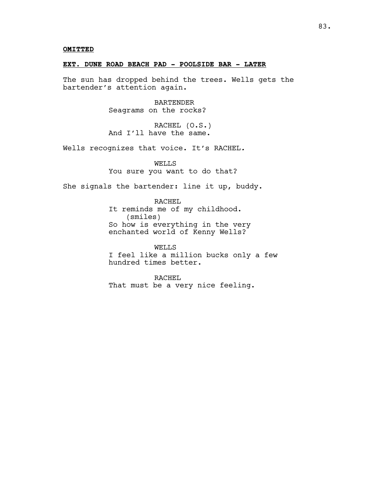# **OMITTED**

# **EXT. DUNE ROAD BEACH PAD - POOLSIDE BAR - LATER**

The sun has dropped behind the trees. Wells gets the bartender's attention again.

> BARTENDER Seagrams on the rocks?

RACHEL (O.S.) And I'll have the same.

Wells recognizes that voice. It's RACHEL*.* 

WELLS You sure you want to do that?

She signals the bartender: line it up, buddy.

RACHEL It reminds me of my childhood. (smiles) So how is everything in the very enchanted world of Kenny Wells?

WELLS I feel like a million bucks only a few hundred times better.

RACHEL That must be a very nice feeling.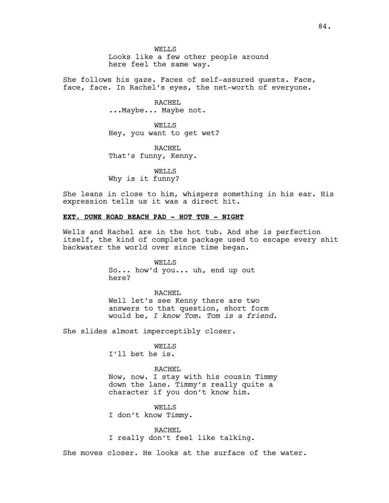WELLS Looks like a few other people around here feel the same way.

She follows his gaze. Faces of self-assured guests. Face, face, face. In Rachel's eyes, the net-worth of everyone.

> RACHEL ...Maybe... Maybe not.

WELLS Hey, you want to get wet?

RACHEL That's funny, Kenny.

WELLS Why is it funny?

She leans in close to him, whispers something in his ear. His expression tells us it was a direct hit.

### **EXT. DUNE ROAD BEACH PAD - HOT TUB - NIGHT**

Wells and Rachel are in the hot tub. And she is perfection itself, the kind of complete package used to escape every shit backwater the world over since time began.

> WELLS So... how'd you... uh, end up out here?

RACHEL Well let's see Kenny there are two answers to that question, short form would be, *I know Tom*. *Tom is a friend*.

She slides almost imperceptibly closer.

WELLS I'll bet he is.

RACHEL Now, now. I stay with his cousin Timmy down the lane. Timmy's really quite a character if you don't know him.

WELLS I don't know Timmy.

RACHEL I really don't feel like talking.

She moves closer. He looks at the surface of the water.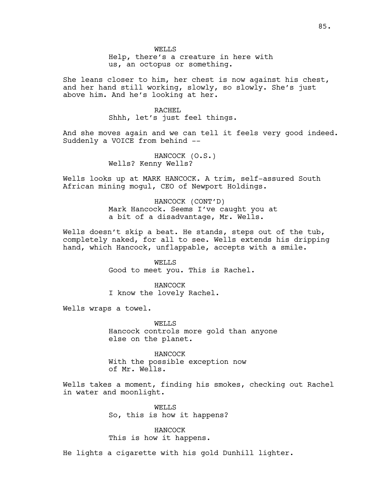Help, there's a creature in here with us, an octopus or something.

She leans closer to him, her chest is now against his chest, and her hand still working, slowly, so slowly. She's just above him. And he's looking at her.

# RACHEL

Shhh, let's just feel things.

And she moves again and we can tell it feels very good indeed. Suddenly a VOICE from behind --

> HANCOCK (O.S.) Wells? Kenny Wells?

Wells looks up at MARK HANCOCK. A trim, self-assured South African mining mogul, CEO of Newport Holdings.

> HANCOCK (CONT'D) Mark Hancock. Seems I've caught you at a bit of a disadvantage, Mr. Wells.

Wells doesn't skip a beat. He stands, steps out of the tub, completely naked, for all to see. Wells extends his dripping hand, which Hancock, unflappable, accepts with a smile.

> WELLS Good to meet you. This is Rachel.

HANCOCK I know the lovely Rachel.

Wells wraps a towel.

WELLS Hancock controls more gold than anyone else on the planet.

HANCOCK With the possible exception now of Mr. Wells.

Wells takes a moment, finding his smokes, checking out Rachel in water and moonlight.

> WELLS So, this is how it happens?

HANCOCK This is how it happens.

He lights a cigarette with his gold Dunhill lighter.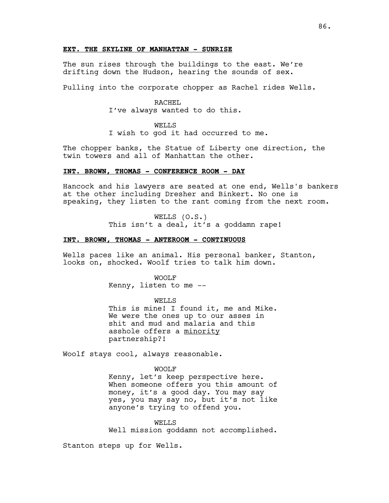### **EXT. THE SKYLINE OF MANHATTAN - SUNRISE**

The sun rises through the buildings to the east. We're drifting down the Hudson, hearing the sounds of sex.

Pulling into the corporate chopper as Rachel rides Wells.

#### RACHEL

I've always wanted to do this.

### WELLS

I wish to god it had occurred to me.

The chopper banks, the Statue of Liberty one direction, the twin towers and all of Manhattan the other.

### **INT. BROWN, THOMAS - CONFERENCE ROOM - DAY**

Hancock and his lawyers are seated at one end, Wells's bankers at the other including Dresher and Binkert. No one is speaking, they listen to the rant coming from the next room.

> WELLS (O.S.) This isn't a deal, it's a goddamn rape!

### **INT. BROWN, THOMAS - ANTEROOM - CONTINUOUS**

Wells paces like an animal. His personal banker, Stanton, looks on, shocked. Woolf tries to talk him down.

#### WOOLF

Kenny, listen to me --

WELLS This is mine! I found it, me and Mike. We were the ones up to our asses in shit and mud and malaria and this asshole offers a minority partnership?!

Woolf stays cool, always reasonable.

WOOLF Kenny, let's keep perspective here. When someone offers you this amount of money, it's a good day. You may say yes, you may say no, but it's not like anyone's trying to offend you.

WELLS Well mission goddamn not accomplished.

Stanton steps up for Wells.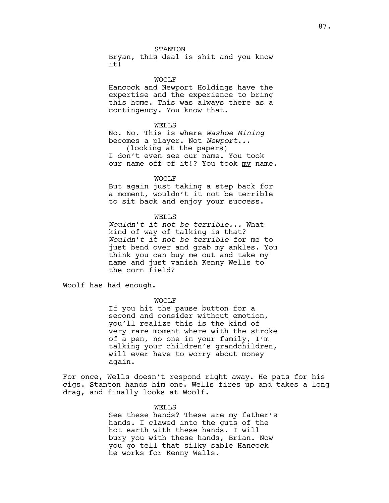STANTON

Bryan, this deal is shit and you know it!

WOOLF

Hancock and Newport Holdings have the expertise and the experience to bring this home. This was always there as a contingency. You know that.

#### WELLS

No. No. This is where *Washoe Mining* becomes a player. Not *Newport*... (looking at the papers) I don't even see our name. You took our name off of it!? You took my name.

WOOLF

But again just taking a step back for a moment, wouldn't it not be terrible to sit back and enjoy your success.

### WELLS

*Wouldn't it not be terrible...* What kind of way of talking is that? *Wouldn't it not be terrible* for me to just bend over and grab my ankles. You think you can buy me out and take my name and just vanish Kenny Wells to the corn field?

Woolf has had enough.

### WOOLF

If you hit the pause button for a second and consider without emotion, you'll realize this is the kind of very rare moment where with the stroke of a pen, no one in your family, I'm talking your children's grandchildren, will ever have to worry about money again.

For once, Wells doesn't respond right away. He pats for his cigs. Stanton hands him one. Wells fires up and takes a long drag, and finally looks at Woolf.

#### WELLS

See these hands? These are my father's hands. I clawed into the guts of the hot earth with these hands. I will bury you with these hands, Brian. Now you go tell that silky sable Hancock he works for Kenny Wells.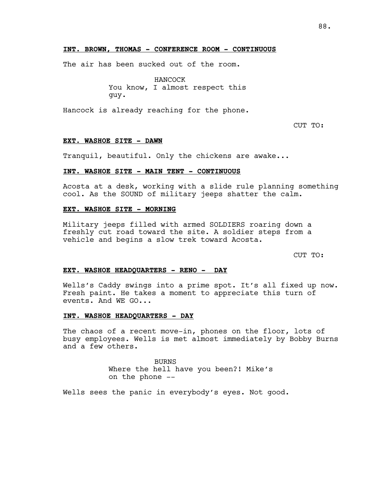### **INT. BROWN, THOMAS - CONFERENCE ROOM - CONTINUOUS**

The air has been sucked out of the room.

HANCOCK You know, I almost respect this guy.

Hancock is already reaching for the phone.

CUT TO:

#### **EXT. WASHOE SITE - DAWN**

Tranquil, beautiful. Only the chickens are awake...

### **INT. WASHOE SITE - MAIN TENT - CONTINUOUS**

Acosta at a desk, working with a slide rule planning something cool. As the SOUND of military jeeps shatter the calm.

### **EXT. WASHOE SITE - MORNING**

Military jeeps filled with armed SOLDIERS roaring down a freshly cut road toward the site. A soldier steps from a vehicle and begins a slow trek toward Acosta.

CUT TO:

### **EXT. WASHOE HEADQUARTERS - RENO - DAY**

Wells's Caddy swings into a prime spot. It's all fixed up now. Fresh paint. He takes a moment to appreciate this turn of events. And WE GO...

### **INT. WASHOE HEADQUARTERS - DAY**

The chaos of a recent move-in, phones on the floor, lots of busy employees. Wells is met almost immediately by Bobby Burns and a few others.

> BURNS Where the hell have you been?! Mike's on the phone --

Wells sees the panic in everybody's eyes. Not good.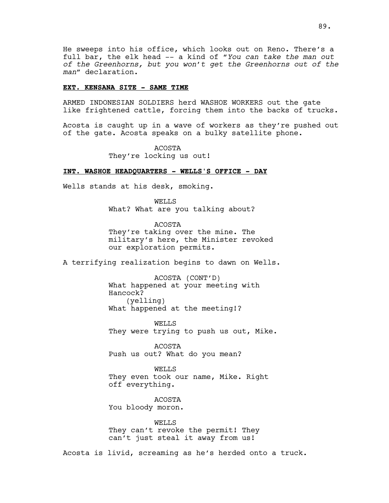He sweeps into his office, which looks out on Reno. There's a full bar, the elk head -- a kind of "*You can take the man out of the Greenhorns, but you won't get the Greenhorns out of the man"* declaration.

### **EXT. KENSANA SITE - SAME TIME**

ARMED INDONESIAN SOLDIERS herd WASHOE WORKERS out the gate like frightened cattle, forcing them into the backs of trucks.

Acosta is caught up in a wave of workers as they're pushed out of the gate. Acosta speaks on a bulky satellite phone.

> ACOSTA They're locking us out!

### **INT. WASHOE HEADQUARTERS - WELLS'S OFFICE - DAY**

Wells stands at his desk, smoking.

WELLS What? What are you talking about?

ACOSTA They're taking over the mine. The military's here, the Minister revoked our exploration permits.

A terrifying realization begins to dawn on Wells.

ACOSTA (CONT'D) What happened at your meeting with Hancock? (yelling) What happened at the meeting!?

WELL<sub>S</sub> They were trying to push us out, Mike.

ACOSTA Push us out? What do you mean?

WELLS They even took our name, Mike. Right off everything.

ACOSTA You bloody moron.

WELLS They can't revoke the permit! They can't just steal it away from us!

Acosta is livid, screaming as he's herded onto a truck.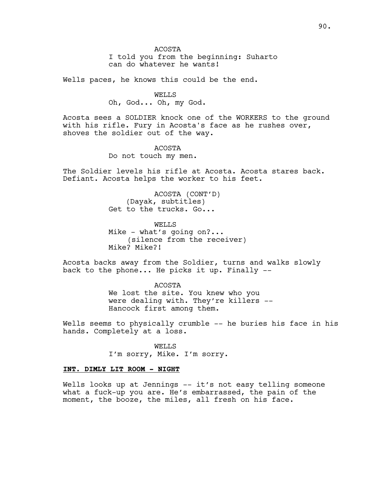ACOSTA

I told you from the beginning: Suharto can do whatever he wants!

Wells paces, he knows this could be the end.

WELLS Oh, God... Oh, my God.

Acosta sees a SOLDIER knock one of the WORKERS to the ground with his rifle. Fury in Acosta's face as he rushes over, shoves the soldier out of the way.

> ACOSTA Do not touch my men.

The Soldier levels his rifle at Acosta. Acosta stares back. Defiant. Acosta helps the worker to his feet.

> ACOSTA (CONT'D) (Dayak, subtitles) Get to the trucks. Go...

WELLS Mike - what's going on?... (silence from the receiver) Mike? Mike?!

Acosta backs away from the Soldier, turns and walks slowly back to the phone... He picks it up. Finally --

> ACOSTA We lost the site. You knew who you were dealing with. They're killers -- Hancock first among them.

Wells seems to physically crumble -- he buries his face in his hands. Completely at a loss.

> WELLS I'm sorry, Mike. I'm sorry.

### **INT. DIMLY LIT ROOM - NIGHT**

Wells looks up at Jennings -- it's not easy telling someone what a fuck-up you are. He's embarrassed, the pain of the moment, the booze, the miles, all fresh on his face.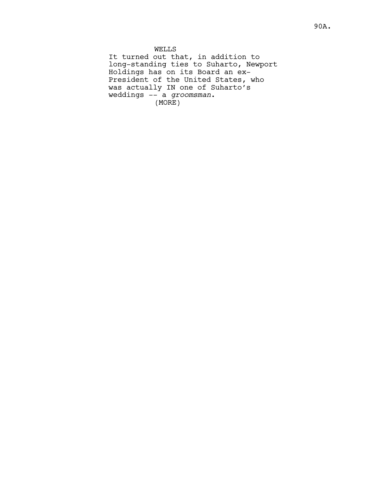WELLS It turned out that, in addition to long-standing ties to Suharto, Newport Holdings has on its Board an ex-President of the United States, who was actually IN one of Suharto's weddings -- a *groomsman*. (MORE)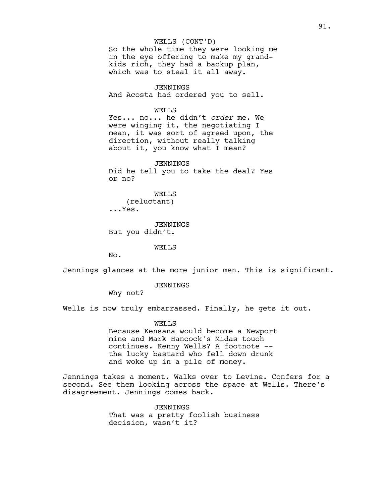WELLS (CONT'D) So the whole time they were looking me in the eye offering to make my grandkids rich, they had a backup plan, which was to steal it all away.

JENNINGS And Acosta had ordered you to sell.

WELLS

Yes... no... he didn't *order* me. We were winging it, the negotiating I mean, it was sort of agreed upon, the direction, without really talking about it, you know what I mean?

JENNINGS Did he tell you to take the deal? Yes or no?

WELLS (reluctant) ...Yes.

JENNINGS But you didn't.

#### WELLS

No.

Jennings glances at the more junior men. This is significant.

JENNINGS

Why not?

Wells is now truly embarrassed. Finally, he gets it out.

WELLS

Because Kensana would become a Newport mine and Mark Hancock's Midas touch continues. Kenny Wells? A footnote - the lucky bastard who fell down drunk and woke up in a pile of money.

Jennings takes a moment. Walks over to Levine. Confers for a second. See them looking across the space at Wells. There's disagreement. Jennings comes back.

> JENNINGS That was a pretty foolish business decision, wasn't it?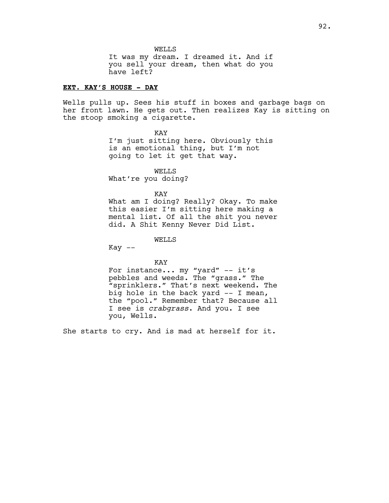WELLS It was my dream. I dreamed it. And if you sell your dream, then what do you have left?

### **EXT. KAY'S HOUSE - DAY**

Wells pulls up. Sees his stuff in boxes and garbage bags on her front lawn. He gets out. Then realizes Kay is sitting on the stoop smoking a cigarette.

> KAY I'm just sitting here. Obviously this is an emotional thing, but I'm not going to let it get that way.

WELLS What're you doing?

KAY

What am I doing? Really? Okay. To make this easier I'm sitting here making a mental list. Of all the shit you never did. A Shit Kenny Never Did List.

WELLS

 $Kay$   $--$ 

KAY

For instance... my "yard" -- it's pebbles and weeds. The "grass." The "sprinklers." That's next weekend. The big hole in the back yard -- I mean, the "pool." Remember that? Because all I see is *crabgrass*. And you. I see you, Wells.

She starts to cry. And is mad at herself for it.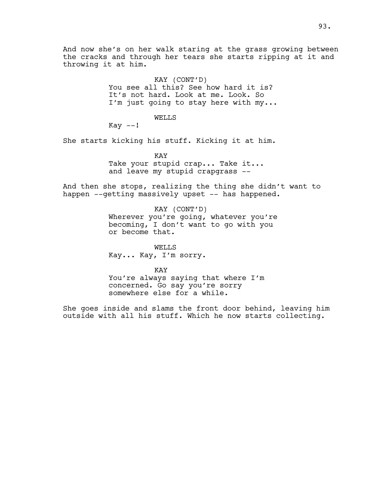And now she's on her walk staring at the grass growing between the cracks and through her tears she starts ripping at it and throwing it at him.

> KAY (CONT'D) You see all this? See how hard it is? It's not hard. Look at me. Look. So I'm just going to stay here with my...

### WELLS

 $Kay$   $--!$ 

She starts kicking his stuff. Kicking it at him.

KAY Take your stupid crap... Take it... and leave my stupid crapgrass --

And then she stops, realizing the thing she didn't want to happen --getting massively upset -- has happened.

> KAY (CONT'D) Wherever you're going, whatever you're becoming, I don't want to go with you or become that.

WELLS Kay... Kay, I'm sorry.

KAY You're always saying that where I'm concerned. Go say you're sorry somewhere else for a while.

She goes inside and slams the front door behind, leaving him outside with all his stuff. Which he now starts collecting.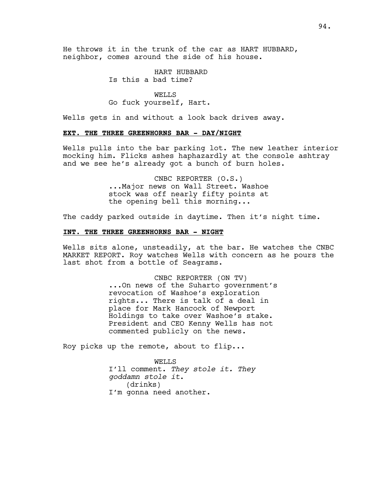He throws it in the trunk of the car as HART HUBBARD, neighbor, comes around the side of his house.

> HART HUBBARD Is this a bad time?

WELLS Go fuck yourself, Hart.

Wells gets in and without a look back drives away.

### **EXT. THE THREE GREENHORNS BAR - DAY/NIGHT**

Wells pulls into the bar parking lot. The new leather interior mocking him. Flicks ashes haphazardly at the console ashtray and we see he's already got a bunch of burn holes.

> CNBC REPORTER (O.S.) ...Major news on Wall Street. Washoe stock was off nearly fifty points at the opening bell this morning...

The caddy parked outside in daytime. Then it's night time.

### **INT. THE THREE GREENHORNS BAR - NIGHT**

Wells sits alone, unsteadily, at the bar. He watches the CNBC MARKET REPORT. Roy watches Wells with concern as he pours the last shot from a bottle of Seagrams.

> CNBC REPORTER (ON TV) ...On news of the Suharto government's revocation of Washoe's exploration rights... There is talk of a deal in place for Mark Hancock of Newport Holdings to take over Washoe's stake. President and CEO Kenny Wells has not commented publicly on the news.

Roy picks up the remote, about to flip...

WELLS I'll comment. *They stole it. They goddamn stole it*. (drinks) I'm gonna need another.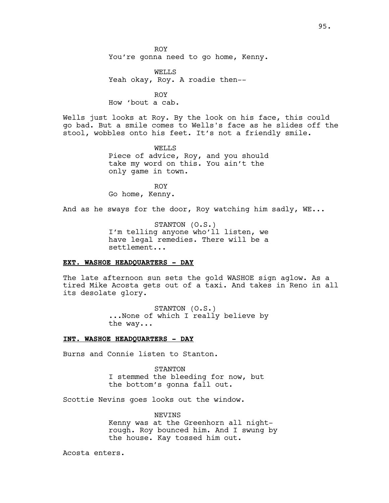ROY You're gonna need to go home, Kenny.

WELLS Yeah okay, Roy. A roadie then--

ROY How 'bout a cab.

Wells just looks at Roy. By the look on his face, this could go bad. But a smile comes to Wells's face as he slides off the stool, wobbles onto his feet. It's not a friendly smile.

> WELLS Piece of advice, Roy, and you should take my word on this. You ain't the only game in town.

ROY Go home, Kenny.

And as he sways for the door, Roy watching him sadly, WE...

STANTON (O.S.) I'm telling anyone who'll listen, we have legal remedies. There will be a settlement...

### **EXT. WASHOE HEADQUARTERS - DAY**

The late afternoon sun sets the gold WASHOE sign aglow. As a tired Mike Acosta gets out of a taxi. And takes in Reno in all its desolate glory.

> STANTON (O.S.) ...None of which I really believe by the way...

### **INT. WASHOE HEADQUARTERS - DAY**

Burns and Connie listen to Stanton.

STANTON I stemmed the bleeding for now, but the bottom's gonna fall out.

Scottie Nevins goes looks out the window.

NEVINS Kenny was at the Greenhorn all nightrough. Roy bounced him. And I swung by the house. Kay tossed him out.

Acosta enters.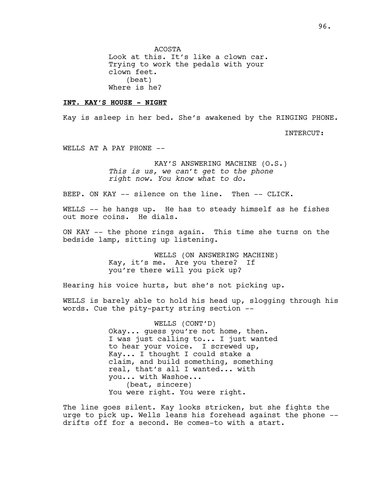ACOSTA Look at this. It's like a clown car. Trying to work the pedals with your clown feet. (beat) Where is he?

### **INT. KAY'S HOUSE - NIGHT**

Kay is asleep in her bed. She's awakened by the RINGING PHONE.

INTERCUT:

WELLS AT A PAY PHONE --

KAY'S ANSWERING MACHINE (O.S.) *This is us, we can't get to the phone right now. You know what to do.* 

BEEP. ON KAY -- silence on the line. Then -- CLICK.

WELLS -- he hangs up. He has to steady himself as he fishes out more coins. He dials.

ON KAY -- the phone rings again. This time she turns on the bedside lamp, sitting up listening.

> WELLS (ON ANSWERING MACHINE) Kay, it's me. Are you there? If you're there will you pick up?

Hearing his voice hurts, but she's not picking up.

WELLS is barely able to hold his head up, slogging through his words. Cue the pity-party string section --

> WELLS (CONT'D) Okay... guess you're not home, then. I was just calling to... I just wanted to hear your voice. I screwed up, Kay... I thought I could stake a claim, and build something, something real, that's all I wanted... with you... with Washoe... (beat, sincere) You were right. You were right.

The line goes silent. Kay looks stricken, but she fights the urge to pick up. Wells leans his forehead against the phone - drifts off for a second. He comes-to with a start.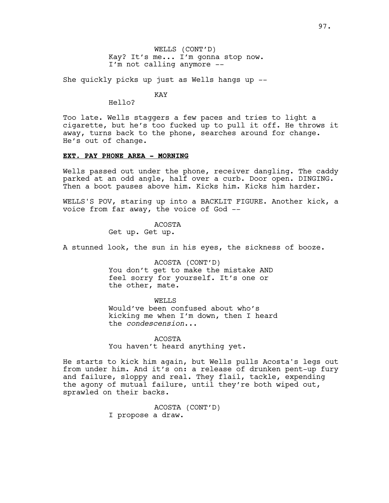WELLS (CONT'D) Kay? It's me... I'm gonna stop now. I'm not calling anymore --

She quickly picks up just as Wells hangs up --

KAY

Hello?

Too late. Wells staggers a few paces and tries to light a cigarette, but he's too fucked up to pull it off. He throws it away, turns back to the phone, searches around for change. He's out of change.

### **EXT. PAY PHONE AREA - MORNING**

Wells passed out under the phone, receiver dangling. The caddy parked at an odd angle, half over a curb. Door open. DINGING. Then a boot pauses above him. Kicks him. Kicks him harder.

WELLS'S POV, staring up into a BACKLIT FIGURE. Another kick, a voice from far away, the voice of God --

ACOSTA

Get up. Get up.

A stunned look, the sun in his eyes, the sickness of booze.

ACOSTA (CONT'D) You don't get to make the mistake AND feel sorry for yourself. It's one or the other, mate.

WELLS

Would've been confused about who's kicking me when I'm down, then I heard the *condescension*...

ACOSTA You haven't heard anything yet.

He starts to kick him again, but Wells pulls Acosta's legs out from under him. And it's on: a release of drunken pent-up fury and failure, sloppy and real. They flail, tackle, expending the agony of mutual failure, until they're both wiped out, sprawled on their backs.

> ACOSTA (CONT'D) I propose a draw.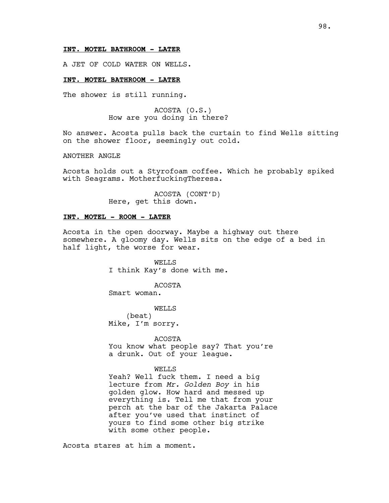### **INT. MOTEL BATHROOM - LATER**

A JET OF COLD WATER ON WELLS.

### **INT. MOTEL BATHROOM - LATER**

The shower is still running.

ACOSTA (O.S.) How are you doing in there?

No answer. Acosta pulls back the curtain to find Wells sitting on the shower floor, seemingly out cold.

ANOTHER ANGLE

Acosta holds out a Styrofoam coffee. Which he probably spiked with Seagrams. MotherfuckingTheresa.

> ACOSTA (CONT'D) Here, get this down.

### **INT. MOTEL - ROOM - LATER**

Acosta in the open doorway. Maybe a highway out there somewhere. A gloomy day. Wells sits on the edge of a bed in half light, the worse for wear.

> WELLS I think Kay's done with me.

> > ACOSTA

Smart woman.

WELLS (beat) Mike, I'm sorry.

ACOSTA

You know what people say? That you're a drunk. Out of your league.

#### WELLS

Yeah? Well fuck them. I need a big lecture from *Mr. Golden Boy* in his golden glow. How hard and messed up everything is. Tell me that from your perch at the bar of the Jakarta Palace after you've used that instinct of yours to find some other big strike with some other people.

Acosta stares at him a moment.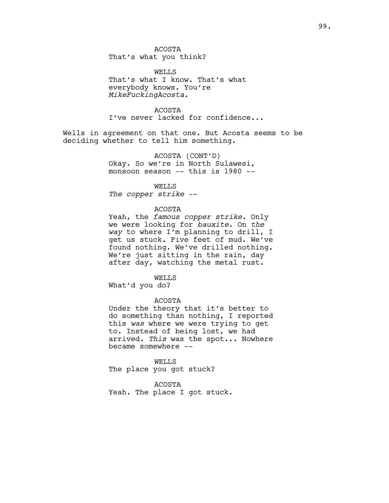ACOSTA That's what you think?

WELLS That's what I know. That's what everybody knows. You're *MikeFuckingAcosta*.

ACOSTA I've never lacked for confidence...

Wells in agreement on that one. But Acosta seems to be deciding whether to tell him something.

> ACOSTA (CONT'D) Okay. So we're in North Sulawesi, monsoon season -- this is 1980 --

> > WELLS

*The copper strike* --

#### ACOSTA

Yeah, the *famous copper strike*. Only we were looking for *bauxite*. On *the way* to where I'm planning to drill, I get us stuck. Five feet of mud. We've found nothing. We've drilled nothing. We're just sitting in the rain, day after day, watching the metal rust.

WELLS

What'd you do?

# ACOSTA

Under the theory that it's better to do something than nothing, I reported this *was* where we were trying to get to. Instead of being lost, we had arrived. *This* was the spot... Nowhere became somewhere --

WELLS The place you got stuck?

ACOSTA Yeah. The place I got stuck.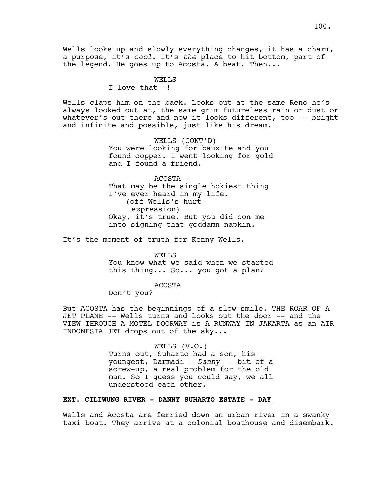Wells looks up and slowly everything changes, it has a charm, a purpose, it's *cool*. It's *the* place to hit bottom, part of the legend. He goes up to Acosta. A beat. Then...

> **WELLS** I love that--!

Wells claps him on the back. Looks out at the same Reno he's always looked out at, the same grim futureless rain or dust or whatever's out there and now it looks different, too -- bright and infinite and possible, just like his dream.

> WELLS (CONT'D) You were looking for bauxite and you found copper. I went looking for gold and I found a friend.

ACOSTA That may be the single hokiest thing I've ever heard in my life. (off Wells's hurt expression) Okay, it's true. But you did con me into signing that goddamn napkin.

It's the moment of truth for Kenny Wells.

WELLS You know what we said when we started this thing... So... you got a plan?

ACOSTA

Don't you?

But ACOSTA has the beginnings of a slow smile. THE ROAR OF A JET PLANE -- Wells turns and looks out the door -- and the VIEW THROUGH A MOTEL DOORWAY is A RUNWAY IN JAKARTA as an AIR INDONESIA JET drops out of the sky...

> WELLS (V.O.) Turns out, Suharto had a son, his youngest, Darmadi - *Danny* -- bit of a screw-up, a real problem for the old man. So I guess you could say, we all understood each other.

# **EXT. CILIWUNG RIVER - DANNY SUHARTO ESTATE - DAY**

Wells and Acosta are ferried down an urban river in a swanky taxi boat. They arrive at a colonial boathouse and disembark.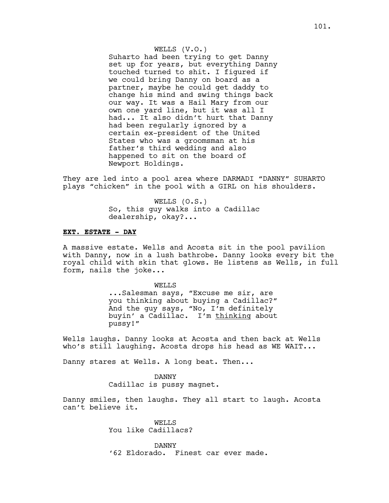WELLS (V.O.) Suharto had been trying to get Danny set up for years, but everything Danny touched turned to shit. I figured if we could bring Danny on board as a partner, maybe he could get daddy to change his mind and swing things back our way. It was a Hail Mary from our own one yard line, but it was all I had... It also didn't hurt that Danny had been regularly ignored by a certain ex-president of the United States who was a groomsman at his father's third wedding and also happened to sit on the board of Newport Holdings.

They are led into a pool area where DARMADI "DANNY" SUHARTO plays "chicken" in the pool with a GIRL on his shoulders.

> WELLS (O.S.) So, this guy walks into a Cadillac dealership, okay?...

### **EXT. ESTATE - DAY**

A massive estate. Wells and Acosta sit in the pool pavilion with Danny, now in a lush bathrobe. Danny looks every bit the royal child with skin that glows. He listens as Wells, in full form, nails the joke...

> WELL<sub>S</sub> ...Salesman says, "Excuse me sir, are you thinking about buying a Cadillac?" And the guy says, "No, I'm definitely buyin' a Cadillac. I'm thinking about pussy!"

Wells laughs. Danny looks at Acosta and then back at Wells who's still laughing. Acosta drops his head as WE WAIT...

Danny stares at Wells. A long beat. Then...

DANNY Cadillac is pussy magnet.

Danny smiles, then laughs. They all start to laugh. Acosta can't believe it.

> WELLS You like Cadillacs?

DANNY '62 Eldorado. Finest car ever made.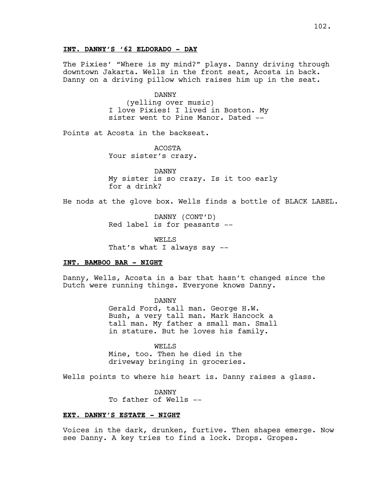### **INT. DANNY'S '62 ELDORADO - DAY**

The Pixies' "Where is my mind?" plays. Danny driving through downtown Jakarta. Wells in the front seat, Acosta in back. Danny on a driving pillow which raises him up in the seat.

> DANNY (yelling over music) I love Pixies! I lived in Boston. My sister went to Pine Manor. Dated --

Points at Acosta in the backseat.

ACOSTA Your sister's crazy.

DANNY My sister is so crazy. Is it too early for a drink?

He nods at the glove box. Wells finds a bottle of BLACK LABEL.

DANNY (CONT'D) Red label is for peasants --

WELLS That's what I always say --

### **INT. BAMBOO BAR - NIGHT**

Danny, Wells, Acosta in a bar that hasn't changed since the Dutch were running things. Everyone knows Danny.

> DANNY Gerald Ford, tall man. George H.W. Bush, a very tall man. Mark Hancock a tall man. My father a small man. Small in stature. But he loves his family.

WELLS Mine, too. Then he died in the driveway bringing in groceries.

Wells points to where his heart is. Danny raises a glass.

DANNY To father of Wells --

### **EXT. DANNY'S ESTATE - NIGHT**

Voices in the dark, drunken, furtive. Then shapes emerge. Now see Danny. A key tries to find a lock. Drops. Gropes.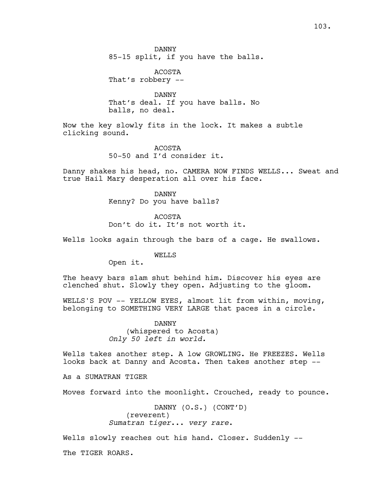DANNY 85-15 split, if you have the balls.

ACOSTA That's robbery --

DANNY That's deal. If you have balls. No balls, no deal.

Now the key slowly fits in the lock. It makes a subtle clicking sound.

> ACOSTA 50-50 and I'd consider it.

Danny shakes his head, no. CAMERA NOW FINDS WELLS... Sweat and true Hail Mary desperation all over his face.

> DANNY Kenny? Do you have balls?

> > ACOSTA

Don't do it. It's not worth it.

Wells looks again through the bars of a cage. He swallows.

WELLS

Open it.

The heavy bars slam shut behind him. Discover his eyes are clenched shut. Slowly they open. Adjusting to the gloom.

WELLS'S POV -- YELLOW EYES, almost lit from within, moving, belonging to SOMETHING VERY LARGE that paces in a circle.

> DANNY (whispered to Acosta) *Only 50 left in world.*

Wells takes another step. A low GROWLING. He FREEZES. Wells looks back at Danny and Acosta. Then takes another step --

As a SUMATRAN TIGER

Moves forward into the moonlight. Crouched, ready to pounce.

DANNY (O.S.) (CONT'D) (reverent) *Sumatran tiger*... *very rare*.

Wells slowly reaches out his hand. Closer. Suddenly --

The TIGER ROARS.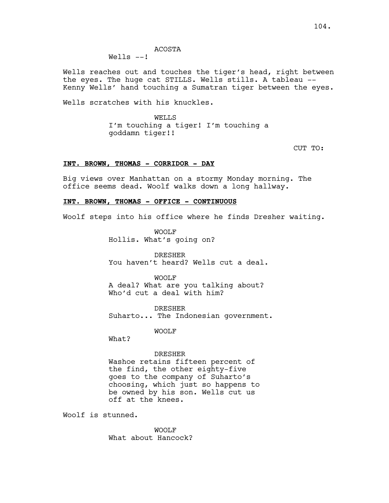ACOSTA

Wells  $--!$ 

Wells reaches out and touches the tiger's head, right between the eyes. The huge cat STILLS. Wells stills. A tableau -- Kenny Wells' hand touching a Sumatran tiger between the eyes.

Wells scratches with his knuckles.

WELL<sub>S</sub> I'm touching a tiger! I'm touching a goddamn tiger!!

CUT TO:

### **INT. BROWN, THOMAS - CORRIDOR - DAY**

Big views over Manhattan on a stormy Monday morning. The office seems dead. Woolf walks down a long hallway.

### **INT. BROWN, THOMAS - OFFICE - CONTINUOUS**

Woolf steps into his office where he finds Dresher waiting.

WOOLF Hollis. What's going on?

DRESHER You haven't heard? Wells cut a deal.

WOOLF

A deal? What are you talking about? Who'd cut a deal with him?

DRESHER Suharto... The Indonesian government.

WOOLF

What?

#### DRESHER

Washoe retains fifteen percent of the find, the other eighty-five goes to the company of Suharto's choosing, which just so happens to be owned by his son. Wells cut us off at the knees.

Woolf is stunned.

WOOLF What about Hancock?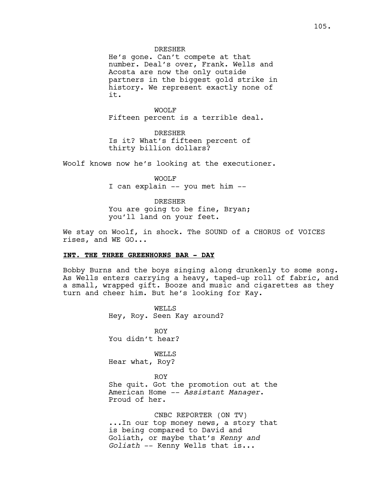He's gone. Can't compete at that number. Deal's over, Frank. Wells and Acosta are now the only outside partners in the biggest gold strike in history. We represent exactly none of it.

WOOLF Fifteen percent is a terrible deal.

DRESHER Is it? What's fifteen percent of thirty billion dollars?

Woolf knows now he's looking at the executioner.

WOOLF I can explain -- you met him --

DRESHER You are going to be fine, Bryan; you'll land on your feet.

We stay on Woolf, in shock. The SOUND of a CHORUS of VOICES rises, and WE GO...

### **INT. THE THREE GREENHORNS BAR - DAY**

Bobby Burns and the boys singing along drunkenly to some song. As Wells enters carrying a heavy, taped-up roll of fabric, and a small, wrapped gift. Booze and music and cigarettes as they turn and cheer him. But he's looking for Kay.

> WELLS Hey, Roy. Seen Kay around?

ROY You didn't hear?

WELLS Hear what, Roy?

#### ROY

She quit. Got the promotion out at the American Home -- *Assistant Manager*. Proud of her.

CNBC REPORTER (ON TV) ...In our top money news, a story that is being compared to David and Goliath, or maybe that's *Kenny and Goliath* -- Kenny Wells that is...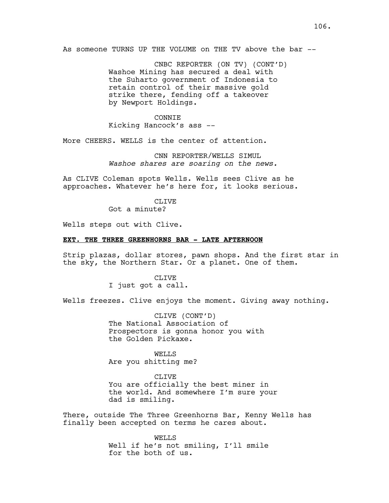As someone TURNS UP THE VOLUME on THE TV above the bar --

CNBC REPORTER (ON TV) (CONT'D) Washoe Mining has secured a deal with the Suharto government of Indonesia to retain control of their massive gold strike there, fending off a takeover by Newport Holdings.

### CONNIE Kicking Hancock's ass --

More CHEERS. WELLS is the center of attention.

CNN REPORTER/WELLS SIMUL *Washoe shares are soaring on the news.*

As CLIVE Coleman spots Wells. Wells sees Clive as he approaches. Whatever he's here for, it looks serious.

> **CLIVE** Got a minute?

Wells steps out with Clive.

### **EXT. THE THREE GREENHORNS BAR - LATE AFTERNOON**

Strip plazas, dollar stores, pawn shops. And the first star in the sky, the Northern Star. Or a planet. One of them.

> CLIVE I just got a call.

Wells freezes. Clive enjoys the moment. Giving away nothing.

CLIVE (CONT'D) The National Association of Prospectors is gonna honor you with the Golden Pickaxe.

WELLS Are you shitting me?

CLIVE You are officially the best miner in the world. And somewhere I'm sure your dad is smiling.

There, outside The Three Greenhorns Bar, Kenny Wells has finally been accepted on terms he cares about.

> WELLS Well if he's not smiling, I'll smile for the both of us.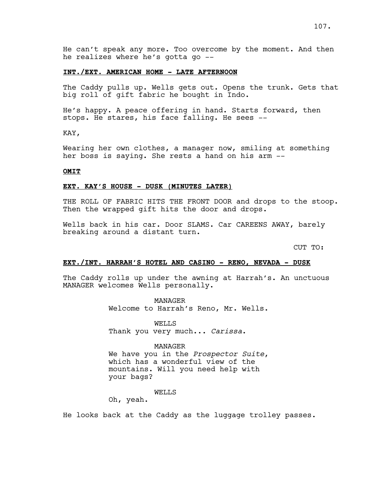#### **INT./EXT. AMERICAN HOME - LATE AFTERNOON**

The Caddy pulls up. Wells gets out. Opens the trunk. Gets that big roll of gift fabric he bought in Indo.

He's happy. A peace offering in hand. Starts forward, then stops. He stares, his face falling. He sees --

KAY,

Wearing her own clothes, a manager now, smiling at something her boss is saying. She rests a hand on his arm --

### **OMIT**

### **EXT. KAY'S HOUSE - DUSK (MINUTES LATER)**

THE ROLL OF FABRIC HITS THE FRONT DOOR and drops to the stoop. Then the wrapped gift hits the door and drops.

Wells back in his car. Door SLAMS. Car CAREENS AWAY, barely breaking around a distant turn.

CUT TO:

#### **EXT./INT. HARRAH'S HOTEL AND CASINO - RENO, NEVADA - DUSK**

The Caddy rolls up under the awning at Harrah's. An unctuous MANAGER welcomes Wells personally.

MANAGER

Welcome to Harrah's Reno, Mr. Wells.

WELLS Thank you very much... *Carissa*.

MANAGER We have you in the *Prospector Suite*, which has a wonderful view of the mountains. Will you need help with your bags?

#### WELLS

Oh, yeah.

He looks back at the Caddy as the luggage trolley passes.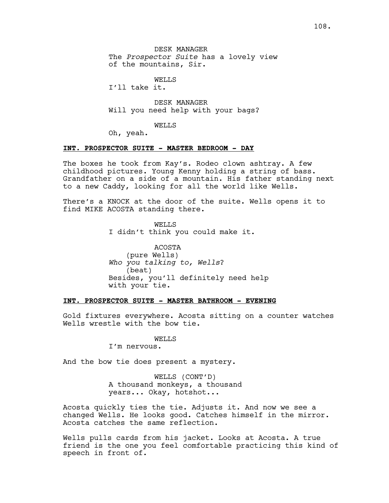DESK MANAGER The *Prospector Suite* has a lovely view of the mountains, Sir.

WELLS

I'll take it.

DESK MANAGER Will you need help with your bags?

WELLS

Oh, yeah.

### **INT. PROSPECTOR SUITE - MASTER BEDROOM - DAY**

The boxes he took from Kay's. Rodeo clown ashtray. A few childhood pictures. Young Kenny holding a string of bass. Grandfather on a side of a mountain. His father standing next to a new Caddy, looking for all the world like Wells.

There's a KNOCK at the door of the suite. Wells opens it to find MIKE ACOSTA standing there.

> WELLS I didn't think you could make it.

ACOSTA (pure Wells) *Who you talking to, Wells*? (beat) Besides, you'll definitely need help with your tie.

### **INT. PROSPECTOR SUITE - MASTER BATHROOM - EVENING**

Gold fixtures everywhere. Acosta sitting on a counter watches Wells wrestle with the bow tie.

### WELLS

I'm nervous.

And the bow tie does present a mystery.

WELLS (CONT'D) A thousand monkeys, a thousand years... Okay, hotshot...

Acosta quickly ties the tie. Adjusts it. And now we see a changed Wells. He looks good. Catches himself in the mirror. Acosta catches the same reflection.

Wells pulls cards from his jacket. Looks at Acosta. A true friend is the one you feel comfortable practicing this kind of speech in front of.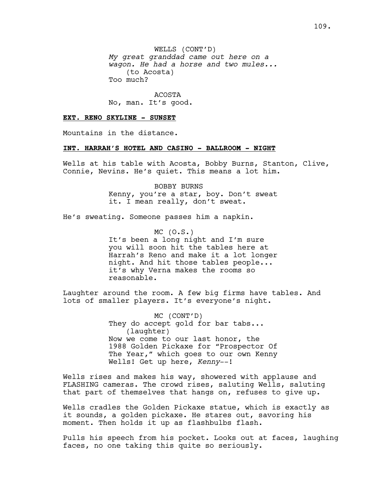WELLS (CONT'D) *My great granddad came out here on a wagon. He had a horse and two mules...* (to Acosta) Too much?

ACOSTA No, man. It's good.

#### **EXT. RENO SKYLINE - SUNSET**

Mountains in the distance.

## **INT. HARRAH'S HOTEL AND CASINO - BALLROOM - NIGHT**

Wells at his table with Acosta, Bobby Burns, Stanton, Clive, Connie, Nevins. He's quiet. This means a lot him.

> BOBBY BURNS Kenny, you're a star, boy. Don't sweat it. I mean really, don't sweat.

He's sweating. Someone passes him a napkin.

 $MC (0.S.)$ It's been a long night and I'm sure you will soon hit the tables here at Harrah's Reno and make it a lot longer night. And hit those tables people... it's why Verna makes the rooms so reasonable.

Laughter around the room. A few big firms have tables. And lots of smaller players. It's everyone's night.

> MC (CONT'D) They do accept gold for bar tabs... (laughter) Now we come to our last honor, the 1988 Golden Pickaxe for "Prospector Of The Year," which goes to our own Kenny Wells! Get up here, *Kenny*--!

Wells rises and makes his way, showered with applause and FLASHING cameras. The crowd rises, saluting Wells, saluting that part of themselves that hangs on, refuses to give up.

Wells cradles the Golden Pickaxe statue, which is exactly as it sounds, a golden pickaxe. He stares out, savoring his moment. Then holds it up as flashbulbs flash.

Pulls his speech from his pocket. Looks out at faces, laughing faces, no one taking this quite so seriously.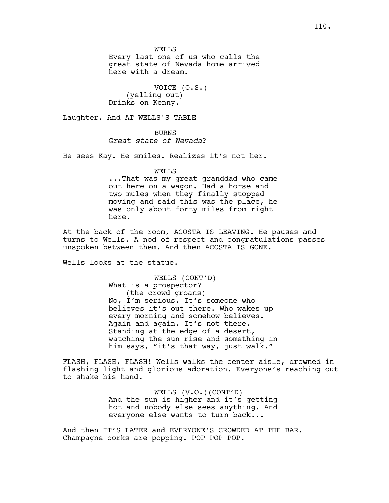WELLS

Every last one of us who calls the great state of Nevada home arrived here with a dream.

VOICE (O.S.) (yelling out) Drinks on Kenny.

Laughter. And AT WELLS'S TABLE --

BURNS G*reat state of Nevada*?

He sees Kay. He smiles. Realizes it's not her.

## WELLS

...That was my great granddad who came out here on a wagon. Had a horse and two mules when they finally stopped moving and said this was the place, he was only about forty miles from right here.

At the back of the room, ACOSTA IS LEAVING. He pauses and turns to Wells. A nod of respect and congratulations passes unspoken between them. And then ACOSTA IS GONE.

Wells looks at the statue.

WELLS (CONT'D) What is a prospector? (the crowd groans) No, I'm serious. It's someone who believes it's out there. Who wakes up every morning and somehow believes. Again and again. It's not there. Standing at the edge of a desert, watching the sun rise and something in him says, "it's that way, just walk."

FLASH, FLASH, FLASH! Wells walks the center aisle, drowned in flashing light and glorious adoration. Everyone's reaching out to shake his hand.

> WELLS (V.O.)(CONT'D) And the sun is higher and it's getting hot and nobody else sees anything. And everyone else wants to turn back...

And then IT'S LATER and EVERYONE'S CROWDED AT THE BAR. Champagne corks are popping. POP POP POP.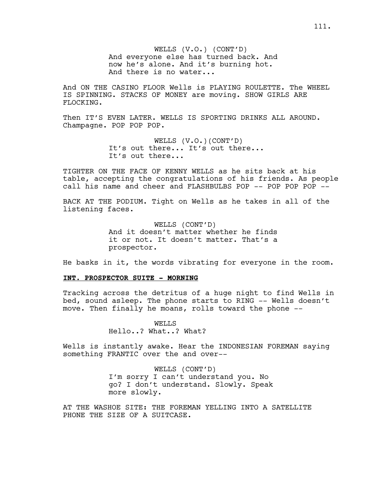WELLS (V.O.) (CONT'D) And everyone else has turned back. And now he's alone. And it's burning hot. And there is no water...

And ON THE CASINO FLOOR Wells is PLAYING ROULETTE. The WHEEL IS SPINNING. STACKS OF MONEY are moving. SHOW GIRLS ARE FLOCKING.

Then IT'S EVEN LATER. WELLS IS SPORTING DRINKS ALL AROUND. Champagne. POP POP POP.

> WELLS (V.O.)(CONT'D) It's out there... It's out there... It's out there...

TIGHTER ON THE FACE OF KENNY WELLS as he sits back at his table, accepting the congratulations of his friends. As people call his name and cheer and FLASHBULBS POP -- POP POP POP --

BACK AT THE PODIUM. Tight on Wells as he takes in all of the listening faces.

> WELLS (CONT'D) And it doesn't matter whether he finds it or not. It doesn't matter. That's a prospector.

He basks in it, the words vibrating for everyone in the room.

#### **INT. PROSPECTOR SUITE - MORNING**

Tracking across the detritus of a huge night to find Wells in bed, sound asleep. The phone starts to RING -- Wells doesn't move. Then finally he moans, rolls toward the phone --

> WELLS Hello..? What..? What?

Wells is instantly awake. Hear the INDONESIAN FOREMAN saying something FRANTIC over the and over--

> WELLS (CONT'D) I'm sorry I can't understand you. No go? I don't understand. Slowly. Speak more slowly.

AT THE WASHOE SITE: THE FOREMAN YELLING INTO A SATELLITE PHONE THE SIZE OF A SUITCASE.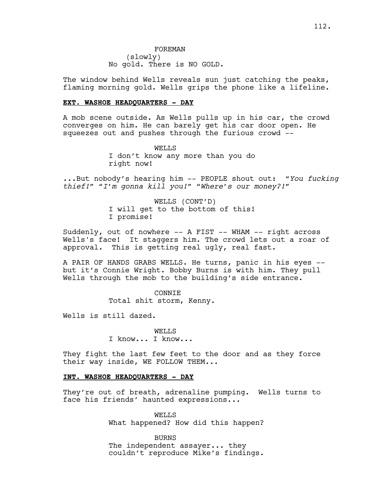FOREMAN (slowly) No gold. There is NO GOLD.

The window behind Wells reveals sun just catching the peaks, flaming morning gold. Wells grips the phone like a lifeline.

## **EXT. WASHOE HEADQUARTERS - DAY**

A mob scene outside. As Wells pulls up in his car, the crowd converges on him. He can barely get his car door open. He squeezes out and pushes through the furious crowd --

> WELLS I don't know any more than you do right now!

...But nobody's hearing him -- PEOPLE shout out: *"You fucking thief!" "I'm gonna kill you!" "Where's our money?!"*

> WELLS (CONT'D) I will get to the bottom of this! I promise!

Suddenly, out of nowhere -- A FIST -- WHAM -- right across Wells's face! It staggers him. The crowd lets out a roar of approval. This is getting real ugly, real fast.

A PAIR OF HANDS GRABS WELLS. He turns, panic in his eyes - but it's Connie Wright. Bobby Burns is with him. They pull Wells through the mob to the building's side entrance.

> CONNIE Total shit storm, Kenny.

Wells is still dazed.

WELL<sub>S</sub> I know... I know...

They fight the last few feet to the door and as they force their way inside, WE FOLLOW THEM...

# **INT. WASHOE HEADQUARTERS - DAY**

They're out of breath, adrenaline pumping. Wells turns to face his friends' haunted expressions...

> WELLS What happened? How did this happen?

> BURNS The independent assayer... they couldn't reproduce Mike's findings.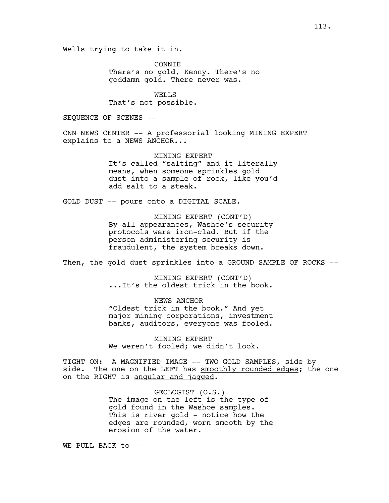Wells trying to take it in.

CONNIE There's no gold, Kenny. There's no goddamn gold. There never was.

WELLS That's not possible.

SEQUENCE OF SCENES --

CNN NEWS CENTER -- A professorial looking MINING EXPERT explains to a NEWS ANCHOR...

> MINING EXPERT It's called "salting" and it literally means, when someone sprinkles gold dust into a sample of rock, like you'd add salt to a steak.

GOLD DUST -- pours onto a DIGITAL SCALE.

MINING EXPERT (CONT'D) By all appearances, Washoe's security protocols were iron-clad. But if the person administering security is fraudulent, the system breaks down.

Then, the gold dust sprinkles into a GROUND SAMPLE OF ROCKS --

MINING EXPERT (CONT'D) ...It's the oldest trick in the book.

NEWS ANCHOR "Oldest trick in the book." And yet major mining corporations, investment banks, auditors, everyone was fooled.

MINING EXPERT We weren't fooled; we didn't look.

TIGHT ON: A MAGNIFIED IMAGE -- TWO GOLD SAMPLES, side by side. The one on the LEFT has smoothly rounded edges; the one on the RIGHT is angular and jagged.

> GEOLOGIST (O.S.) The image on the left is the type of gold found in the Washoe samples. This is river gold - notice how the edges are rounded, worn smooth by the erosion of the water.

WE PULL BACK to --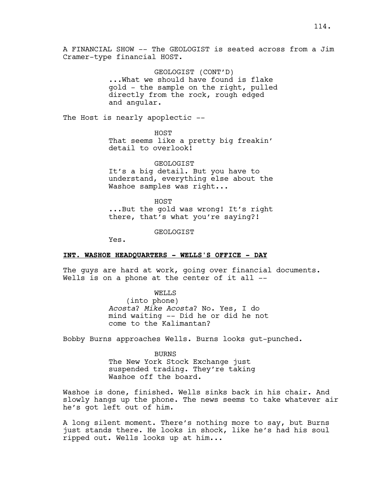A FINANCIAL SHOW -- The GEOLOGIST is seated across from a Jim Cramer-type financial HOST.

> GEOLOGIST (CONT'D) ...What we should have found is flake gold - the sample on the right, pulled directly from the rock, rough edged and angular.

The Host is nearly apoplectic --

HOST That seems like a pretty big freakin' detail to overlook!

GEOLOGIST It's a big detail. But you have to understand, everything else about the Washoe samples was right...

HOST ...But the gold was wrong! It's right there, that's what you're saying?!

GEOLOGIST

Yes.

#### **INT. WASHOE HEADQUARTERS - WELLS'S OFFICE - DAY**

The guys are hard at work, going over financial documents. Wells is on a phone at the center of it all --

WELLS

(into phone) *Acosta*? *Mike Acosta*? No. Yes, I do mind waiting -- Did he or did he not come to the Kalimantan?

Bobby Burns approaches Wells. Burns looks gut-punched.

BURNS The New York Stock Exchange just suspended trading. They're taking Washoe off the board.

Washoe is done, finished. Wells sinks back in his chair. And slowly hangs up the phone. The news seems to take whatever air he's got left out of him.

A long silent moment. There's nothing more to say, but Burns just stands there. He looks in shock, like he's had his soul ripped out. Wells looks up at him...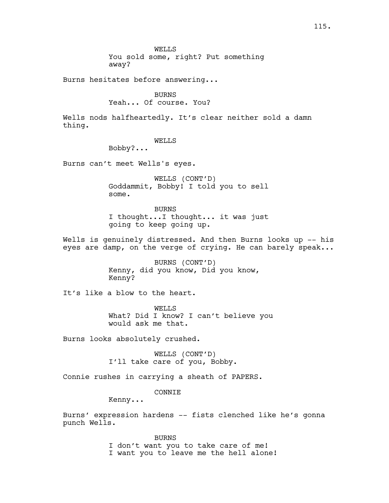Burns hesitates before answering...

BURNS Yeah... Of course. You?

Wells nods halfheartedly. It's clear neither sold a damn thing.

# WELLS

Bobby?...

Burns can't meet Wells's eyes.

WELLS (CONT'D) Goddammit, Bobby! I told you to sell some.

BURNS I thought...I thought... it was just going to keep going up.

Wells is genuinely distressed. And then Burns looks up -- his eyes are damp, on the verge of crying. He can barely speak...

> BURNS (CONT'D) Kenny, did you know, Did you know, Kenny?

It's like a blow to the heart.

WELLS What? Did I know? I can't believe you would ask me that.

Burns looks absolutely crushed.

WELLS (CONT'D) I'll take care of you, Bobby.

Connie rushes in carrying a sheath of PAPERS.

CONNIE

Kenny...

Burns' expression hardens -- fists clenched like he's gonna punch Wells.

> BURNS I don't want you to take care of me! I want you to leave me the hell alone!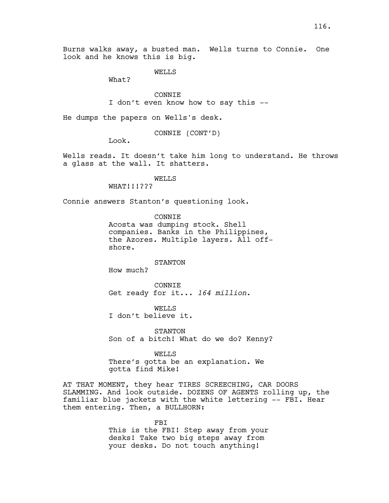Burns walks away, a busted man. Wells turns to Connie. One look and he knows this is big.

WELLS

What?

CONNIE I don't even know how to say this --

He dumps the papers on Wells's desk.

CONNIE (CONT'D)

Look.

Wells reads. It doesn't take him long to understand. He throws a glass at the wall. It shatters.

WELLS

WHAT!!!???

Connie answers Stanton's questioning look.

CONNIE Acosta was dumping stock. Shell companies. Banks in the Philippines, the Azores. Multiple layers. All offshore.

STANTON

How much?

CONNIE Get ready for it... *164 million*.

WELLS I don't believe it.

STANTON Son of a bitch! What do we do? Kenny?

WELLS There's gotta be an explanation. We gotta find Mike!

AT THAT MOMENT, they hear TIRES SCREECHING, CAR DOORS SLAMMING. And look outside. DOZENS OF AGENTS rolling up, the familiar blue jackets with the white lettering -- FBI. Hear them entering. Then, a BULLHORN:

> FBI This is the FBI! Step away from your desks! Take two big steps away from your desks. Do not touch anything!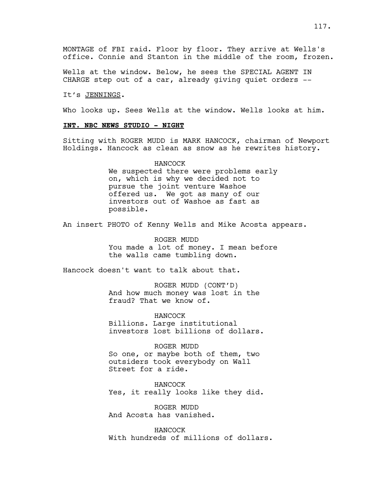Wells at the window. Below, he sees the SPECIAL AGENT IN CHARGE step out of a car, already giving quiet orders --

#### It's JENNINGS.

Who looks up. Sees Wells at the window. Wells looks at him.

## **INT. NBC NEWS STUDIO - NIGHT**

Sitting with ROGER MUDD is MARK HANCOCK, chairman of Newport Holdings. Hancock as clean as snow as he rewrites history.

# HANCOCK We suspected there were problems early on, which is why we decided not to pursue the joint venture Washoe offered us. We got as many of our investors out of Washoe as fast as possible.

An insert PHOTO of Kenny Wells and Mike Acosta appears.

ROGER MUDD You made a lot of money. I mean before the walls came tumbling down.

Hancock doesn't want to talk about that.

ROGER MUDD (CONT'D) And how much money was lost in the fraud? That we know of.

HANCOCK Billions. Large institutional investors lost billions of dollars.

ROGER MUDD

So one, or maybe both of them, two outsiders took everybody on Wall Street for a ride.

HANCOCK Yes, it really looks like they did.

ROGER MUDD And Acosta has vanished.

HANCOCK With hundreds of millions of dollars.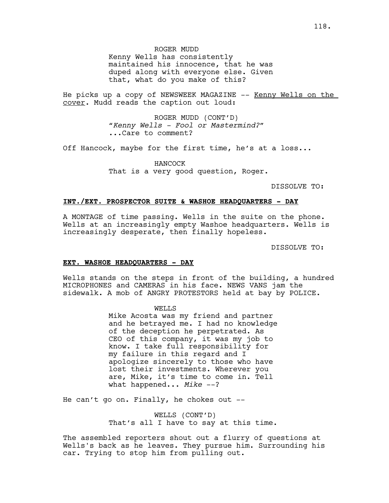He picks up a copy of NEWSWEEK MAGAZINE -- Kenny Wells on the cover. Mudd reads the caption out loud:

> ROGER MUDD (CONT'D) *"Kenny Wells - Fool or Mastermind?"* ...Care to comment?

Off Hancock, maybe for the first time, he's at a loss...

HANCOCK That is a very good question, Roger.

DISSOLVE TO:

#### **INT./EXT. PROSPECTOR SUITE & WASHOE HEADQUARTERS - DAY**

A MONTAGE of time passing. Wells in the suite on the phone. Wells at an increasingly empty Washoe headquarters. Wells is increasingly desperate, then finally hopeless.

DISSOLVE TO:

#### **EXT. WASHOE HEADQUARTERS - DAY**

Wells stands on the steps in front of the building, a hundred MICROPHONES and CAMERAS in his face. NEWS VANS jam the sidewalk. A mob of ANGRY PROTESTORS held at bay by POLICE.

> WELLS Mike Acosta was my friend and partner and he betrayed me. I had no knowledge of the deception he perpetrated. As CEO of this company, it was my job to know. I take full responsibility for my failure in this regard and I apologize sincerely to those who have lost their investments. Wherever you are, Mike, it's time to come in. Tell what happened... Mike --?

He can't go on. Finally, he chokes out --

WELLS (CONT'D) That's all I have to say at this time.

The assembled reporters shout out a flurry of questions at Wells's back as he leaves. They pursue him. Surrounding his car. Trying to stop him from pulling out.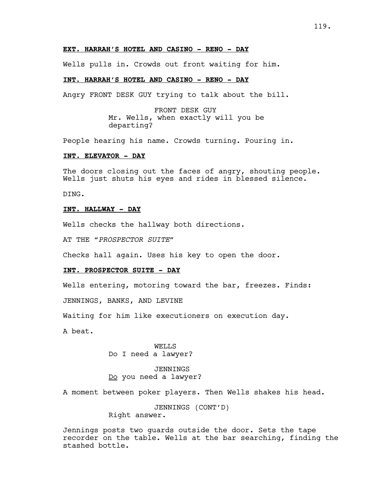## **EXT. HARRAH'S HOTEL AND CASINO - RENO - DAY**

Wells pulls in. Crowds out front waiting for him.

## **INT. HARRAH'S HOTEL AND CASINO - RENO - DAY**

Angry FRONT DESK GUY trying to talk about the bill.

FRONT DESK GUY Mr. Wells, when exactly will you be departing?

People hearing his name. Crowds turning. Pouring in.

#### **INT. ELEVATOR - DAY**

The doors closing out the faces of angry, shouting people. Wells just shuts his eyes and rides in blessed silence.

DING.

## **INT. HALLWAY - DAY**

Wells checks the hallway both directions.

AT THE "*PROSPECTOR SUITE*"

Checks hall again. Uses his key to open the door.

## **INT. PROSPECTOR SUITE - DAY**

Wells entering, motoring toward the bar, freezes. Finds:

JENNINGS, BANKS, AND LEVINE

Waiting for him like executioners on execution day.

A beat.

WELLS Do I need a lawyer?

JENNINGS Do you need a lawyer?

A moment between poker players. Then Wells shakes his head.

JENNINGS (CONT'D)

Right answer.

Jennings posts two guards outside the door. Sets the tape recorder on the table. Wells at the bar searching, finding the stashed bottle.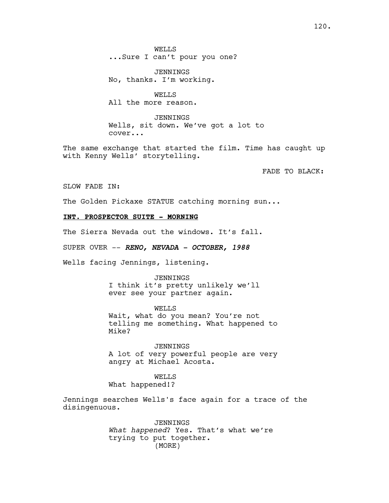WELLS ...Sure I can't pour you one?

JENNINGS No, thanks. I'm working.

WELLS All the more reason.

JENNINGS Wells, sit down. We've got a lot to cover...

The same exchange that started the film. Time has caught up with Kenny Wells' storytelling.

FADE TO BLACK:

SLOW FADE IN:

The Golden Pickaxe STATUE catching morning sun...

## **INT. PROSPECTOR SUITE - MORNING**

The Sierra Nevada out the windows. It's fall.

SUPER OVER -- *RENO, NEVADA - OCTOBER, 1988*

Wells facing Jennings, listening.

#### JENNINGS

I think it's pretty unlikely we'll ever see your partner again.

WELLS Wait, what do you mean? You're not telling me something. What happened to Mike?

JENNINGS A lot of very powerful people are very angry at Michael Acosta.

WELLS What happened!?

Jennings searches Wells's face again for a trace of the disingenuous.

> JENNINGS *What happened*? Yes. That's what we're trying to put together. (MORE)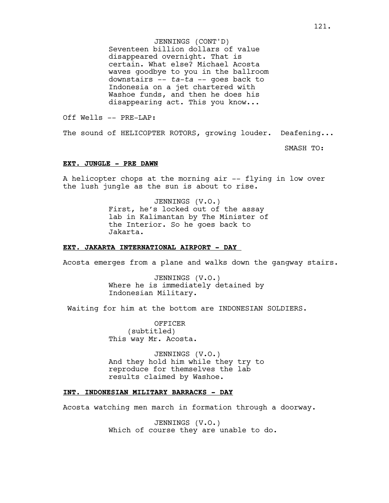JENNINGS (CONT'D) Seventeen billion dollars of value disappeared overnight. That is certain. What else? Michael Acosta waves goodbye to you in the ballroom downstairs -- *ta-ta* -- goes back to Indonesia on a jet chartered with Washoe funds, and then he does his disappearing act. This you know...

Off Wells -- PRE-LAP:

The sound of HELICOPTER ROTORS, growing louder. Deafening...

SMASH TO:

#### **EXT. JUNGLE - PRE DAWN**

A helicopter chops at the morning air -- flying in low over the lush jungle as the sun is about to rise.

> JENNINGS (V.O.) First, he's locked out of the assay lab in Kalimantan by The Minister of the Interior. So he goes back to Jakarta.

## **EXT. JAKARTA INTERNATIONAL AIRPORT - DAY**

Acosta emerges from a plane and walks down the gangway stairs.

JENNINGS (V.O.) Where he is immediately detained by Indonesian Military.

Waiting for him at the bottom are INDONESIAN SOLDIERS.

OFFICER (subtitled) This way Mr. Acosta.

JENNINGS (V.O.) And they hold him while they try to reproduce for themselves the lab results claimed by Washoe.

## **INT. INDONESIAN MILITARY BARRACKS - DAY**

Acosta watching men march in formation through a doorway.

JENNINGS (V.O.) Which of course they are unable to do.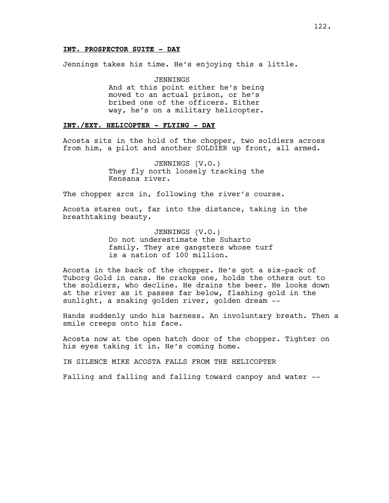## **INT. PROSPECTOR SUITE - DAY**

Jennings takes his time. He's enjoying this a little.

JENNINGS And at this point either he's being moved to an actual prison, or he's bribed one of the officers. Either way, he's on a military helicopter.

# **INT./EXT. HELICOPTER - FLYING - DAY**

Acosta sits in the hold of the chopper, two soldiers across from him, a pilot and another SOLDIER up front, all armed.

> JENNINGS (V.O.) They fly north loosely tracking the Kensana river.

The chopper arcs in, following the river's course.

Acosta stares out, far into the distance, taking in the breathtaking beauty.

> JENNINGS (V.O.) Do not underestimate the Suharto family. They are gangsters whose turf is a nation of 100 million.

Acosta in the back of the chopper. He's got a six-pack of Tuborg Gold in cans. He cracks one, holds the others out to the soldiers, who decline. He drains the beer. He looks down at the river as it passes far below, flashing gold in the sunlight, a snaking golden river, golden dream --

Hands suddenly undo his harness. An involuntary breath. Then a smile creeps onto his face.

Acosta now at the open hatch door of the chopper. Tighter on his eyes taking it in. He's coming home.

IN SILENCE MIKE ACOSTA FALLS FROM THE HELICOPTER

Falling and falling and falling toward canpoy and water --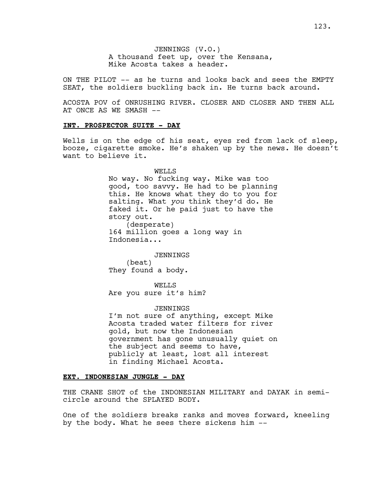JENNINGS (V.O.) A thousand feet up, over the Kensana, Mike Acosta takes a header.

ON THE PILOT -- as he turns and looks back and sees the EMPTY SEAT, the soldiers buckling back in. He turns back around.

ACOSTA POV of ONRUSHING RIVER. CLOSER AND CLOSER AND THEN ALL AT ONCE AS WE SMASH --

## **INT. PROSPECTOR SUITE - DAY**

Wells is on the edge of his seat, eyes red from lack of sleep, booze, cigarette smoke. He's shaken up by the news. He doesn't want to believe it.

> WELLS No way. No fucking way. Mike was too good, too savvy. He had to be planning this. He knows what they do to you for salting. What *you* think they'd do. He faked it. Or he paid just to have the story out. (desperate) 164 million goes a long way in Indonesia...

JENNINGS (beat) They found a body.

WELL<sub>S</sub> Are you sure it's him?

#### JENNINGS

I'm not sure of anything, except Mike Acosta traded water filters for river gold, but now the Indonesian government has gone unusually quiet on the subject and seems to have, publicly at least, lost all interest in finding Michael Acosta.

## **EXT. INDONESIAN JUNGLE - DAY**

THE CRANE SHOT of the INDONESIAN MILITARY and DAYAK in semicircle around the SPLAYED BODY.

One of the soldiers breaks ranks and moves forward, kneeling by the body. What he sees there sickens him --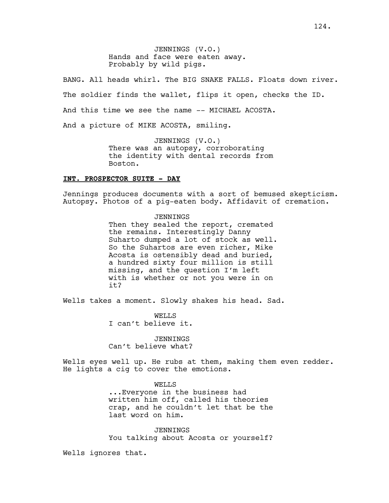JENNINGS (V.O.) Hands and face were eaten away. Probably by wild pigs.

BANG. All heads whirl. The BIG SNAKE FALLS. Floats down river. The soldier finds the wallet, flips it open, checks the ID. And this time we see the name -- MICHAEL ACOSTA. And a picture of MIKE ACOSTA, smiling.

> JENNINGS (V.O.) There was an autopsy, corroborating the identity with dental records from Boston.

### **INT. PROSPECTOR SUITE - DAY**

Jennings produces documents with a sort of bemused skepticism. Autopsy. Photos of a pig-eaten body. Affidavit of cremation.

> JENNINGS Then they sealed the report, cremated the remains. Interestingly Danny Suharto dumped a lot of stock as well. So the Suhartos are even richer, Mike Acosta is ostensibly dead and buried, a hundred sixty four million is still missing, and the question I'm left with is whether or not you were in on it?

Wells takes a moment. Slowly shakes his head. Sad.

WELLS I can't believe it.

JENNINGS Can't believe what?

Wells eyes well up. He rubs at them, making them even redder. He lights a cig to cover the emotions.

> WELLS ...Everyone in the business had written him off, called his theories crap, and he couldn't let that be the last word on him.

> JENNINGS You talking about Acosta or yourself?

Wells ignores that.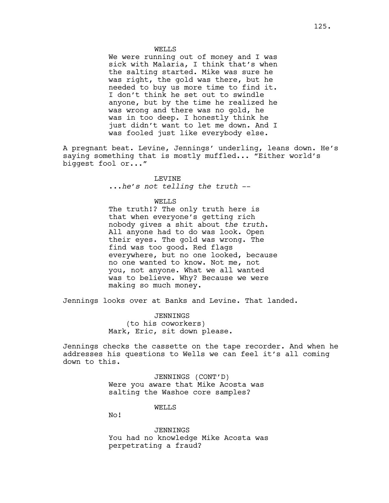#### WELLS

We were running out of money and I was sick with Malaria, I think that's when the salting started. Mike was sure he was right, the gold was there, but he needed to buy us more time to find it. I don't think he set out to swindle anyone, but by the time he realized he was wrong and there was no gold, he was in too deep. I honestly think he just didn't want to let me down. And I was fooled just like everybody else.

A pregnant beat. Levine, Jennings' underling, leans down. He's saying something that is mostly muffled... "Either world's biggest fool or..."

# LEVINE

...*he's not telling the truth* --

#### WELLS

The truth!? The only truth here is that when everyone's getting rich nobody gives a shit about *the truth*. All anyone had to do was look. Open their eyes. The gold was wrong. The find was too good. Red flags everywhere, but no one looked, because no one wanted to know. Not me, not you, not anyone. What we all wanted was to believe. Why? Because we were making so much money.

Jennings looks over at Banks and Levine. That landed.

JENNINGS (to his coworkers) Mark, Eric, sit down please.

Jennings checks the cassette on the tape recorder. And when he addresses his questions to Wells we can feel it's all coming down to this.

> JENNINGS (CONT'D) Were you aware that Mike Acosta was salting the Washoe core samples?

#### WELLS

No!

JENNINGS You had no knowledge Mike Acosta was perpetrating a fraud?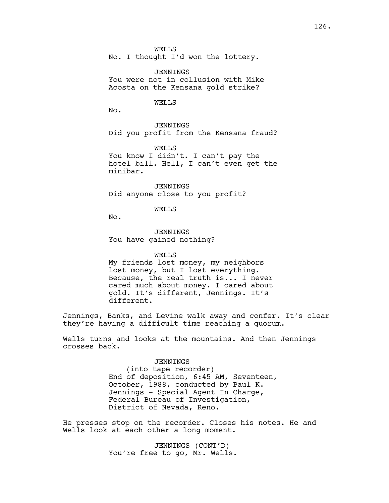WELLS No. I thought I'd won the lottery.

JENNINGS You were not in collusion with Mike Acosta on the Kensana gold strike?

WELLS

No.

JENNINGS Did you profit from the Kensana fraud?

WELLS

You know I didn't. I can't pay the hotel bill. Hell, I can't even get the minibar.

JENNINGS Did anyone close to you profit?

WELLS

No.

JENNINGS You have gained nothing?

WELLS

My friends lost money, my neighbors lost money, but I lost everything. Because, the real truth is... I never cared much about money. I cared about gold. It's different, Jennings. It's different.

Jennings, Banks, and Levine walk away and confer. It's clear they're having a difficult time reaching a quorum.

Wells turns and looks at the mountains. And then Jennings crosses back.

#### JENNINGS

(into tape recorder) End of deposition, 6:45 AM, Seventeen, October, 1988, conducted by Paul K. Jennings - Special Agent In Charge, Federal Bureau of Investigation, District of Nevada, Reno.

He presses stop on the recorder. Closes his notes. He and Wells look at each other a long moment.

> JENNINGS (CONT'D) You're free to go, Mr. Wells.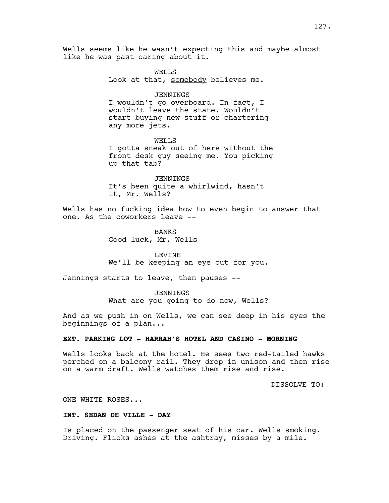Wells seems like he wasn't expecting this and maybe almost like he was past caring about it.

> WELLS Look at that, somebody believes me.

> > JENNINGS

I wouldn't go overboard. In fact, I wouldn't leave the state. Wouldn't start buying new stuff or chartering any more jets.

WELLS I gotta sneak out of here without the front desk guy seeing me. You picking up that tab?

JENNINGS It's been quite a whirlwind, hasn't it, Mr. Wells?

Wells has no fucking idea how to even begin to answer that one. As the coworkers leave --

> BANKS Good luck, Mr. Wells

LEVINE We'll be keeping an eye out for you.

Jennings starts to leave, then pauses --

JENNINGS What are you going to do now, Wells?

And as we push in on Wells, we can see deep in his eyes the beginnings of a plan...

## **EXT. PARKING LOT - HARRAH'S HOTEL AND CASINO - MORNING**

Wells looks back at the hotel. He sees two red-tailed hawks perched on a balcony rail. They drop in unison and then rise on a warm draft. Wells watches them rise and rise.

DISSOLVE TO:

ONE WHITE ROSES...

## **INT. SEDAN DE VILLE - DAY**

Is placed on the passenger seat of his car. Wells smoking. Driving. Flicks ashes at the ashtray, misses by a mile.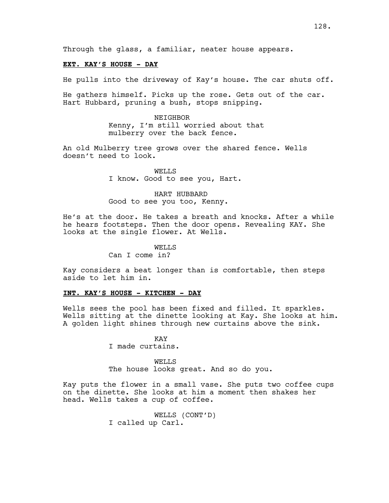Through the glass, a familiar, neater house appears.

## **EXT. KAY'S HOUSE - DAY**

He pulls into the driveway of Kay's house. The car shuts off.

He gathers himself. Picks up the rose. Gets out of the car. Hart Hubbard, pruning a bush, stops snipping.

> NEIGHBOR Kenny, I'm still worried about that mulberry over the back fence.

An old Mulberry tree grows over the shared fence. Wells doesn't need to look.

> WELLS I know. Good to see you, Hart.

HART HUBBARD Good to see you too, Kenny.

He's at the door. He takes a breath and knocks. After a while he hears footsteps. Then the door opens. Revealing KAY. She looks at the single flower. At Wells.

> WELL<sub>S</sub> Can I come in?

Kay considers a beat longer than is comfortable, then steps aside to let him in.

## **INT. KAY'S HOUSE - KITCHEN - DAY**

Wells sees the pool has been fixed and filled. It sparkles. Wells sitting at the dinette looking at Kay. She looks at him. A golden light shines through new curtains above the sink.

> KAY I made curtains.

WELLS The house looks great. And so do you.

Kay puts the flower in a small vase. She puts two coffee cups on the dinette. She looks at him a moment then shakes her head. Wells takes a cup of coffee.

> WELLS (CONT'D) I called up Carl.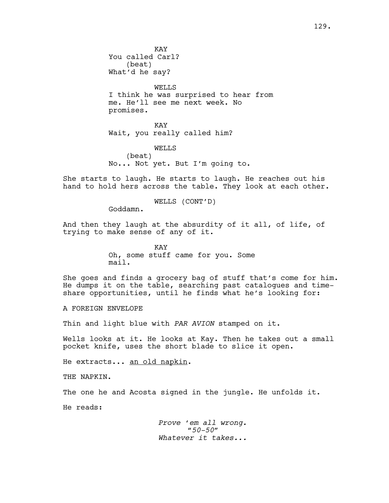WELLS I think he was surprised to hear from me. He'll see me next week. No promises.

KAY Wait, you really called him?

WELLS

(beat) No... Not yet. But I'm going to.

She starts to laugh. He starts to laugh. He reaches out his hand to hold hers across the table. They look at each other.

WELLS (CONT'D)

Goddamn.

And then they laugh at the absurdity of it all, of life, of trying to make sense of any of it.

> KAY Oh, some stuff came for you. Some mail.

She goes and finds a grocery bag of stuff that's come for him. He dumps it on the table, searching past catalogues and timeshare opportunities, until he finds what he's looking for:

A FOREIGN ENVELOPE

Thin and light blue with *PAR AVION* stamped on it.

Wells looks at it. He looks at Kay. Then he takes out a small pocket knife, uses the short blade to slice it open.

He extracts... <u>an old napkin</u>.

THE NAPKIN.

The one he and Acosta signed in the jungle. He unfolds it.

He reads:

*Prove 'em all wrong. "50-50" Whatever it takes...*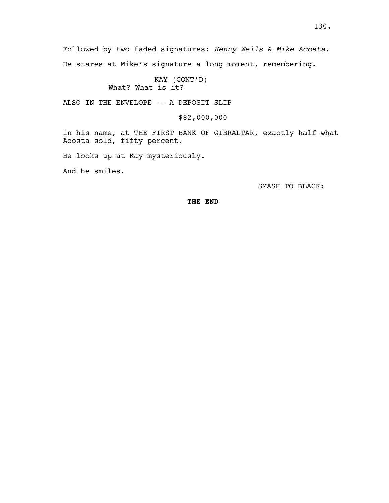Followed by two faded signatures: *Kenny Wells* & *Mike Acosta.*

He stares at Mike's signature a long moment, remembering.

KAY (CONT'D) What? What is it?

ALSO IN THE ENVELOPE -- A DEPOSIT SLIP

\$82,000,000

In his name, at THE FIRST BANK OF GIBRALTAR, exactly half what Acosta sold, fifty percent.

He looks up at Kay mysteriously.

And he smiles.

SMASH TO BLACK:

**THE END**